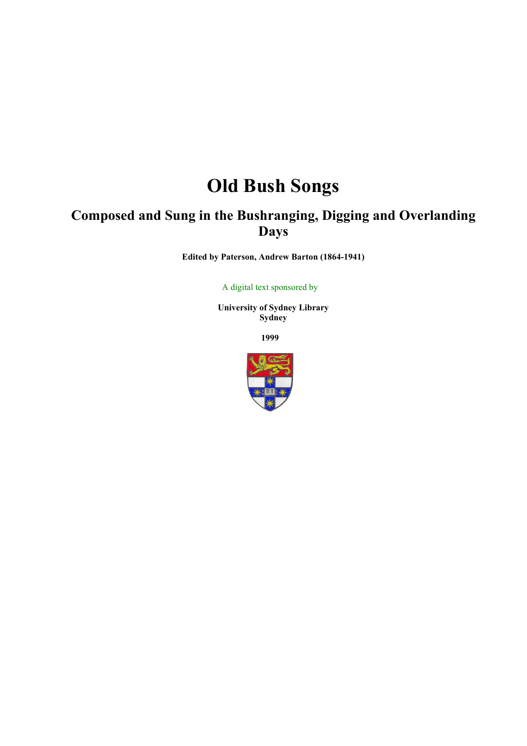# **Old Bush Songs**

# **Composed and Sung in the Bushranging, Digging and Overlanding Days**

**Edited by Paterson, Andrew Barton (1864-1941)** 

A digital text sponsored by

 **University of Sydney Library Sydney**

**1999**

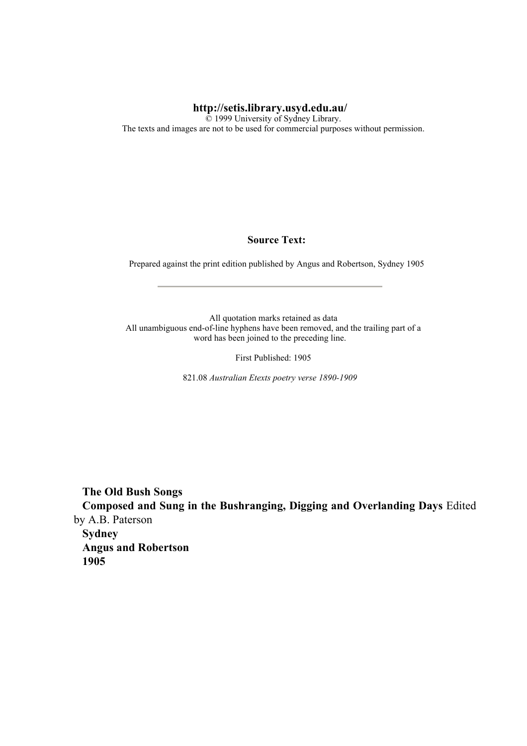#### **http://setis.library.usyd.edu.au/**

 © 1999 University of Sydney Library. The texts and images are not to be used for commercial purposes without permission.

#### **Source Text:**

Prepared against the print edition published by Angus and Robertson, Sydney 1905

 All quotation marks retained as data All unambiguous end-of-line hyphens have been removed, and the trailing part of a word has been joined to the preceding line.

First Published: 1905

821.08 *Australian Etexts poetry verse 1890-1909*

 **The Old Bush Songs Composed and Sung in the Bushranging, Digging and Overlanding Days** Edited by A.B. Paterson **Sydney Angus and Robertson 1905**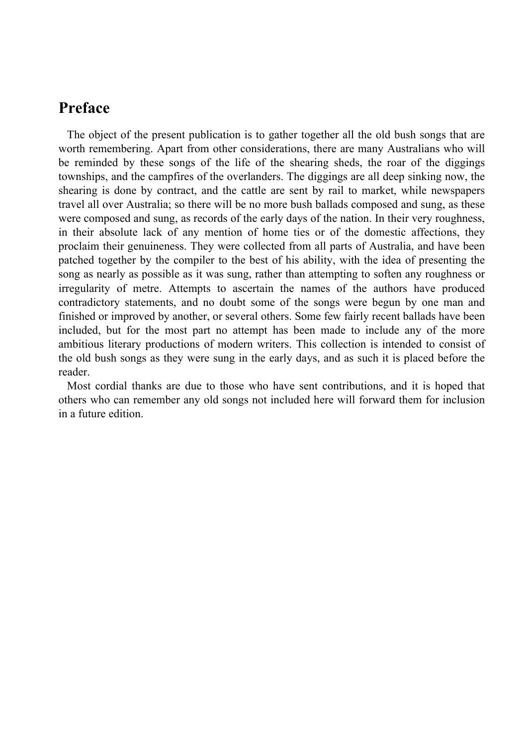### **Preface**

 The object of the present publication is to gather together all the old bush songs that are worth remembering. Apart from other considerations, there are many Australians who will be reminded by these songs of the life of the shearing sheds, the roar of the diggings townships, and the campfires of the overlanders. The diggings are all deep sinking now, the shearing is done by contract, and the cattle are sent by rail to market, while newspapers travel all over Australia; so there will be no more bush ballads composed and sung, as these were composed and sung, as records of the early days of the nation. In their very roughness, in their absolute lack of any mention of home ties or of the domestic affections, they proclaim their genuineness. They were collected from all parts of Australia, and have been patched together by the compiler to the best of his ability, with the idea of presenting the song as nearly as possible as it was sung, rather than attempting to soften any roughness or irregularity of metre. Attempts to ascertain the names of the authors have produced contradictory statements, and no doubt some of the songs were begun by one man and finished or improved by another, or several others. Some few fairly recent ballads have been included, but for the most part no attempt has been made to include any of the more ambitious literary productions of modern writers. This collection is intended to consist of the old bush songs as they were sung in the early days, and as such it is placed before the reader.

 Most cordial thanks are due to those who have sent contributions, and it is hoped that others who can remember any old songs not included here will forward them for inclusion in a future edition.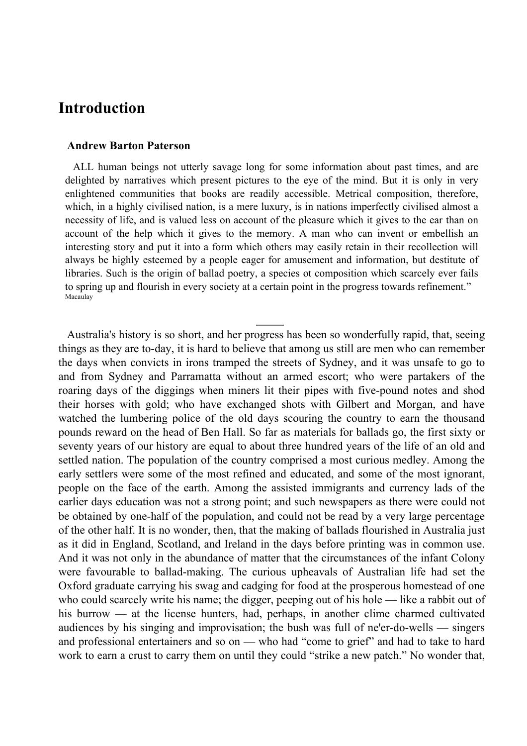### **Introduction**

#### **Andrew Barton Paterson**

 ALL human beings not utterly savage long for some information about past times, and are delighted by narratives which present pictures to the eye of the mind. But it is only in very enlightened communities that books are readily accessible. Metrical composition, therefore, which, in a highly civilised nation, is a mere luxury, is in nations imperfectly civilised almost a necessity of life, and is valued less on account of the pleasure which it gives to the ear than on account of the help which it gives to the memory. A man who can invent or embellish an interesting story and put it into a form which others may easily retain in their recollection will always be highly esteemed by a people eager for amusement and information, but destitute of libraries. Such is the origin of ballad poetry, a species ot composition which scarcely ever fails to spring up and flourish in every society at a certain point in the progress towards refinement." Macaulay

 Australia's history is so short, and her progress has been so wonderfully rapid, that, seeing things as they are to-day, it is hard to believe that among us still are men who can remember the days when convicts in irons tramped the streets of Sydney, and it was unsafe to go to and from Sydney and Parramatta without an armed escort; who were partakers of the roaring days of the diggings when miners lit their pipes with five-pound notes and shod their horses with gold; who have exchanged shots with Gilbert and Morgan, and have watched the lumbering police of the old days scouring the country to earn the thousand pounds reward on the head of Ben Hall. So far as materials for ballads go, the first sixty or seventy years of our history are equal to about three hundred years of the life of an old and settled nation. The population of the country comprised a most curious medley. Among the early settlers were some of the most refined and educated, and some of the most ignorant, people on the face of the earth. Among the assisted immigrants and currency lads of the earlier days education was not a strong point; and such newspapers as there were could not be obtained by one-half of the population, and could not be read by a very large percentage of the other half. It is no wonder, then, that the making of ballads flourished in Australia just as it did in England, Scotland, and Ireland in the days before printing was in common use. And it was not only in the abundance of matter that the circumstances of the infant Colony were favourable to ballad-making. The curious upheavals of Australian life had set the Oxford graduate carrying his swag and cadging for food at the prosperous homestead of one who could scarcely write his name; the digger, peeping out of his hole — like a rabbit out of his burrow — at the license hunters, had, perhaps, in another clime charmed cultivated audiences by his singing and improvisation; the bush was full of ne'er-do-wells — singers and professional entertainers and so on — who had "come to grief" and had to take to hard work to earn a crust to carry them on until they could "strike a new patch." No wonder that,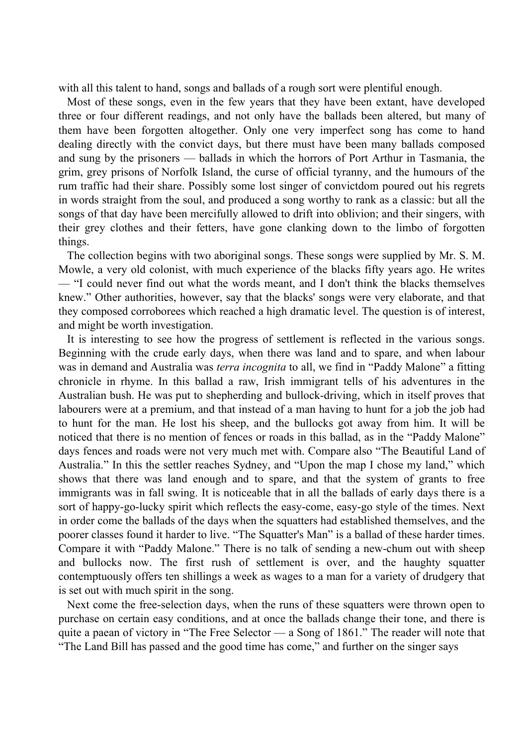with all this talent to hand, songs and ballads of a rough sort were plentiful enough.

 Most of these songs, even in the few years that they have been extant, have developed three or four different readings, and not only have the ballads been altered, but many of them have been forgotten altogether. Only one very imperfect song has come to hand dealing directly with the convict days, but there must have been many ballads composed and sung by the prisoners — ballads in which the horrors of Port Arthur in Tasmania, the grim, grey prisons of Norfolk Island, the curse of official tyranny, and the humours of the rum traffic had their share. Possibly some lost singer of convictdom poured out his regrets in words straight from the soul, and produced a song worthy to rank as a classic: but all the songs of that day have been mercifully allowed to drift into oblivion; and their singers, with their grey clothes and their fetters, have gone clanking down to the limbo of forgotten things.

 The collection begins with two aboriginal songs. These songs were supplied by Mr. S. M. Mowle, a very old colonist, with much experience of the blacks fifty years ago. He writes — "I could never find out what the words meant, and I don't think the blacks themselves knew." Other authorities, however, say that the blacks' songs were very elaborate, and that they composed corroborees which reached a high dramatic level. The question is of interest, and might be worth investigation.

 It is interesting to see how the progress of settlement is reflected in the various songs. Beginning with the crude early days, when there was land and to spare, and when labour was in demand and Australia was *terra incognita* to all, we find in "Paddy Malone" a fitting chronicle in rhyme. In this ballad a raw, Irish immigrant tells of his adventures in the Australian bush. He was put to shepherding and bullock-driving, which in itself proves that labourers were at a premium, and that instead of a man having to hunt for a job the job had to hunt for the man. He lost his sheep, and the bullocks got away from him. It will be noticed that there is no mention of fences or roads in this ballad, as in the "Paddy Malone" days fences and roads were not very much met with. Compare also "The Beautiful Land of Australia." In this the settler reaches Sydney, and "Upon the map I chose my land," which shows that there was land enough and to spare, and that the system of grants to free immigrants was in fall swing. It is noticeable that in all the ballads of early days there is a sort of happy-go-lucky spirit which reflects the easy-come, easy-go style of the times. Next in order come the ballads of the days when the squatters had established themselves, and the poorer classes found it harder to live. "The Squatter's Man" is a ballad of these harder times. Compare it with "Paddy Malone." There is no talk of sending a new-chum out with sheep and bullocks now. The first rush of settlement is over, and the haughty squatter contemptuously offers ten shillings a week as wages to a man for a variety of drudgery that is set out with much spirit in the song.

 Next come the free-selection days, when the runs of these squatters were thrown open to purchase on certain easy conditions, and at once the ballads change their tone, and there is quite a paean of victory in "The Free Selector — a Song of 1861." The reader will note that "The Land Bill has passed and the good time has come," and further on the singer says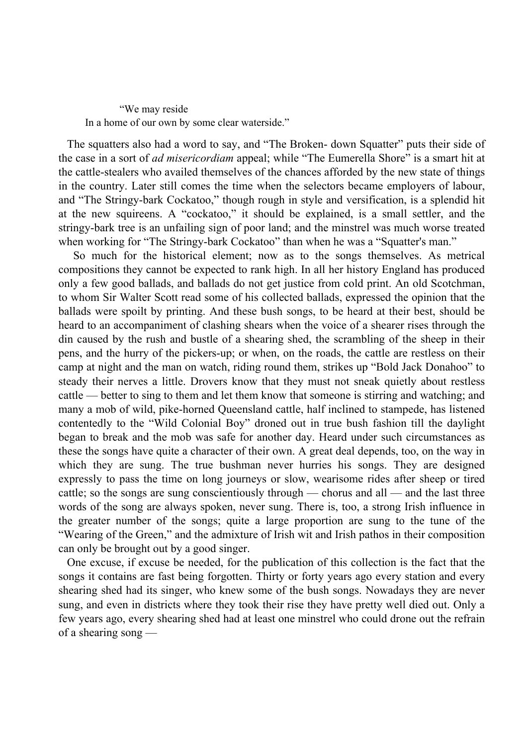#### "We may reside In a home of our own by some clear waterside."

 The squatters also had a word to say, and "The Broken- down Squatter" puts their side of the case in a sort of *ad misericordiam* appeal; while "The Eumerella Shore" is a smart hit at the cattle-stealers who availed themselves of the chances afforded by the new state of things in the country. Later still comes the time when the selectors became employers of labour, and "The Stringy-bark Cockatoo," though rough in style and versification, is a splendid hit at the new squireens. A "cockatoo," it should be explained, is a small settler, and the stringy-bark tree is an unfailing sign of poor land; and the minstrel was much worse treated when working for "The Stringy-bark Cockatoo" than when he was a "Squatter's man."

 So much for the historical element; now as to the songs themselves. As metrical compositions they cannot be expected to rank high. In all her history England has produced only a few good ballads, and ballads do not get justice from cold print. An old Scotchman, to whom Sir Walter Scott read some of his collected ballads, expressed the opinion that the ballads were spoilt by printing. And these bush songs, to be heard at their best, should be heard to an accompaniment of clashing shears when the voice of a shearer rises through the din caused by the rush and bustle of a shearing shed, the scrambling of the sheep in their pens, and the hurry of the pickers-up; or when, on the roads, the cattle are restless on their camp at night and the man on watch, riding round them, strikes up "Bold Jack Donahoo" to steady their nerves a little. Drovers know that they must not sneak quietly about restless cattle — better to sing to them and let them know that someone is stirring and watching; and many a mob of wild, pike-horned Queensland cattle, half inclined to stampede, has listened contentedly to the "Wild Colonial Boy" droned out in true bush fashion till the daylight began to break and the mob was safe for another day. Heard under such circumstances as these the songs have quite a character of their own. A great deal depends, too, on the way in which they are sung. The true bushman never hurries his songs. They are designed expressly to pass the time on long journeys or slow, wearisome rides after sheep or tired cattle; so the songs are sung conscientiously through — chorus and all — and the last three words of the song are always spoken, never sung. There is, too, a strong Irish influence in the greater number of the songs; quite a large proportion are sung to the tune of the "Wearing of the Green," and the admixture of Irish wit and Irish pathos in their composition can only be brought out by a good singer.

 One excuse, if excuse be needed, for the publication of this collection is the fact that the songs it contains are fast being forgotten. Thirty or forty years ago every station and every shearing shed had its singer, who knew some of the bush songs. Nowadays they are never sung, and even in districts where they took their rise they have pretty well died out. Only a few years ago, every shearing shed had at least one minstrel who could drone out the refrain of a shearing song —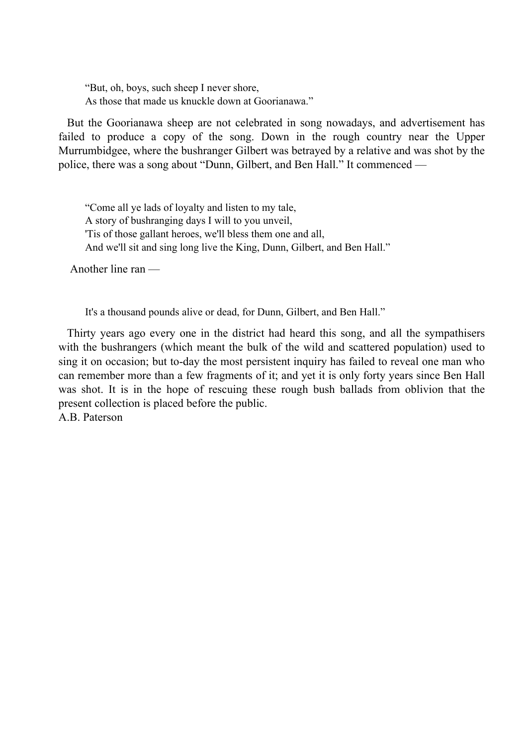"But, oh, boys, such sheep I never shore, As those that made us knuckle down at Goorianawa."

 But the Goorianawa sheep are not celebrated in song nowadays, and advertisement has failed to produce a copy of the song. Down in the rough country near the Upper Murrumbidgee, where the bushranger Gilbert was betrayed by a relative and was shot by the police, there was a song about "Dunn, Gilbert, and Ben Hall." It commenced —

"Come all ye lads of loyalty and listen to my tale, A story of bushranging days I will to you unveil, 'Tis of those gallant heroes, we'll bless them one and all, And we'll sit and sing long live the King, Dunn, Gilbert, and Ben Hall."

Another line ran —

It's a thousand pounds alive or dead, for Dunn, Gilbert, and Ben Hall."

 Thirty years ago every one in the district had heard this song, and all the sympathisers with the bushrangers (which meant the bulk of the wild and scattered population) used to sing it on occasion; but to-day the most persistent inquiry has failed to reveal one man who can remember more than a few fragments of it; and yet it is only forty years since Ben Hall was shot. It is in the hope of rescuing these rough bush ballads from oblivion that the present collection is placed before the public. A.B. Paterson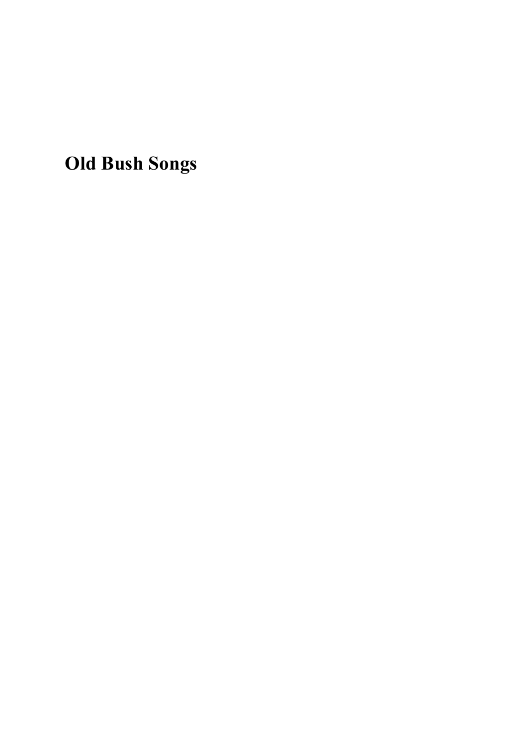**Old Bush Songs**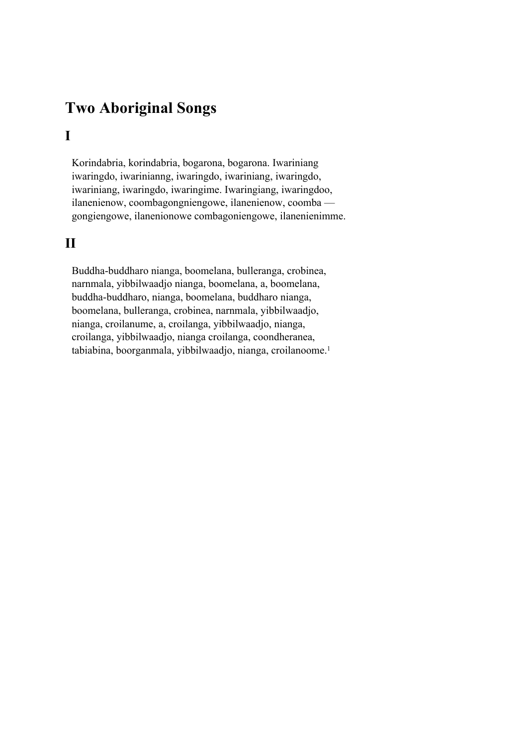# **Two Aboriginal Songs**

### **I**

Korindabria, korindabria, bogarona, bogarona. Iwariniang iwaringdo, iwarinianng, iwaringdo, iwariniang, iwaringdo, iwariniang, iwaringdo, iwaringime. Iwaringiang, iwaringdoo, ilanenienow, coombagongniengowe, ilanenienow, coomba gongiengowe, ilanenionowe combagoniengowe, ilanenienimme.

### **II**

Buddha-buddharo nianga, boomelana, bulleranga, crobinea, narnmala, yibbilwaadjo nianga, boomelana, a, boomelana, buddha-buddharo, nianga, boomelana, buddharo nianga, boomelana, bulleranga, crobinea, narnmala, yibbilwaadjo, nianga, croilanume, a, croilanga, yibbilwaadjo, nianga, croilanga, yibbilwaadjo, nianga croilanga, coondheranea, tabiabina, boorganmala, yibbilwaadjo, nianga, croilanoome.<sup>1</sup>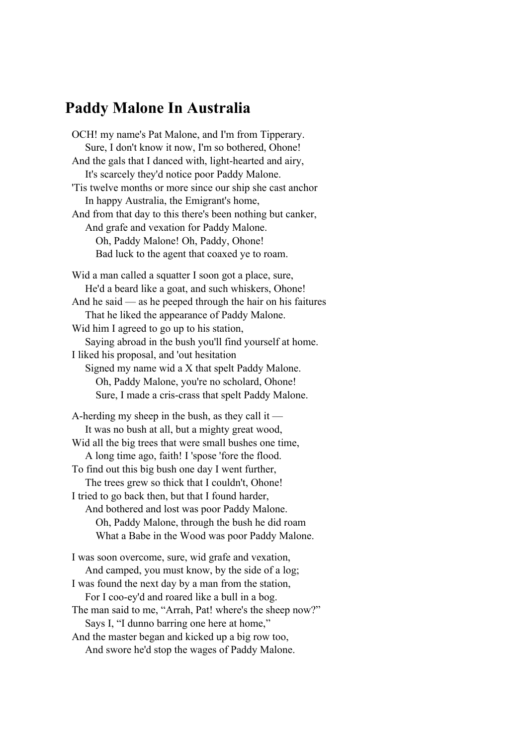### **Paddy Malone In Australia**

OCH! my name's Pat Malone, and I'm from Tipperary. Sure, I don't know it now, I'm so bothered, Ohone! And the gals that I danced with, light-hearted and airy, It's scarcely they'd notice poor Paddy Malone. 'Tis twelve months or more since our ship she cast anchor In happy Australia, the Emigrant's home, And from that day to this there's been nothing but canker, And grafe and vexation for Paddy Malone. Oh, Paddy Malone! Oh, Paddy, Ohone! Bad luck to the agent that coaxed ye to roam. Wid a man called a squatter I soon got a place, sure, He'd a beard like a goat, and such whiskers, Ohone! And he said — as he peeped through the hair on his faitures That he liked the appearance of Paddy Malone. Wid him I agreed to go up to his station, Saying abroad in the bush you'll find yourself at home. I liked his proposal, and 'out hesitation Signed my name wid a X that spelt Paddy Malone. Oh, Paddy Malone, you're no scholard, Ohone! Sure, I made a cris-crass that spelt Paddy Malone. A-herding my sheep in the bush, as they call it — It was no bush at all, but a mighty great wood, Wid all the big trees that were small bushes one time, A long time ago, faith! I 'spose 'fore the flood.

To find out this big bush one day I went further,

 The trees grew so thick that I couldn't, Ohone! I tried to go back then, but that I found harder,

 And bothered and lost was poor Paddy Malone. Oh, Paddy Malone, through the bush he did roam What a Babe in the Wood was poor Paddy Malone.

I was soon overcome, sure, wid grafe and vexation, And camped, you must know, by the side of a log; I was found the next day by a man from the station, For I coo-ey'd and roared like a bull in a bog. The man said to me, "Arrah, Pat! where's the sheep now?" Says I, "I dunno barring one here at home," And the master began and kicked up a big row too,

And swore he'd stop the wages of Paddy Malone.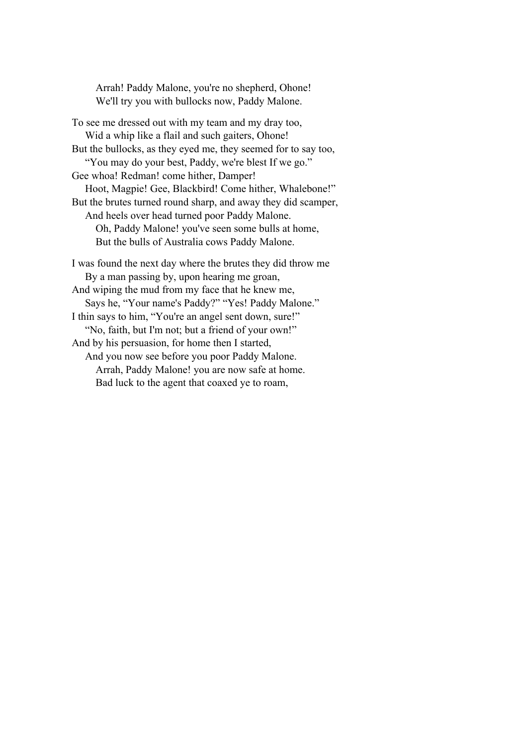Arrah! Paddy Malone, you're no shepherd, Ohone! We'll try you with bullocks now, Paddy Malone.

To see me dressed out with my team and my dray too, Wid a whip like a flail and such gaiters, Ohone! But the bullocks, as they eyed me, they seemed for to say too, "You may do your best, Paddy, we're blest If we go." Gee whoa! Redman! come hither, Damper! Hoot, Magpie! Gee, Blackbird! Come hither, Whalebone!" But the brutes turned round sharp, and away they did scamper, And heels over head turned poor Paddy Malone. Oh, Paddy Malone! you've seen some bulls at home, But the bulls of Australia cows Paddy Malone. I was found the next day where the brutes they did throw me By a man passing by, upon hearing me groan, And wiping the mud from my face that he knew me, Says he, "Your name's Paddy?" "Yes! Paddy Malone." I thin says to him, "You're an angel sent down, sure!"

 "No, faith, but I'm not; but a friend of your own!" And by his persuasion, for home then I started,

 And you now see before you poor Paddy Malone. Arrah, Paddy Malone! you are now safe at home. Bad luck to the agent that coaxed ye to roam,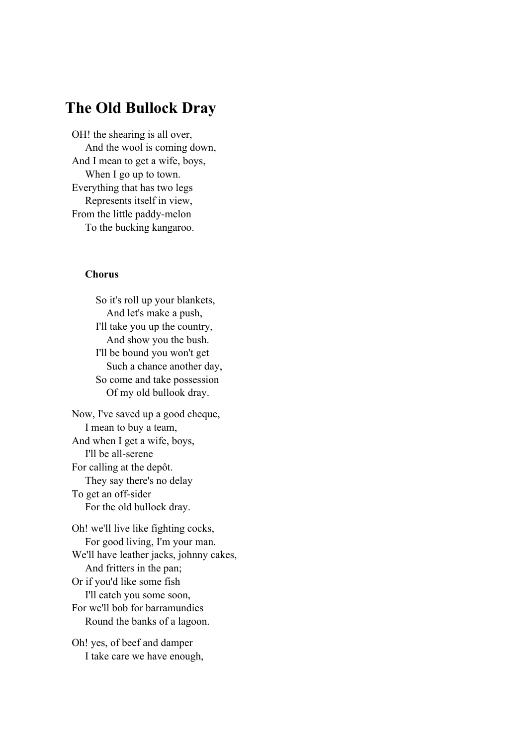### **The Old Bullock Dray**

OH! the shearing is all over, And the wool is coming down, And I mean to get a wife, boys, When I go up to town. Everything that has two legs Represents itself in view, From the little paddy-melon To the bucking kangaroo.

#### **Chorus**

 So it's roll up your blankets, And let's make a push, I'll take you up the country, And show you the bush. I'll be bound you won't get Such a chance another day, So come and take possession Of my old bullook dray.

Now, I've saved up a good cheque, I mean to buy a team, And when I get a wife, boys, I'll be all-serene For calling at the depôt. They say there's no delay To get an off-sider For the old bullock dray.

Oh! we'll live like fighting cocks, For good living, I'm your man. We'll have leather jacks, johnny cakes, And fritters in the pan; Or if you'd like some fish I'll catch you some soon, For we'll bob for barramundies Round the banks of a lagoon.

Oh! yes, of beef and damper I take care we have enough,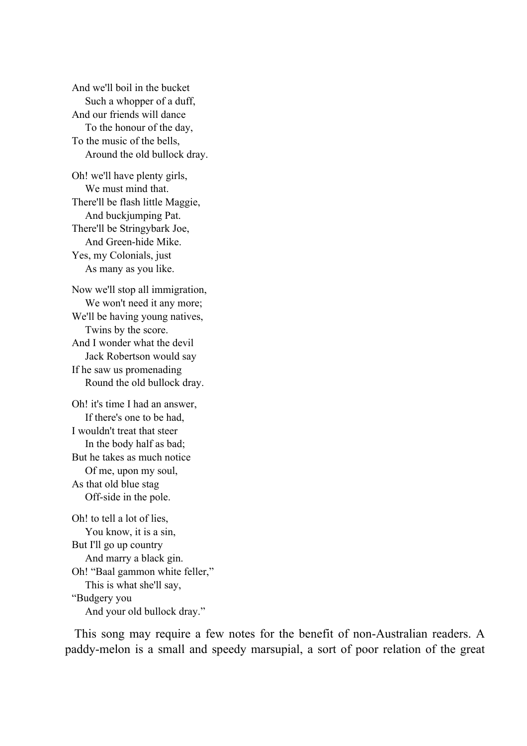And we'll boil in the bucket Such a whopper of a duff, And our friends will dance To the honour of the day, To the music of the bells, Around the old bullock dray.

Oh! we'll have plenty girls, We must mind that. There'll be flash little Maggie, And buckjumping Pat. There'll be Stringybark Joe, And Green-hide Mike. Yes, my Colonials, just As many as you like.

Now we'll stop all immigration, We won't need it any more; We'll be having young natives, Twins by the score. And I wonder what the devil Jack Robertson would say If he saw us promenading Round the old bullock dray.

Oh! it's time I had an answer, If there's one to be had, I wouldn't treat that steer In the body half as bad; But he takes as much notice Of me, upon my soul, As that old blue stag Off-side in the pole.

Oh! to tell a lot of lies, You know, it is a sin, But I'll go up country And marry a black gin. Oh! "Baal gammon white feller," This is what she'll say, "Budgery you And your old bullock dray."

 This song may require a few notes for the benefit of non-Australian readers. A paddy-melon is a small and speedy marsupial, a sort of poor relation of the great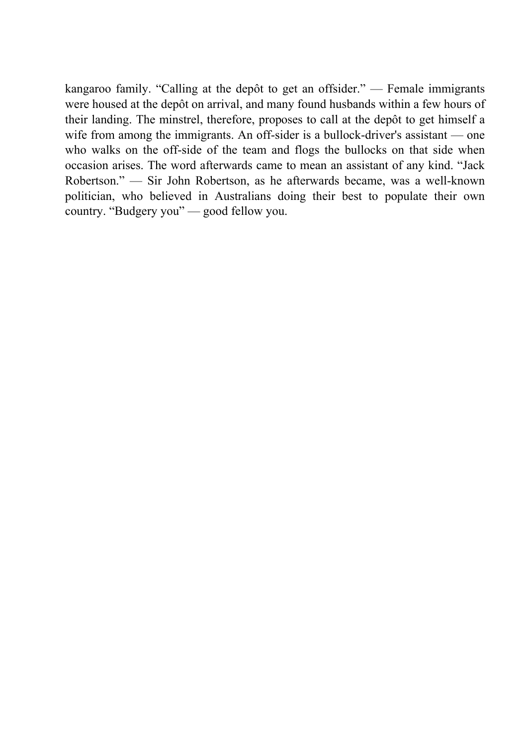kangaroo family. "Calling at the depôt to get an offsider." — Female immigrants were housed at the depôt on arrival, and many found husbands within a few hours of their landing. The minstrel, therefore, proposes to call at the depôt to get himself a wife from among the immigrants. An off-sider is a bullock-driver's assistant — one who walks on the off-side of the team and flogs the bullocks on that side when occasion arises. The word afterwards came to mean an assistant of any kind. "Jack Robertson." — Sir John Robertson, as he afterwards became, was a well-known politician, who believed in Australians doing their best to populate their own country. "Budgery you" — good fellow you.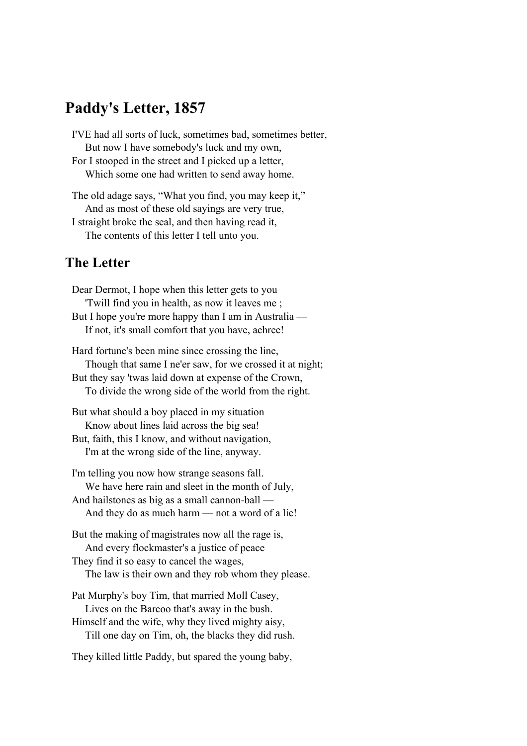### **Paddy's Letter, 1857**

I'VE had all sorts of luck, sometimes bad, sometimes better, But now I have somebody's luck and my own, For I stooped in the street and I picked up a letter,

Which some one had written to send away home.

The old adage says, "What you find, you may keep it," And as most of these old sayings are very true, I straight broke the seal, and then having read it,

The contents of this letter I tell unto you.

### **The Letter**

Dear Dermot, I hope when this letter gets to you 'Twill find you in health, as now it leaves me ; But I hope you're more happy than I am in Australia — If not, it's small comfort that you have, achree! Hard fortune's been mine since crossing the line, Though that same I ne'er saw, for we crossed it at night; But they say 'twas laid down at expense of the Crown, To divide the wrong side of the world from the right. But what should a boy placed in my situation Know about lines laid across the big sea! But, faith, this I know, and without navigation, I'm at the wrong side of the line, anyway. I'm telling you now how strange seasons fall. We have here rain and sleet in the month of July, And hailstones as big as a small cannon-ball — And they do as much harm — not a word of a lie! But the making of magistrates now all the rage is, And every flockmaster's a justice of peace They find it so easy to cancel the wages, The law is their own and they rob whom they please. Pat Murphy's boy Tim, that married Moll Casey, Lives on the Barcoo that's away in the bush. Himself and the wife, why they lived mighty aisy, Till one day on Tim, oh, the blacks they did rush.

They killed little Paddy, but spared the young baby,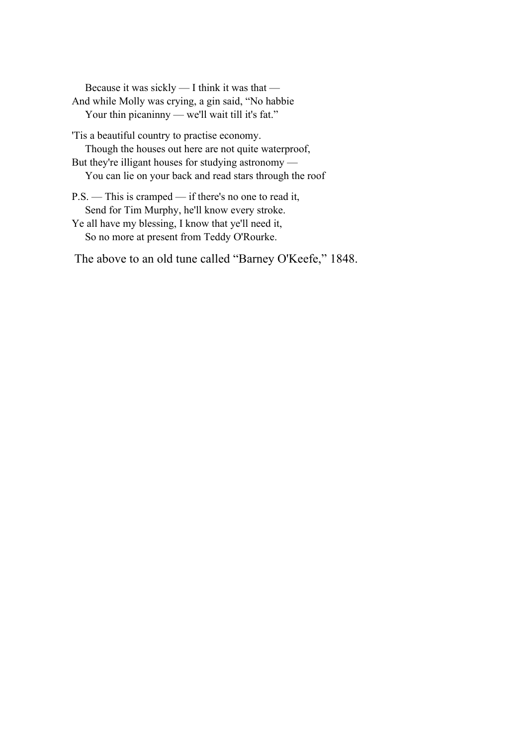Because it was sickly — I think it was that — And while Molly was crying, a gin said, "No habbie Your thin picaninny — we'll wait till it's fat."

'Tis a beautiful country to practise economy. Though the houses out here are not quite waterproof, But they're illigant houses for studying astronomy — You can lie on your back and read stars through the roof

P.S. — This is cramped — if there's no one to read it, Send for Tim Murphy, he'll know every stroke.

Ye all have my blessing, I know that ye'll need it, So no more at present from Teddy O'Rourke.

The above to an old tune called "Barney O'Keefe," 1848.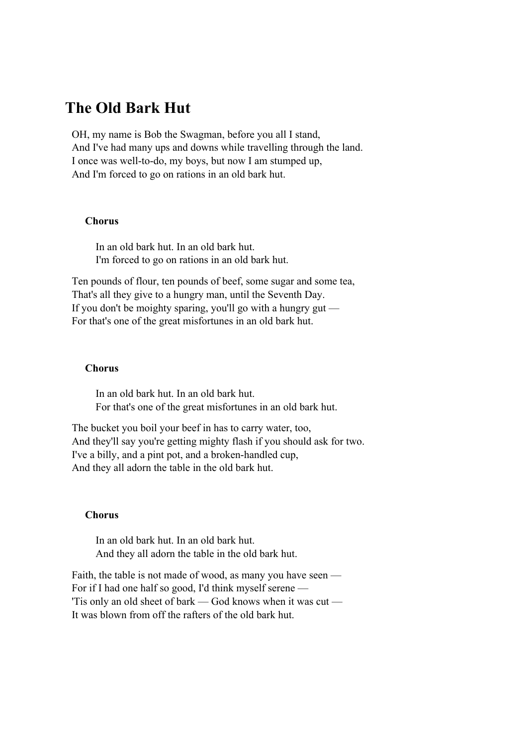### **The Old Bark Hut**

OH, my name is Bob the Swagman, before you all I stand, And I've had many ups and downs while travelling through the land. I once was well-to-do, my boys, but now I am stumped up, And I'm forced to go on rations in an old bark hut.

#### **Chorus**

 In an old bark hut. In an old bark hut. I'm forced to go on rations in an old bark hut.

Ten pounds of flour, ten pounds of beef, some sugar and some tea, That's all they give to a hungry man, until the Seventh Day. If you don't be moighty sparing, you'll go with a hungry gut — For that's one of the great misfortunes in an old bark hut.

#### **Chorus**

 In an old bark hut. In an old bark hut. For that's one of the great misfortunes in an old bark hut.

The bucket you boil your beef in has to carry water, too, And they'll say you're getting mighty flash if you should ask for two. I've a billy, and a pint pot, and a broken-handled cup, And they all adorn the table in the old bark hut.

#### **Chorus**

 In an old bark hut. In an old bark hut. And they all adorn the table in the old bark hut.

Faith, the table is not made of wood, as many you have seen — For if I had one half so good, I'd think myself serene — 'Tis only an old sheet of bark — God knows when it was cut — It was blown from off the rafters of the old bark hut.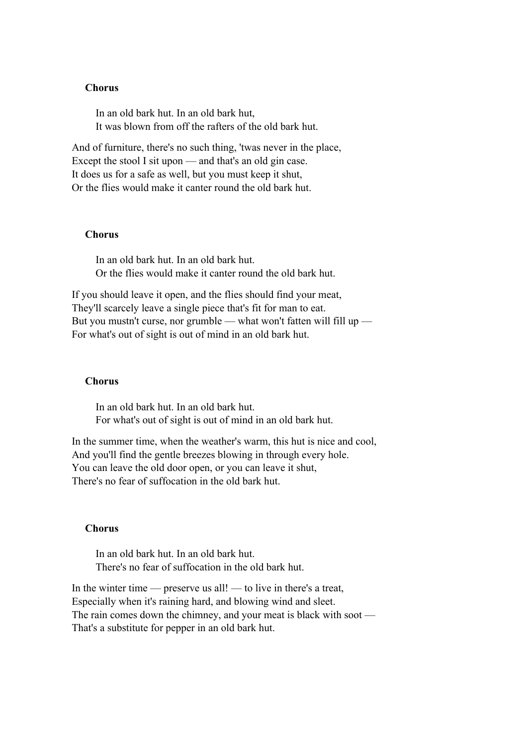#### **Chorus**

 In an old bark hut. In an old bark hut, It was blown from off the rafters of the old bark hut.

And of furniture, there's no such thing, 'twas never in the place, Except the stool I sit upon — and that's an old gin case. It does us for a safe as well, but you must keep it shut, Or the flies would make it canter round the old bark hut.

#### **Chorus**

 In an old bark hut. In an old bark hut. Or the flies would make it canter round the old bark hut.

If you should leave it open, and the flies should find your meat, They'll scarcely leave a single piece that's fit for man to eat. But you mustn't curse, nor grumble — what won't fatten will fill up — For what's out of sight is out of mind in an old bark hut.

#### **Chorus**

 In an old bark hut. In an old bark hut. For what's out of sight is out of mind in an old bark hut.

In the summer time, when the weather's warm, this hut is nice and cool, And you'll find the gentle breezes blowing in through every hole. You can leave the old door open, or you can leave it shut, There's no fear of suffocation in the old bark hut.

#### **Chorus**

 In an old bark hut. In an old bark hut. There's no fear of suffocation in the old bark hut.

In the winter time — preserve us all! — to live in there's a treat, Especially when it's raining hard, and blowing wind and sleet. The rain comes down the chimney, and your meat is black with soot — That's a substitute for pepper in an old bark hut.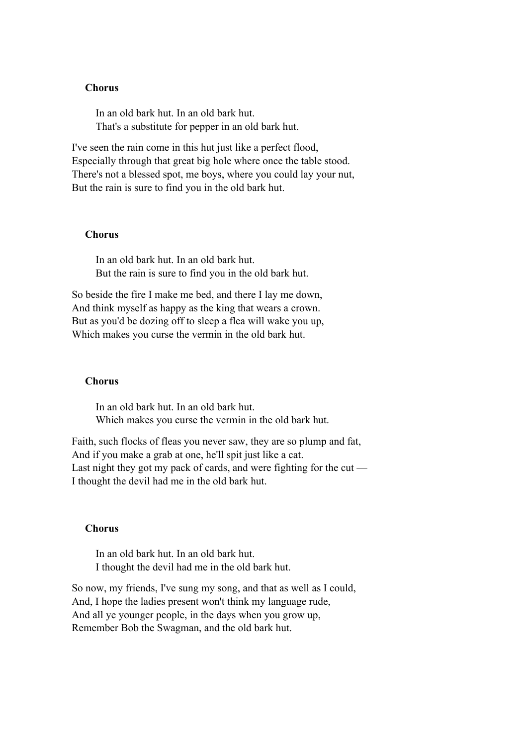#### **Chorus**

 In an old bark hut. In an old bark hut. That's a substitute for pepper in an old bark hut.

I've seen the rain come in this hut just like a perfect flood, Especially through that great big hole where once the table stood. There's not a blessed spot, me boys, where you could lay your nut, But the rain is sure to find you in the old bark hut.

#### **Chorus**

 In an old bark hut. In an old bark hut. But the rain is sure to find you in the old bark hut.

So beside the fire I make me bed, and there I lay me down, And think myself as happy as the king that wears a crown. But as you'd be dozing off to sleep a flea will wake you up, Which makes you curse the vermin in the old bark hut.

#### **Chorus**

 In an old bark hut. In an old bark hut. Which makes you curse the vermin in the old bark hut.

Faith, such flocks of fleas you never saw, they are so plump and fat, And if you make a grab at one, he'll spit just like a cat. Last night they got my pack of cards, and were fighting for the cut — I thought the devil had me in the old bark hut.

#### **Chorus**

 In an old bark hut. In an old bark hut. I thought the devil had me in the old bark hut.

So now, my friends, I've sung my song, and that as well as I could, And, I hope the ladies present won't think my language rude, And all ye younger people, in the days when you grow up, Remember Bob the Swagman, and the old bark hut.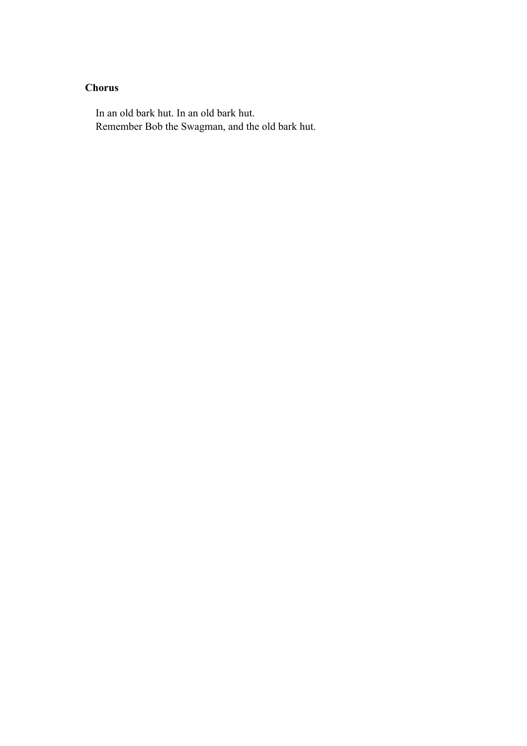### **Chorus**

 In an old bark hut. In an old bark hut. Remember Bob the Swagman, and the old bark hut.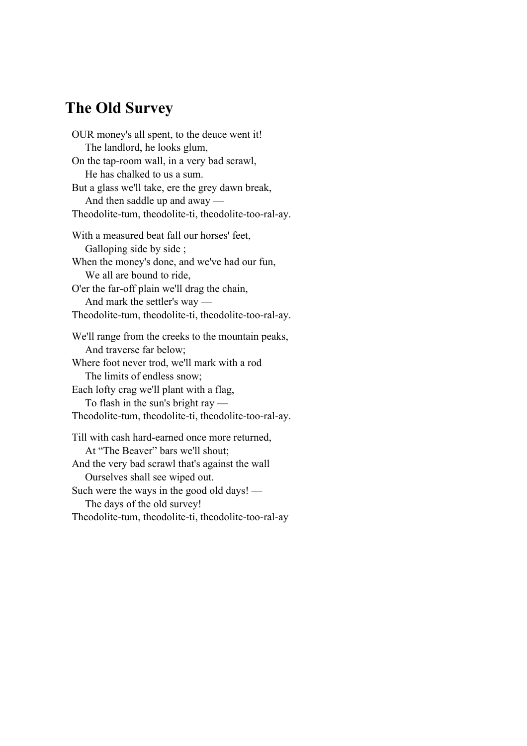### **The Old Survey**

OUR money's all spent, to the deuce went it! The landlord, he looks glum, On the tap-room wall, in a very bad scrawl, He has chalked to us a sum. But a glass we'll take, ere the grey dawn break, And then saddle up and away — Theodolite-tum, theodolite-ti, theodolite-too-ral-ay. With a measured beat fall our horses' feet, Galloping side by side; When the money's done, and we've had our fun, We all are bound to ride, O'er the far-off plain we'll drag the chain, And mark the settler's way — Theodolite-tum, theodolite-ti, theodolite-too-ral-ay. We'll range from the creeks to the mountain peaks, And traverse far below; Where foot never trod, we'll mark with a rod The limits of endless snow; Each lofty crag we'll plant with a flag, To flash in the sun's bright ray — Theodolite-tum, theodolite-ti, theodolite-too-ral-ay. Till with cash hard-earned once more returned, At "The Beaver" bars we'll shout; And the very bad scrawl that's against the wall Ourselves shall see wiped out. Such were the ways in the good old days! — The days of the old survey!

Theodolite-tum, theodolite-ti, theodolite-too-ral-ay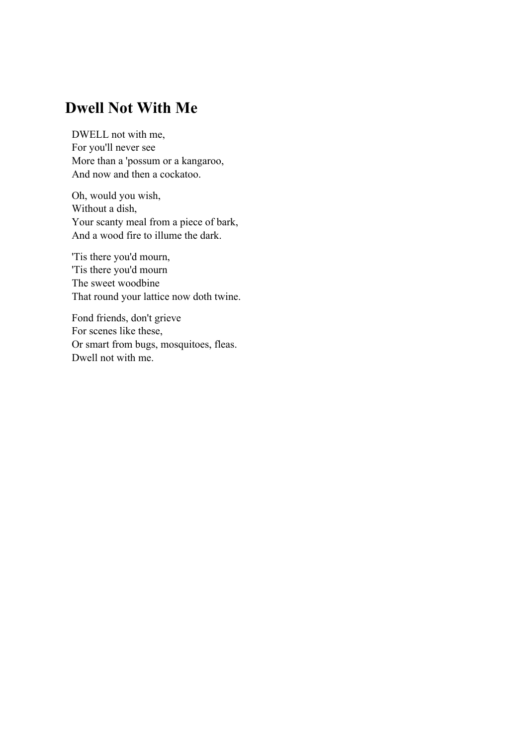# **Dwell Not With Me**

DWELL not with me, For you'll never see More than a 'possum or a kangaroo, And now and then a cockatoo.

Oh, would you wish, Without a dish, Your scanty meal from a piece of bark, And a wood fire to illume the dark.

'Tis there you'd mourn, 'Tis there you'd mourn The sweet woodbine That round your lattice now doth twine.

Fond friends, don't grieve For scenes like these, Or smart from bugs, mosquitoes, fleas. Dwell not with me.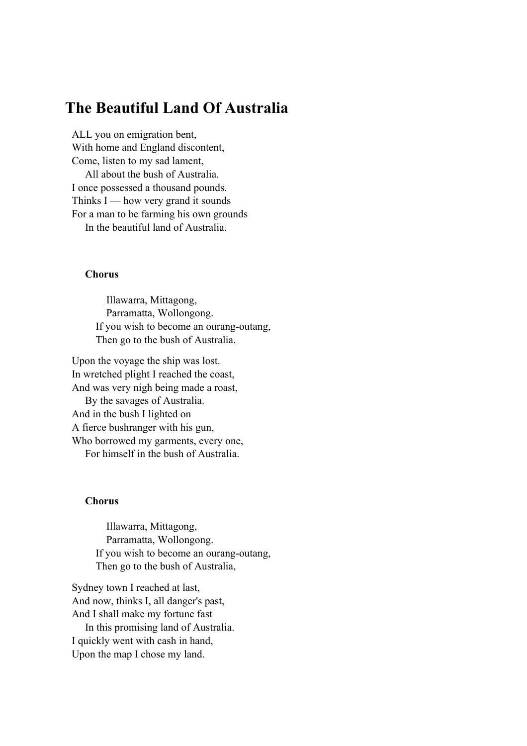# **The Beautiful Land Of Australia**

ALL you on emigration bent, With home and England discontent, Come, listen to my sad lament, All about the bush of Australia. I once possessed a thousand pounds. Thinks I — how very grand it sounds For a man to be farming his own grounds In the beautiful land of Australia.

#### **Chorus**

 Illawarra, Mittagong, Parramatta, Wollongong. If you wish to become an ourang-outang, Then go to the bush of Australia.

Upon the voyage the ship was lost. In wretched plight I reached the coast, And was very nigh being made a roast, By the savages of Australia. And in the bush I lighted on A fierce bushranger with his gun, Who borrowed my garments, every one, For himself in the bush of Australia.

#### **Chorus**

 Illawarra, Mittagong, Parramatta, Wollongong. If you wish to become an ourang-outang, Then go to the bush of Australia,

Sydney town I reached at last, And now, thinks I, all danger's past, And I shall make my fortune fast In this promising land of Australia. I quickly went with cash in hand, Upon the map I chose my land.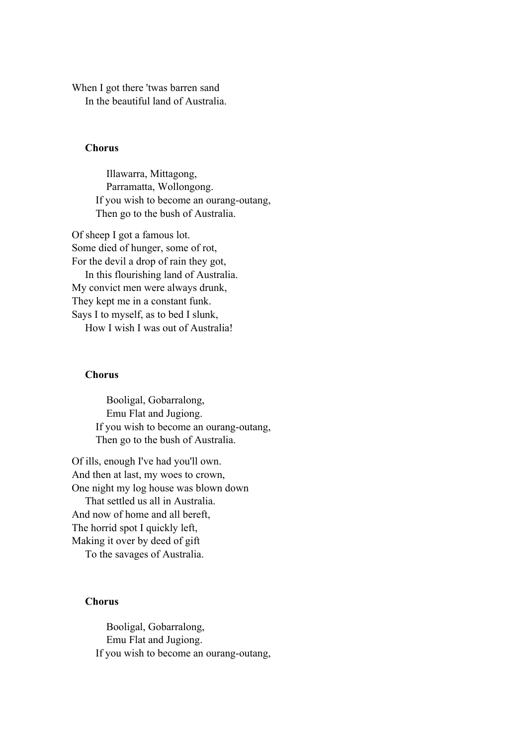When I got there 'twas barren sand In the beautiful land of Australia.

#### **Chorus**

 Illawarra, Mittagong, Parramatta, Wollongong. If you wish to become an ourang-outang, Then go to the bush of Australia.

Of sheep I got a famous lot. Some died of hunger, some of rot, For the devil a drop of rain they got, In this flourishing land of Australia. My convict men were always drunk, They kept me in a constant funk. Says I to myself, as to bed I slunk, How I wish I was out of Australia!

#### **Chorus**

 Booligal, Gobarralong, Emu Flat and Jugiong. If you wish to become an ourang-outang, Then go to the bush of Australia.

Of ills, enough I've had you'll own. And then at last, my woes to crown, One night my log house was blown down That settled us all in Australia. And now of home and all bereft, The horrid spot I quickly left, Making it over by deed of gift To the savages of Australia.

#### **Chorus**

 Booligal, Gobarralong, Emu Flat and Jugiong. If you wish to become an ourang-outang,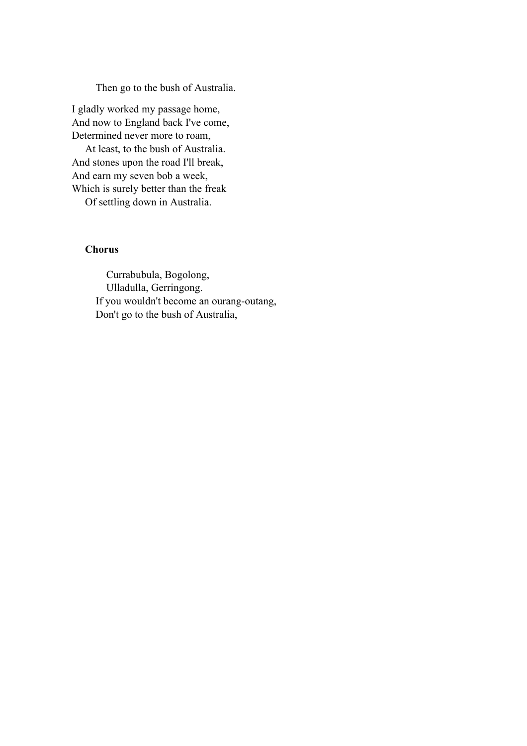Then go to the bush of Australia.

I gladly worked my passage home, And now to England back I've come, Determined never more to roam,

 At least, to the bush of Australia. And stones upon the road I'll break, And earn my seven bob a week, Which is surely better than the freak

Of settling down in Australia.

#### **Chorus**

 Currabubula, Bogolong, Ulladulla, Gerringong. If you wouldn't become an ourang-outang, Don't go to the bush of Australia,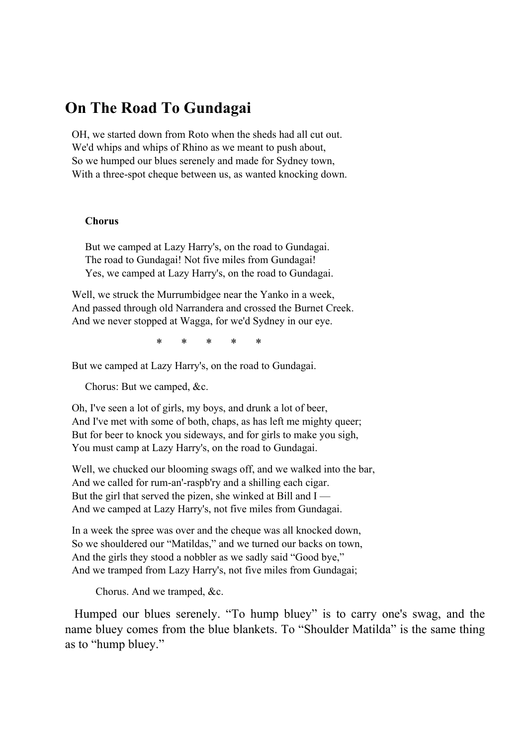# **On The Road To Gundagai**

OH, we started down from Roto when the sheds had all cut out. We'd whips and whips of Rhino as we meant to push about, So we humped our blues serenely and made for Sydney town, With a three-spot cheque between us, as wanted knocking down.

#### **Chorus**

 But we camped at Lazy Harry's, on the road to Gundagai. The road to Gundagai! Not five miles from Gundagai! Yes, we camped at Lazy Harry's, on the road to Gundagai.

Well, we struck the Murrumbidgee near the Yanko in a week, And passed through old Narrandera and crossed the Burnet Creek. And we never stopped at Wagga, for we'd Sydney in our eye.

\* \* \* \* \*

But we camped at Lazy Harry's, on the road to Gundagai.

Chorus: But we camped, &c.

Oh, I've seen a lot of girls, my boys, and drunk a lot of beer, And I've met with some of both, chaps, as has left me mighty queer; But for beer to knock you sideways, and for girls to make you sigh, You must camp at Lazy Harry's, on the road to Gundagai.

Well, we chucked our blooming swags off, and we walked into the bar, And we called for rum-an'-raspb'ry and a shilling each cigar. But the girl that served the pizen, she winked at Bill and I — And we camped at Lazy Harry's, not five miles from Gundagai.

In a week the spree was over and the cheque was all knocked down, So we shouldered our "Matildas," and we turned our backs on town, And the girls they stood a nobbler as we sadly said "Good bye," And we tramped from Lazy Harry's, not five miles from Gundagai;

Chorus. And we tramped, &c.

 Humped our blues serenely. "To hump bluey" is to carry one's swag, and the name bluey comes from the blue blankets. To "Shoulder Matilda" is the same thing as to "hump bluey."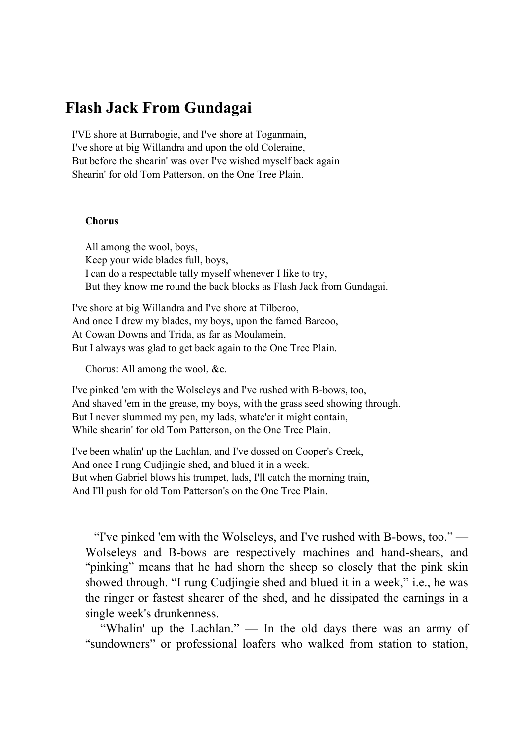# **Flash Jack From Gundagai**

I'VE shore at Burrabogie, and I've shore at Toganmain, I've shore at big Willandra and upon the old Coleraine, But before the shearin' was over I've wished myself back again Shearin' for old Tom Patterson, on the One Tree Plain.

#### **Chorus**

 All among the wool, boys, Keep your wide blades full, boys, I can do a respectable tally myself whenever I like to try, But they know me round the back blocks as Flash Jack from Gundagai.

I've shore at big Willandra and I've shore at Tilberoo, And once I drew my blades, my boys, upon the famed Barcoo, At Cowan Downs and Trida, as far as Moulamein, But I always was glad to get back again to the One Tree Plain.

Chorus: All among the wool, &c.

I've pinked 'em with the Wolseleys and I've rushed with B-bows, too, And shaved 'em in the grease, my boys, with the grass seed showing through. But I never slummed my pen, my lads, whate'er it might contain, While shearin' for old Tom Patterson, on the One Tree Plain.

I've been whalin' up the Lachlan, and I've dossed on Cooper's Creek, And once I rung Cudjingie shed, and blued it in a week. But when Gabriel blows his trumpet, lads, I'll catch the morning train, And I'll push for old Tom Patterson's on the One Tree Plain.

 "I've pinked 'em with the Wolseleys, and I've rushed with B-bows, too." — Wolseleys and B-bows are respectively machines and hand-shears, and "pinking" means that he had shorn the sheep so closely that the pink skin showed through. "I rung Cudjingie shed and blued it in a week," i.e., he was the ringer or fastest shearer of the shed, and he dissipated the earnings in a single week's drunkenness.

 "Whalin' up the Lachlan." — In the old days there was an army of "sundowners" or professional loafers who walked from station to station,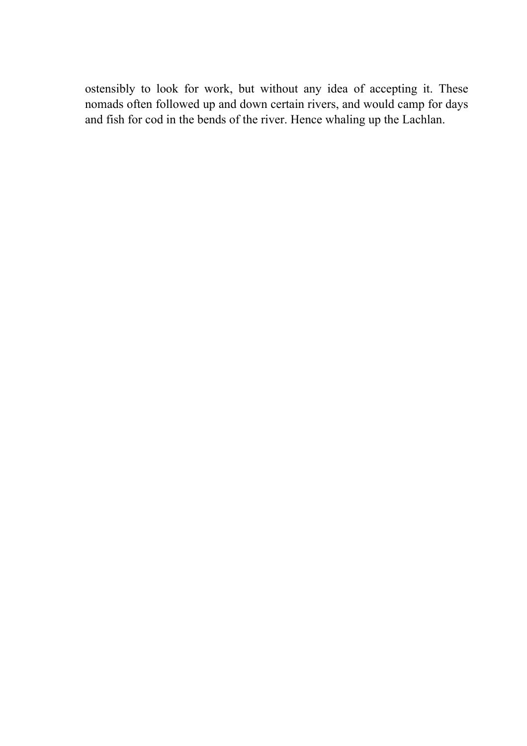ostensibly to look for work, but without any idea of accepting it. These nomads often followed up and down certain rivers, and would camp for days and fish for cod in the bends of the river. Hence whaling up the Lachlan.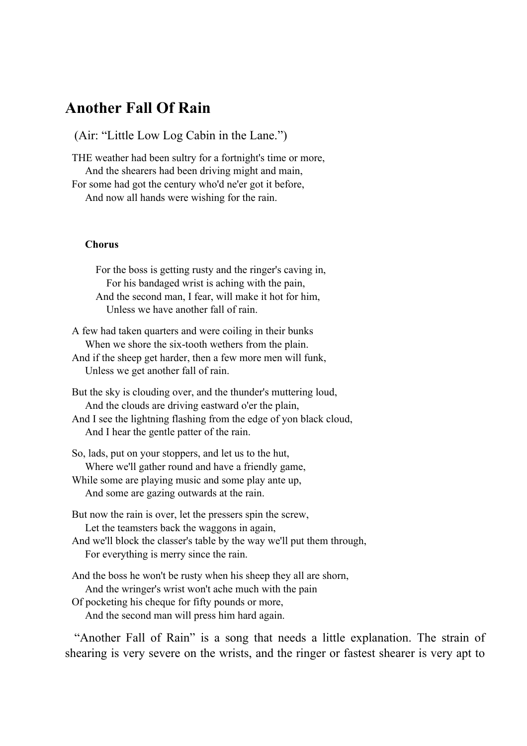### **Another Fall Of Rain**

(Air: "Little Low Log Cabin in the Lane.")

THE weather had been sultry for a fortnight's time or more, And the shearers had been driving might and main, For some had got the century who'd ne'er got it before,

And now all hands were wishing for the rain.

#### **Chorus**

 For the boss is getting rusty and the ringer's caving in, For his bandaged wrist is aching with the pain, And the second man, I fear, will make it hot for him, Unless we have another fall of rain.

A few had taken quarters and were coiling in their bunks When we shore the six-tooth wethers from the plain. And if the sheep get harder, then a few more men will funk,

Unless we get another fall of rain.

But the sky is clouding over, and the thunder's muttering loud, And the clouds are driving eastward o'er the plain,

And I see the lightning flashing from the edge of yon black cloud, And I hear the gentle patter of the rain.

So, lads, put on your stoppers, and let us to the hut, Where we'll gather round and have a friendly game, While some are playing music and some play ante up,

And some are gazing outwards at the rain.

But now the rain is over, let the pressers spin the screw, Let the teamsters back the waggons in again,

And we'll block the classer's table by the way we'll put them through, For everything is merry since the rain.

And the boss he won't be rusty when his sheep they all are shorn,

And the wringer's wrist won't ache much with the pain

Of pocketing his cheque for fifty pounds or more,

And the second man will press him hard again.

 "Another Fall of Rain" is a song that needs a little explanation. The strain of shearing is very severe on the wrists, and the ringer or fastest shearer is very apt to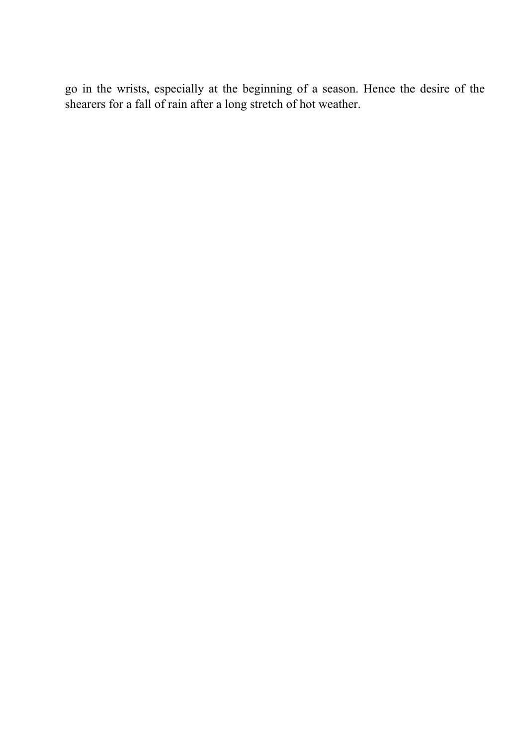go in the wrists, especially at the beginning of a season. Hence the desire of the shearers for a fall of rain after a long stretch of hot weather.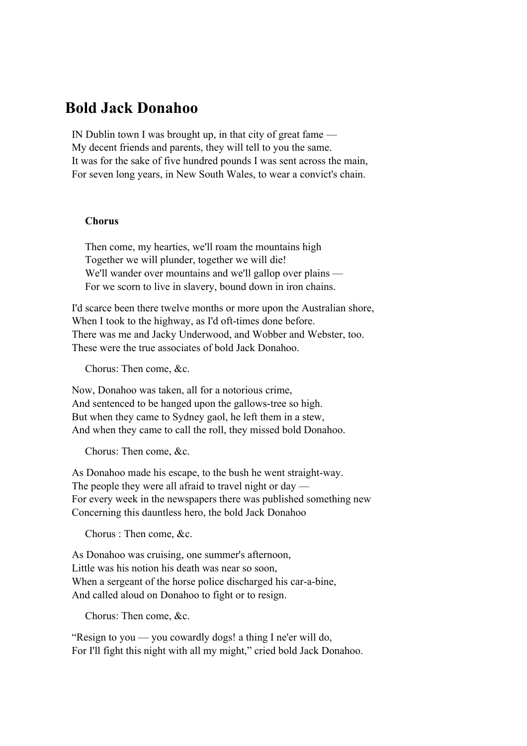# **Bold Jack Donahoo**

IN Dublin town I was brought up, in that city of great fame — My decent friends and parents, they will tell to you the same. It was for the sake of five hundred pounds I was sent across the main, For seven long years, in New South Wales, to wear a convict's chain.

#### **Chorus**

 Then come, my hearties, we'll roam the mountains high Together we will plunder, together we will die! We'll wander over mountains and we'll gallop over plains — For we scorn to live in slavery, bound down in iron chains.

I'd scarce been there twelve months or more upon the Australian shore, When I took to the highway, as I'd oft-times done before. There was me and Jacky Underwood, and Wobber and Webster, too. These were the true associates of bold Jack Donahoo.

Chorus: Then come, &c.

Now, Donahoo was taken, all for a notorious crime, And sentenced to be hanged upon the gallows-tree so high. But when they came to Sydney gaol, he left them in a stew, And when they came to call the roll, they missed bold Donahoo.

Chorus: Then come, &c.

As Donahoo made his escape, to the bush he went straight-way. The people they were all afraid to travel night or day — For every week in the newspapers there was published something new Concerning this dauntless hero, the bold Jack Donahoo

Chorus : Then come, &c.

As Donahoo was cruising, one summer's afternoon, Little was his notion his death was near so soon, When a sergeant of the horse police discharged his car-a-bine, And called aloud on Donahoo to fight or to resign.

Chorus: Then come, &c.

"Resign to you — you cowardly dogs! a thing I ne'er will do, For I'll fight this night with all my might," cried bold Jack Donahoo.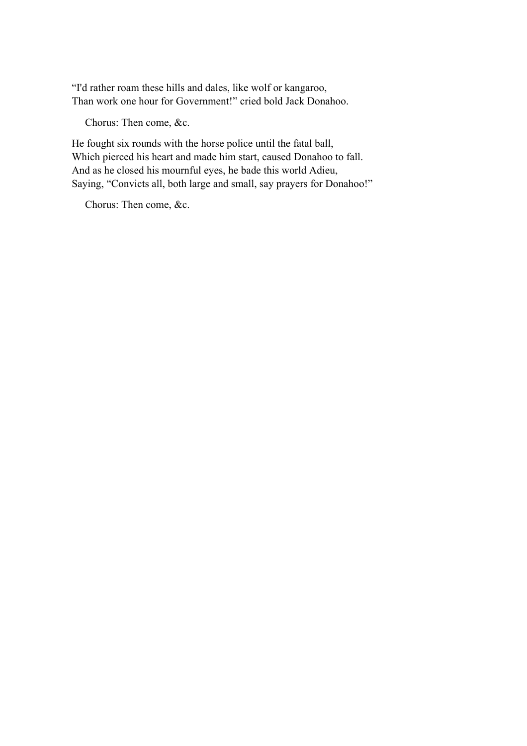"I'd rather roam these hills and dales, like wolf or kangaroo, Than work one hour for Government!" cried bold Jack Donahoo.

Chorus: Then come, &c.

He fought six rounds with the horse police until the fatal ball, Which pierced his heart and made him start, caused Donahoo to fall. And as he closed his mournful eyes, he bade this world Adieu, Saying, "Convicts all, both large and small, say prayers for Donahoo!"

Chorus: Then come, &c.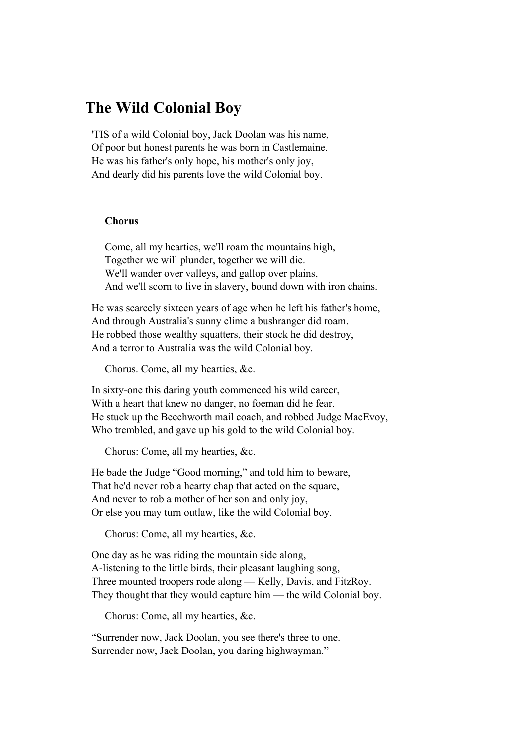### **The Wild Colonial Boy**

'TIS of a wild Colonial boy, Jack Doolan was his name, Of poor but honest parents he was born in Castlemaine. He was his father's only hope, his mother's only joy, And dearly did his parents love the wild Colonial boy.

#### **Chorus**

 Come, all my hearties, we'll roam the mountains high, Together we will plunder, together we will die. We'll wander over valleys, and gallop over plains, And we'll scorn to live in slavery, bound down with iron chains.

He was scarcely sixteen years of age when he left his father's home, And through Australia's sunny clime a bushranger did roam. He robbed those wealthy squatters, their stock he did destroy, And a terror to Australia was the wild Colonial boy.

Chorus. Come, all my hearties, &c.

In sixty-one this daring youth commenced his wild career, With a heart that knew no danger, no foeman did he fear. He stuck up the Beechworth mail coach, and robbed Judge MacEvoy, Who trembled, and gave up his gold to the wild Colonial boy.

Chorus: Come, all my hearties, &c.

He bade the Judge "Good morning," and told him to beware, That he'd never rob a hearty chap that acted on the square, And never to rob a mother of her son and only joy, Or else you may turn outlaw, like the wild Colonial boy.

Chorus: Come, all my hearties, &c.

One day as he was riding the mountain side along, A-listening to the little birds, their pleasant laughing song, Three mounted troopers rode along — Kelly, Davis, and FitzRoy. They thought that they would capture him — the wild Colonial boy.

Chorus: Come, all my hearties, &c.

"Surrender now, Jack Doolan, you see there's three to one. Surrender now, Jack Doolan, you daring highwayman."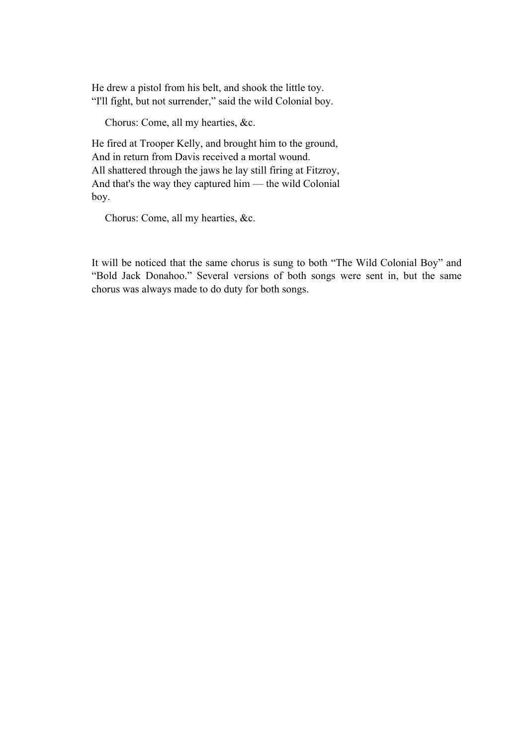He drew a pistol from his belt, and shook the little toy. "I'll fight, but not surrender," said the wild Colonial boy.

Chorus: Come, all my hearties, &c.

He fired at Trooper Kelly, and brought him to the ground, And in return from Davis received a mortal wound. All shattered through the jaws he lay still firing at Fitzroy, And that's the way they captured him — the wild Colonial boy.

Chorus: Come, all my hearties, &c.

It will be noticed that the same chorus is sung to both "The Wild Colonial Boy" and "Bold Jack Donahoo." Several versions of both songs were sent in, but the same chorus was always made to do duty for both songs.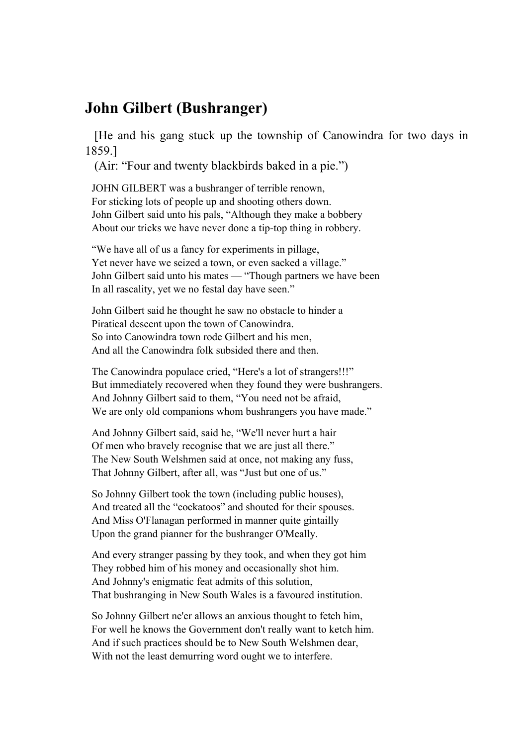# **John Gilbert (Bushranger)**

 [He and his gang stuck up the township of Canowindra for two days in 1859.]

(Air: "Four and twenty blackbirds baked in a pie.")

JOHN GILBERT was a bushranger of terrible renown, For sticking lots of people up and shooting others down. John Gilbert said unto his pals, "Although they make a bobbery About our tricks we have never done a tip-top thing in robbery.

"We have all of us a fancy for experiments in pillage, Yet never have we seized a town, or even sacked a village." John Gilbert said unto his mates — "Though partners we have been In all rascality, yet we no festal day have seen."

John Gilbert said he thought he saw no obstacle to hinder a Piratical descent upon the town of Canowindra. So into Canowindra town rode Gilbert and his men, And all the Canowindra folk subsided there and then.

The Canowindra populace cried, "Here's a lot of strangers!!!" But immediately recovered when they found they were bushrangers. And Johnny Gilbert said to them, "You need not be afraid, We are only old companions whom bushrangers you have made."

And Johnny Gilbert said, said he, "We'll never hurt a hair Of men who bravely recognise that we are just all there." The New South Welshmen said at once, not making any fuss, That Johnny Gilbert, after all, was "Just but one of us."

So Johnny Gilbert took the town (including public houses), And treated all the "cockatoos" and shouted for their spouses. And Miss O'Flanagan performed in manner quite gintailly Upon the grand pianner for the bushranger O'Meally.

And every stranger passing by they took, and when they got him They robbed him of his money and occasionally shot him. And Johnny's enigmatic feat admits of this solution, That bushranging in New South Wales is a favoured institution.

So Johnny Gilbert ne'er allows an anxious thought to fetch him, For well he knows the Government don't really want to ketch him. And if such practices should be to New South Welshmen dear, With not the least demurring word ought we to interfere.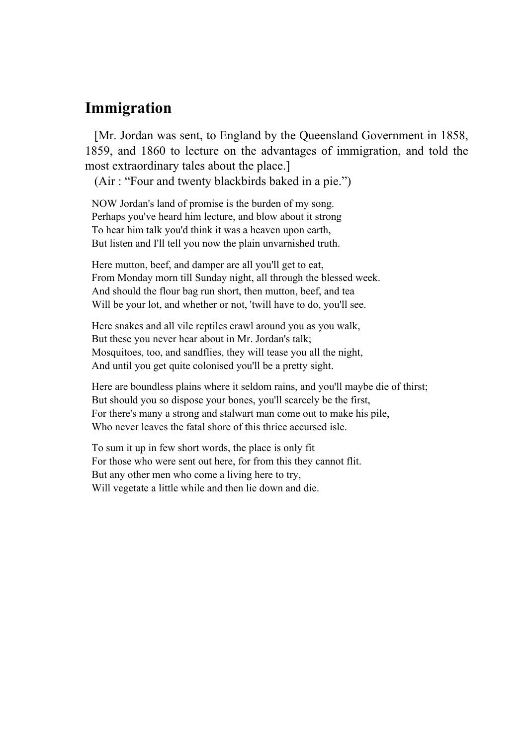# **Immigration**

 [Mr. Jordan was sent, to England by the Queensland Government in 1858, 1859, and 1860 to lecture on the advantages of immigration, and told the most extraordinary tales about the place.]

(Air : "Four and twenty blackbirds baked in a pie.")

NOW Jordan's land of promise is the burden of my song. Perhaps you've heard him lecture, and blow about it strong To hear him talk you'd think it was a heaven upon earth, But listen and I'll tell you now the plain unvarnished truth.

Here mutton, beef, and damper are all you'll get to eat, From Monday morn till Sunday night, all through the blessed week. And should the flour bag run short, then mutton, beef, and tea Will be your lot, and whether or not, 'twill have to do, you'll see.

Here snakes and all vile reptiles crawl around you as you walk, But these you never hear about in Mr. Jordan's talk; Mosquitoes, too, and sandflies, they will tease you all the night, And until you get quite colonised you'll be a pretty sight.

Here are boundless plains where it seldom rains, and you'll maybe die of thirst; But should you so dispose your bones, you'll scarcely be the first, For there's many a strong and stalwart man come out to make his pile, Who never leaves the fatal shore of this thrice accursed isle.

To sum it up in few short words, the place is only fit For those who were sent out here, for from this they cannot flit. But any other men who come a living here to try, Will vegetate a little while and then lie down and die.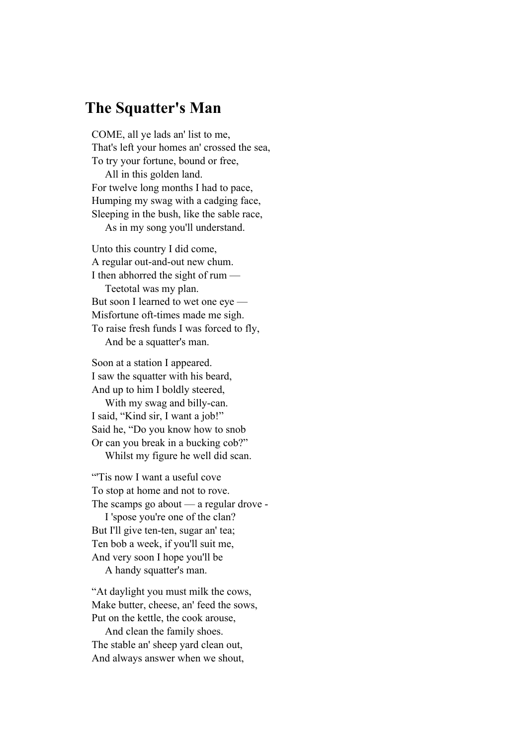### **The Squatter's Man**

COME, all ye lads an' list to me, That's left your homes an' crossed the sea, To try your fortune, bound or free, All in this golden land. For twelve long months I had to pace, Humping my swag with a cadging face, Sleeping in the bush, like the sable race,

As in my song you'll understand.

Unto this country I did come, A regular out-and-out new chum. I then abhorred the sight of rum — Teetotal was my plan. But soon I learned to wet one eye — Misfortune oft-times made me sigh. To raise fresh funds I was forced to fly, And be a squatter's man.

Soon at a station I appeared. I saw the squatter with his beard, And up to him I boldly steered,

 With my swag and billy-can. I said, "Kind sir, I want a job!" Said he, "Do you know how to snob Or can you break in a bucking cob?" Whilst my figure he well did scan.

"'Tis now I want a useful cove To stop at home and not to rove. The scamps go about — a regular drove -

 I 'spose you're one of the clan? But I'll give ten-ten, sugar an' tea; Ten bob a week, if you'll suit me, And very soon I hope you'll be A handy squatter's man.

"At daylight you must milk the cows, Make butter, cheese, an' feed the sows, Put on the kettle, the cook arouse,

 And clean the family shoes. The stable an' sheep yard clean out, And always answer when we shout,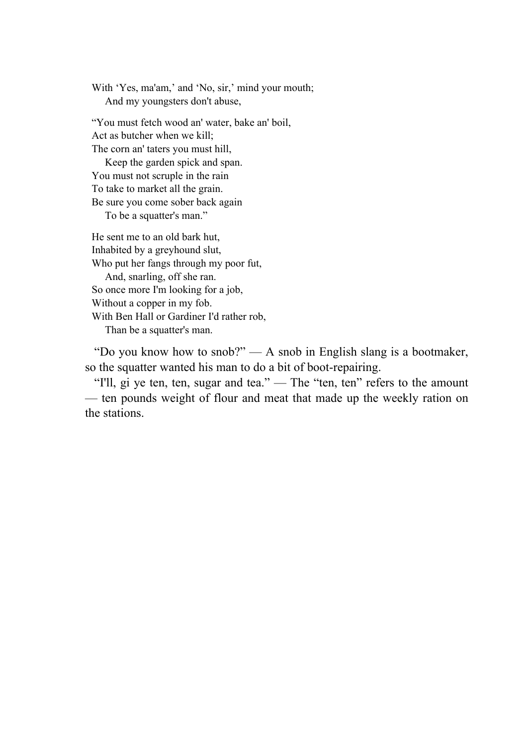With 'Yes, ma'am,' and 'No, sir,' mind your mouth; And my youngsters don't abuse,

"You must fetch wood an' water, bake an' boil, Act as butcher when we kill; The corn an' taters you must hill, Keep the garden spick and span. You must not scruple in the rain To take to market all the grain. Be sure you come sober back again To be a squatter's man."

He sent me to an old bark hut, Inhabited by a greyhound slut, Who put her fangs through my poor fut, And, snarling, off she ran. So once more I'm looking for a job, Without a copper in my fob. With Ben Hall or Gardiner I'd rather rob, Than be a squatter's man.

 "Do you know how to snob?" — A snob in English slang is a bootmaker, so the squatter wanted his man to do a bit of boot-repairing.

 "I'll, gi ye ten, ten, sugar and tea." — The "ten, ten" refers to the amount — ten pounds weight of flour and meat that made up the weekly ration on the stations.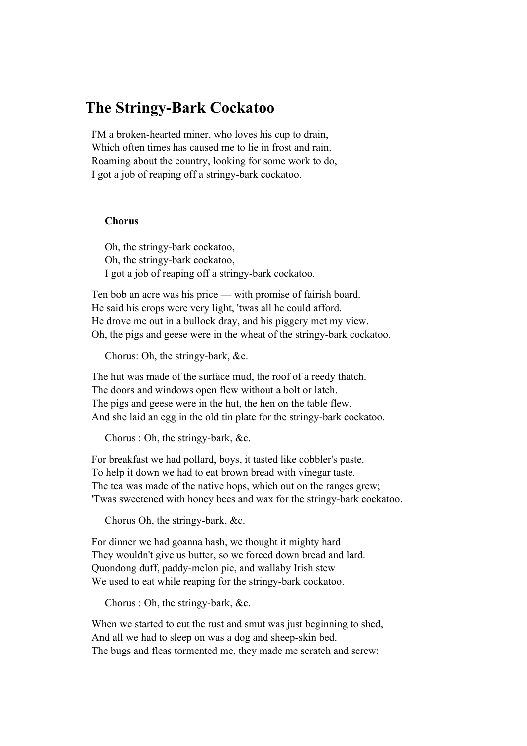### **The Stringy-Bark Cockatoo**

I'M a broken-hearted miner, who loves his cup to drain, Which often times has caused me to lie in frost and rain. Roaming about the country, looking for some work to do, I got a job of reaping off a stringy-bark cockatoo.

#### **Chorus**

 Oh, the stringy-bark cockatoo, Oh, the stringy-bark cockatoo, I got a job of reaping off a stringy-bark cockatoo.

Ten bob an acre was his price — with promise of fairish board. He said his crops were very light, 'twas all he could afford. He drove me out in a bullock dray, and his piggery met my view. Oh, the pigs and geese were in the wheat of the stringy-bark cockatoo.

Chorus: Oh, the stringy-bark, &c.

The hut was made of the surface mud, the roof of a reedy thatch. The doors and windows open flew without a bolt or latch. The pigs and geese were in the hut, the hen on the table flew, And she laid an egg in the old tin plate for the stringy-bark cockatoo.

Chorus : Oh, the stringy-bark, &c.

For breakfast we had pollard, boys, it tasted like cobbler's paste. To help it down we had to eat brown bread with vinegar taste. The tea was made of the native hops, which out on the ranges grew; 'Twas sweetened with honey bees and wax for the stringy-bark cockatoo.

Chorus Oh, the stringy-bark, &c.

For dinner we had goanna hash, we thought it mighty hard They wouldn't give us butter, so we forced down bread and lard. Quondong duff, paddy-melon pie, and wallaby Irish stew We used to eat while reaping for the stringy-bark cockatoo.

Chorus : Oh, the stringy-bark, &c.

When we started to cut the rust and smut was just beginning to shed, And all we had to sleep on was a dog and sheep-skin bed. The bugs and fleas tormented me, they made me scratch and screw;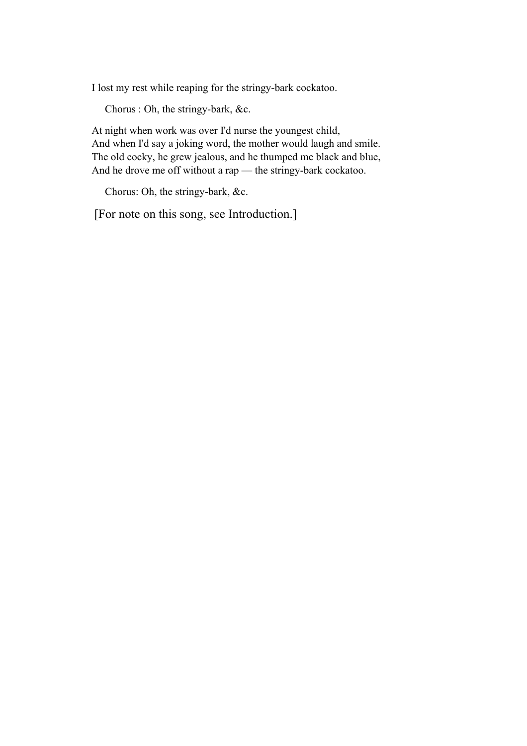I lost my rest while reaping for the stringy-bark cockatoo.

Chorus : Oh, the stringy-bark, &c.

At night when work was over I'd nurse the youngest child, And when I'd say a joking word, the mother would laugh and smile. The old cocky, he grew jealous, and he thumped me black and blue, And he drove me off without a rap — the stringy-bark cockatoo.

Chorus: Oh, the stringy-bark, &c.

[For note on this song, see Introduction.]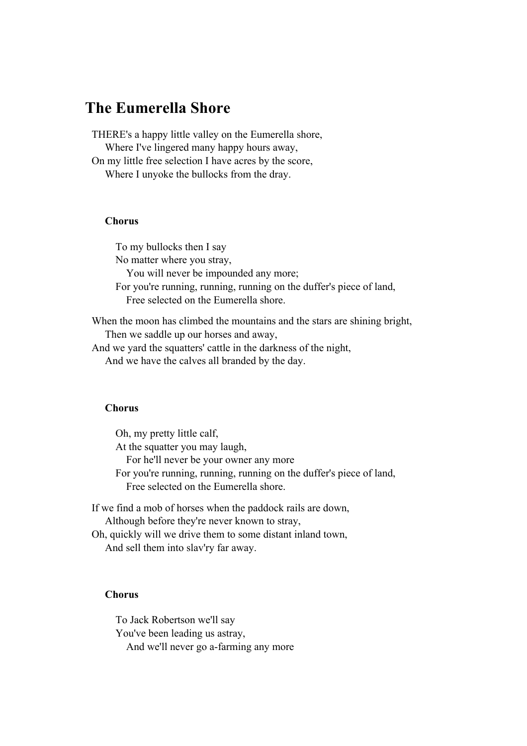# **The Eumerella Shore**

THERE's a happy little valley on the Eumerella shore, Where I've lingered many happy hours away,

On my little free selection I have acres by the score, Where I unyoke the bullocks from the dray.

#### **Chorus**

 To my bullocks then I say No matter where you stray, You will never be impounded any more; For you're running, running, running on the duffer's piece of land, Free selected on the Eumerella shore.

When the moon has climbed the mountains and the stars are shining bright, Then we saddle up our horses and away,

And we yard the squatters' cattle in the darkness of the night,

And we have the calves all branded by the day.

#### **Chorus**

 Oh, my pretty little calf, At the squatter you may laugh, For he'll never be your owner any more For you're running, running, running on the duffer's piece of land, Free selected on the Eumerella shore.

If we find a mob of horses when the paddock rails are down, Although before they're never known to stray, Oh, quickly will we drive them to some distant inland town, And sell them into slav'ry far away.

#### **Chorus**

 To Jack Robertson we'll say You've been leading us astray, And we'll never go a-farming any more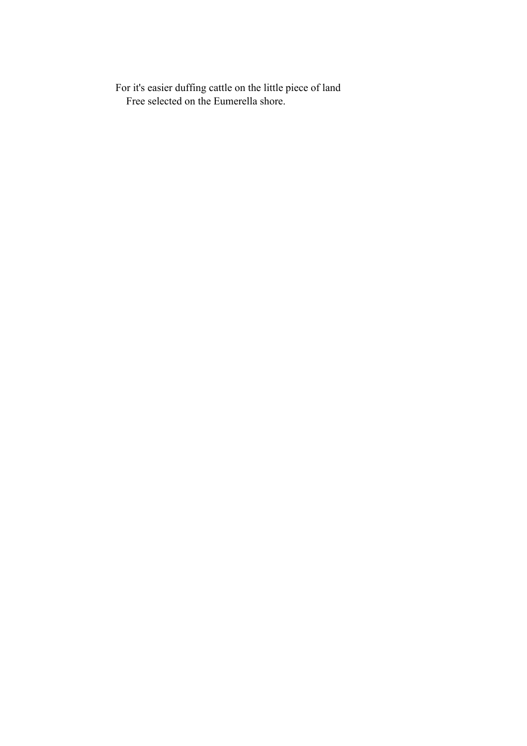For it's easier duffing cattle on the little piece of land Free selected on the Eumerella shore.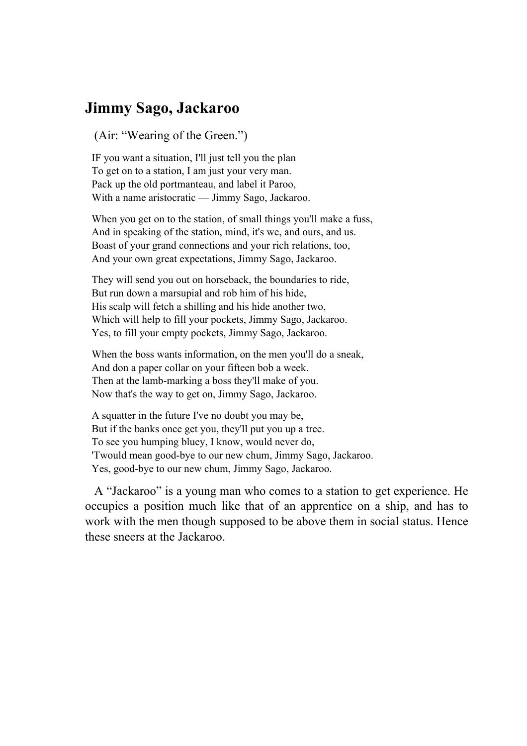## **Jimmy Sago, Jackaroo**

(Air: "Wearing of the Green.")

IF you want a situation, I'll just tell you the plan To get on to a station, I am just your very man. Pack up the old portmanteau, and label it Paroo, With a name aristocratic — Jimmy Sago, Jackaroo.

When you get on to the station, of small things you'll make a fuss, And in speaking of the station, mind, it's we, and ours, and us. Boast of your grand connections and your rich relations, too, And your own great expectations, Jimmy Sago, Jackaroo.

They will send you out on horseback, the boundaries to ride, But run down a marsupial and rob him of his hide, His scalp will fetch a shilling and his hide another two, Which will help to fill your pockets, Jimmy Sago, Jackaroo. Yes, to fill your empty pockets, Jimmy Sago, Jackaroo.

When the boss wants information, on the men you'll do a sneak, And don a paper collar on your fifteen bob a week. Then at the lamb-marking a boss they'll make of you. Now that's the way to get on, Jimmy Sago, Jackaroo.

A squatter in the future I've no doubt you may be, But if the banks once get you, they'll put you up a tree. To see you humping bluey, I know, would never do, 'Twould mean good-bye to our new chum, Jimmy Sago, Jackaroo. Yes, good-bye to our new chum, Jimmy Sago, Jackaroo.

 A "Jackaroo" is a young man who comes to a station to get experience. He occupies a position much like that of an apprentice on a ship, and has to work with the men though supposed to be above them in social status. Hence these sneers at the Jackaroo.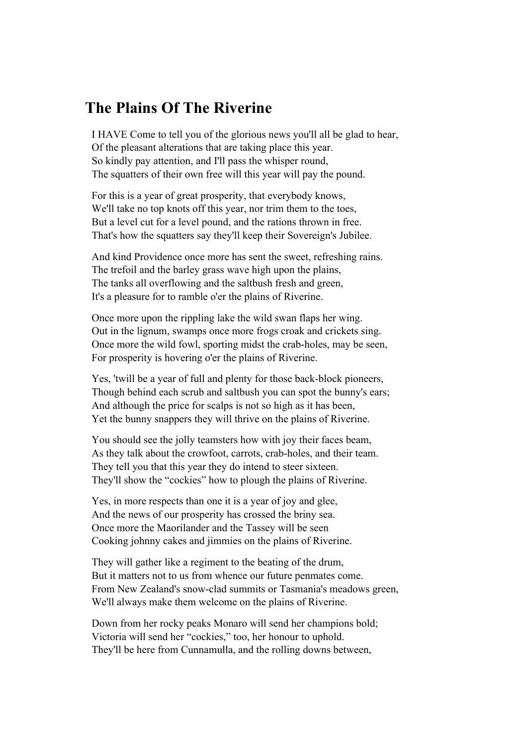# **The Plains Of The Riverine**

I HAVE Come to tell you of the glorious news you'll all be glad to hear, Of the pleasant alterations that are taking place this year. So kindly pay attention, and I'll pass the whisper round, The squatters of their own free will this year will pay the pound.

For this is a year of great prosperity, that everybody knows, We'll take no top knots off this year, nor trim them to the toes, But a level cut for a level pound, and the rations thrown in free. That's how the squatters say they'll keep their Sovereign's Jubilee.

And kind Providence once more has sent the sweet, refreshing rains. The trefoil and the barley grass wave high upon the plains, The tanks all overflowing and the saltbush fresh and green, It's a pleasure for to ramble o'er the plains of Riverine.

Once more upon the rippling lake the wild swan flaps her wing. Out in the lignum, swamps once more frogs croak and crickets sing. Once more the wild fowl, sporting midst the crab-holes, may be seen, For prosperity is hovering o'er the plains of Riverine.

Yes, 'twill be a year of full and plenty for those back-block pioneers, Though behind each scrub and saltbush you can spot the bunny's ears; And although the price for scalps is not so high as it has been, Yet the bunny snappers they will thrive on the plains of Riverine.

You should see the jolly teamsters how with joy their faces beam, As they talk about the crowfoot, carrots, crab-holes, and their team. They tell you that this year they do intend to steer sixteen. They'll show the "cockies" how to plough the plains of Riverine.

Yes, in more respects than one it is a year of joy and glee, And the news of our prosperity has crossed the briny sea. Once more the Maorilander and the Tassey will be seen Cooking johnny cakes and jimmies on the plains of Riverine.

They will gather like a regiment to the beating of the drum, But it matters not to us from whence our future penmates come. From New Zealand's snow-clad summits or Tasmania's meadows green, We'll always make them welcome on the plains of Riverine.

Down from her rocky peaks Monaro will send her champions bold; Victoria will send her "cockies," too, her honour to uphold. They'll be here from Cunnamulla, and the rolling downs between,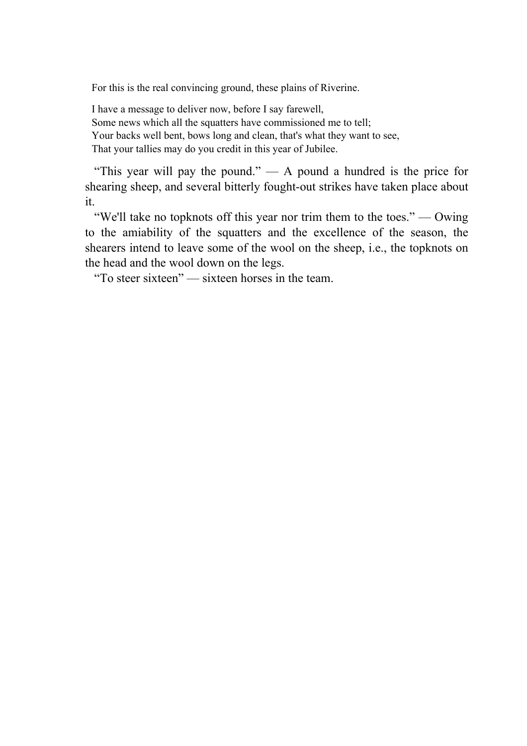For this is the real convincing ground, these plains of Riverine.

I have a message to deliver now, before I say farewell, Some news which all the squatters have commissioned me to tell; Your backs well bent, bows long and clean, that's what they want to see, That your tallies may do you credit in this year of Jubilee.

 "This year will pay the pound." — A pound a hundred is the price for shearing sheep, and several bitterly fought-out strikes have taken place about it.

 "We'll take no topknots off this year nor trim them to the toes." — Owing to the amiability of the squatters and the excellence of the season, the shearers intend to leave some of the wool on the sheep, i.e., the topknots on the head and the wool down on the legs.

"To steer sixteen" — sixteen horses in the team.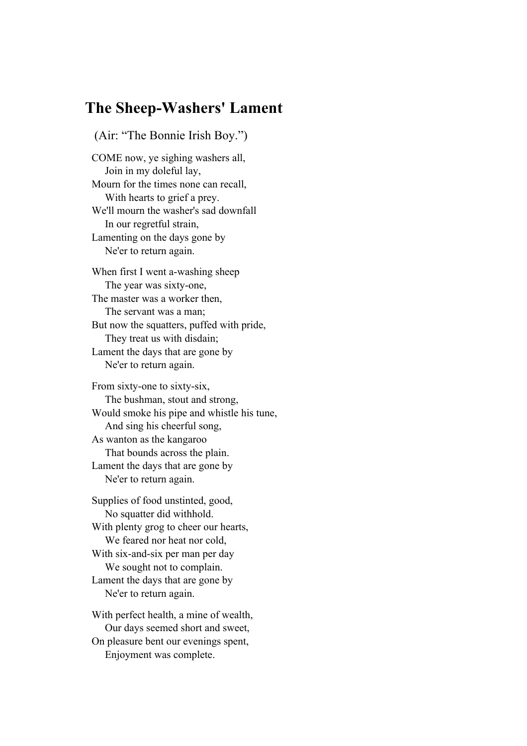### **The Sheep-Washers' Lament**

(Air: "The Bonnie Irish Boy.")

COME now, ye sighing washers all, Join in my doleful lay, Mourn for the times none can recall, With hearts to grief a prey. We'll mourn the washer's sad downfall In our regretful strain, Lamenting on the days gone by Ne'er to return again.

When first I went a-washing sheep The year was sixty-one, The master was a worker then, The servant was a man; But now the squatters, puffed with pride, They treat us with disdain; Lament the days that are gone by Ne'er to return again.

From sixty-one to sixty-six, The bushman, stout and strong, Would smoke his pipe and whistle his tune, And sing his cheerful song, As wanton as the kangaroo That bounds across the plain. Lament the days that are gone by Ne'er to return again.

Supplies of food unstinted, good, No squatter did withhold. With plenty grog to cheer our hearts, We feared nor heat nor cold, With six-and-six per man per day We sought not to complain. Lament the days that are gone by Ne'er to return again.

With perfect health, a mine of wealth, Our days seemed short and sweet, On pleasure bent our evenings spent, Enjoyment was complete.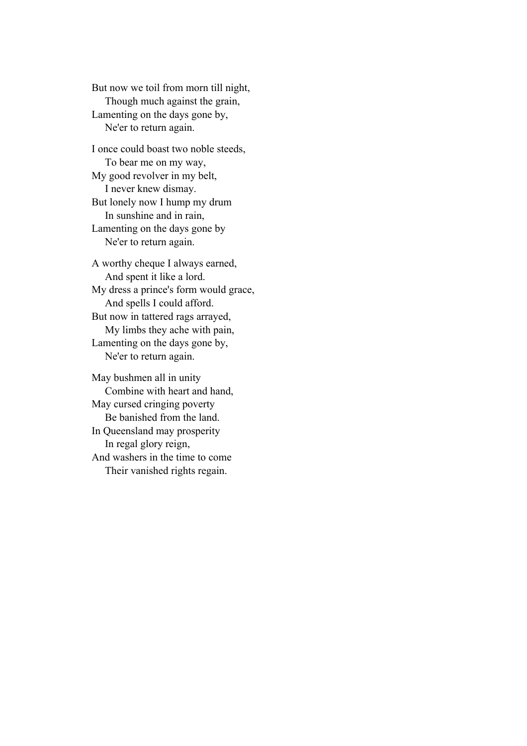But now we toil from morn till night, Though much against the grain, Lamenting on the days gone by, Ne'er to return again.

I once could boast two noble steeds, To bear me on my way, My good revolver in my belt, I never knew dismay. But lonely now I hump my drum In sunshine and in rain, Lamenting on the days gone by Ne'er to return again.

A worthy cheque I always earned, And spent it like a lord. My dress a prince's form would grace, And spells I could afford. But now in tattered rags arrayed, My limbs they ache with pain, Lamenting on the days gone by, Ne'er to return again.

May bushmen all in unity Combine with heart and hand, May cursed cringing poverty Be banished from the land. In Queensland may prosperity In regal glory reign, And washers in the time to come Their vanished rights regain.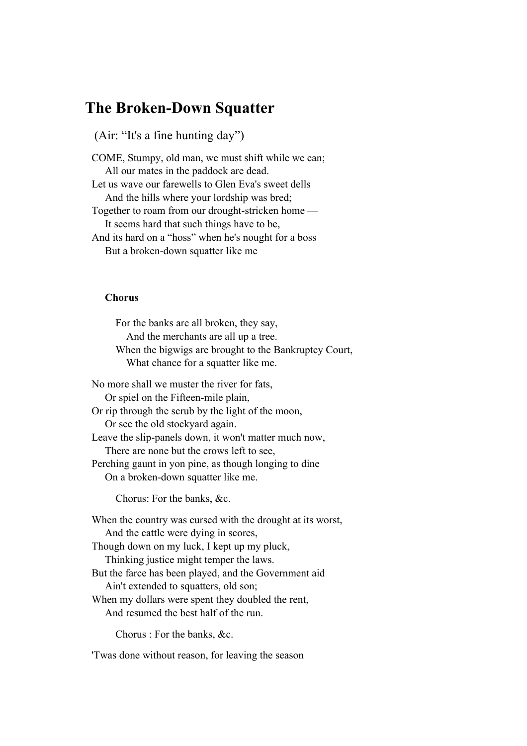### **The Broken-Down Squatter**

(Air: "It's a fine hunting day")

COME, Stumpy, old man, we must shift while we can; All our mates in the paddock are dead. Let us wave our farewells to Glen Eva's sweet dells

And the hills where your lordship was bred;

Together to roam from our drought-stricken home — It seems hard that such things have to be,

And its hard on a "hoss" when he's nought for a boss But a broken-down squatter like me

#### **Chorus**

 For the banks are all broken, they say, And the merchants are all up a tree. When the bigwigs are brought to the Bankruptcy Court, What chance for a squatter like me.

No more shall we muster the river for fats, Or spiel on the Fifteen-mile plain,

Or rip through the scrub by the light of the moon,

Or see the old stockyard again.

Leave the slip-panels down, it won't matter much now, There are none but the crows left to see,

Perching gaunt in yon pine, as though longing to dine On a broken-down squatter like me.

Chorus: For the banks, &c.

When the country was cursed with the drought at its worst, And the cattle were dying in scores, Though down on my luck, I kept up my pluck, Thinking justice might temper the laws. But the farce has been played, and the Government aid Ain't extended to squatters, old son; When my dollars were spent they doubled the rent, And resumed the best half of the run.

Chorus : For the banks, &c.

'Twas done without reason, for leaving the season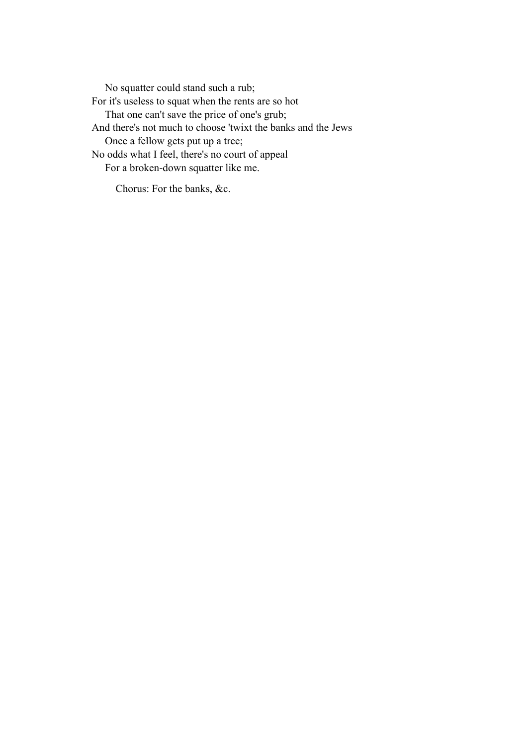No squatter could stand such a rub; For it's useless to squat when the rents are so hot That one can't save the price of one's grub; And there's not much to choose 'twixt the banks and the Jews Once a fellow gets put up a tree; No odds what I feel, there's no court of appeal For a broken-down squatter like me.

Chorus: For the banks, &c.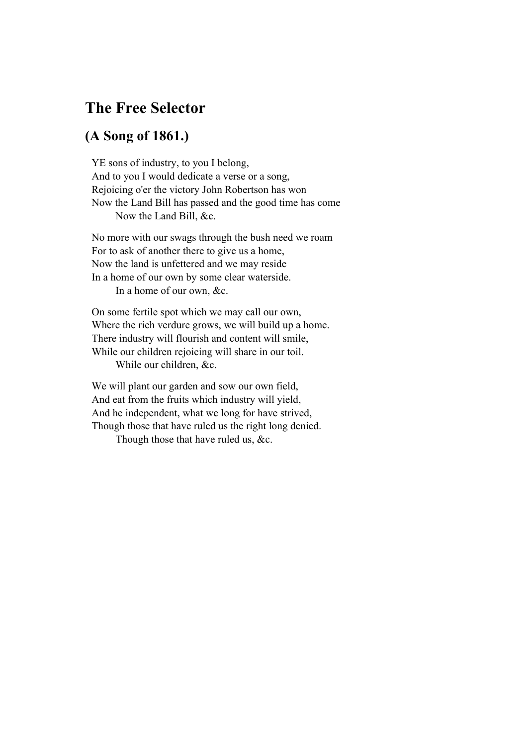# **The Free Selector**

### **(A Song of 1861.)**

YE sons of industry, to you I belong, And to you I would dedicate a verse or a song, Rejoicing o'er the victory John Robertson has won Now the Land Bill has passed and the good time has come Now the Land Bill, &c.

No more with our swags through the bush need we roam For to ask of another there to give us a home, Now the land is unfettered and we may reside In a home of our own by some clear waterside. In a home of our own, &c.

On some fertile spot which we may call our own, Where the rich verdure grows, we will build up a home. There industry will flourish and content will smile, While our children rejoicing will share in our toil. While our children, &c.

We will plant our garden and sow our own field, And eat from the fruits which industry will yield, And he independent, what we long for have strived, Though those that have ruled us the right long denied.

Though those that have ruled us, &c.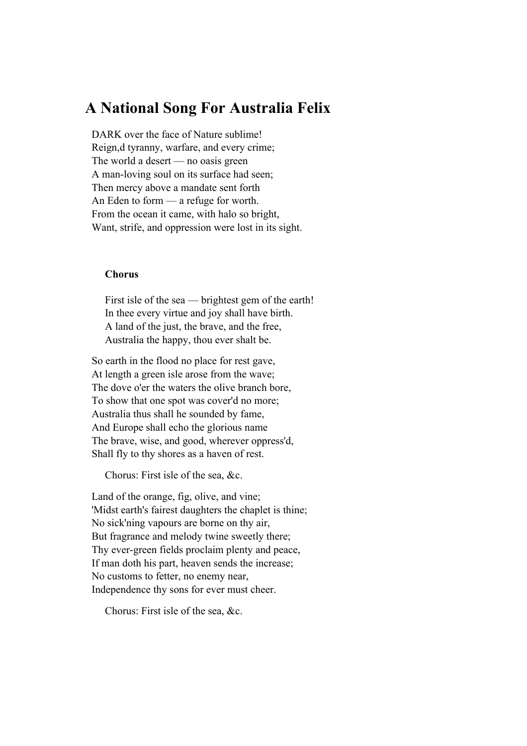### **A National Song For Australia Felix**

DARK over the face of Nature sublime! Reign,d tyranny, warfare, and every crime; The world a desert — no oasis green A man-loving soul on its surface had seen; Then mercy above a mandate sent forth An Eden to form — a refuge for worth. From the ocean it came, with halo so bright, Want, strife, and oppression were lost in its sight.

#### **Chorus**

 First isle of the sea — brightest gem of the earth! In thee every virtue and joy shall have birth. A land of the just, the brave, and the free, Australia the happy, thou ever shalt be.

So earth in the flood no place for rest gave, At length a green isle arose from the wave; The dove o'er the waters the olive branch bore, To show that one spot was cover'd no more; Australia thus shall he sounded by fame, And Europe shall echo the glorious name The brave, wise, and good, wherever oppress'd, Shall fly to thy shores as a haven of rest.

Chorus: First isle of the sea, &c.

Land of the orange, fig, olive, and vine; 'Midst earth's fairest daughters the chaplet is thine; No sick'ning vapours are borne on thy air, But fragrance and melody twine sweetly there; Thy ever-green fields proclaim plenty and peace, If man doth his part, heaven sends the increase; No customs to fetter, no enemy near, Independence thy sons for ever must cheer.

Chorus: First isle of the sea, &c.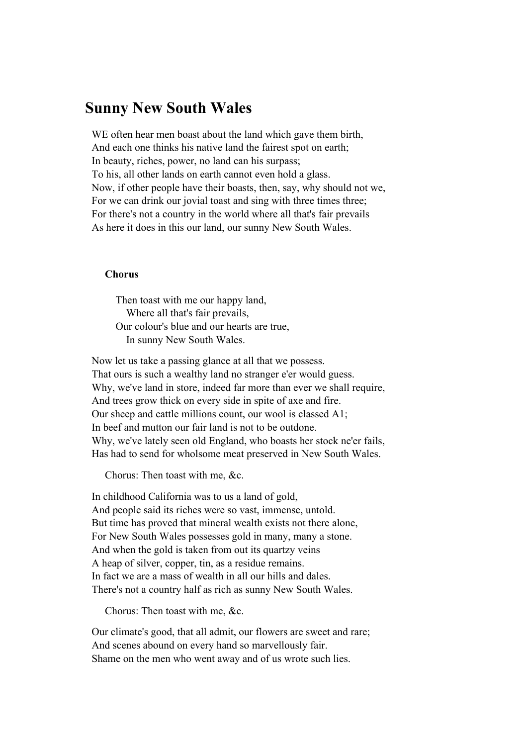### **Sunny New South Wales**

WE often hear men boast about the land which gave them birth, And each one thinks his native land the fairest spot on earth; In beauty, riches, power, no land can his surpass; To his, all other lands on earth cannot even hold a glass. Now, if other people have their boasts, then, say, why should not we, For we can drink our jovial toast and sing with three times three; For there's not a country in the world where all that's fair prevails As here it does in this our land, our sunny New South Wales.

#### **Chorus**

 Then toast with me our happy land, Where all that's fair prevails, Our colour's blue and our hearts are true, In sunny New South Wales.

Now let us take a passing glance at all that we possess. That ours is such a wealthy land no stranger e'er would guess. Why, we've land in store, indeed far more than ever we shall require, And trees grow thick on every side in spite of axe and fire. Our sheep and cattle millions count, our wool is classed A1; In beef and mutton our fair land is not to be outdone. Why, we've lately seen old England, who boasts her stock ne'er fails, Has had to send for wholsome meat preserved in New South Wales.

Chorus: Then toast with me, &c.

In childhood California was to us a land of gold, And people said its riches were so vast, immense, untold. But time has proved that mineral wealth exists not there alone, For New South Wales possesses gold in many, many a stone. And when the gold is taken from out its quartzy veins A heap of silver, copper, tin, as a residue remains. In fact we are a mass of wealth in all our hills and dales. There's not a country half as rich as sunny New South Wales.

Chorus: Then toast with me, &c.

Our climate's good, that all admit, our flowers are sweet and rare; And scenes abound on every hand so marvellously fair. Shame on the men who went away and of us wrote such lies.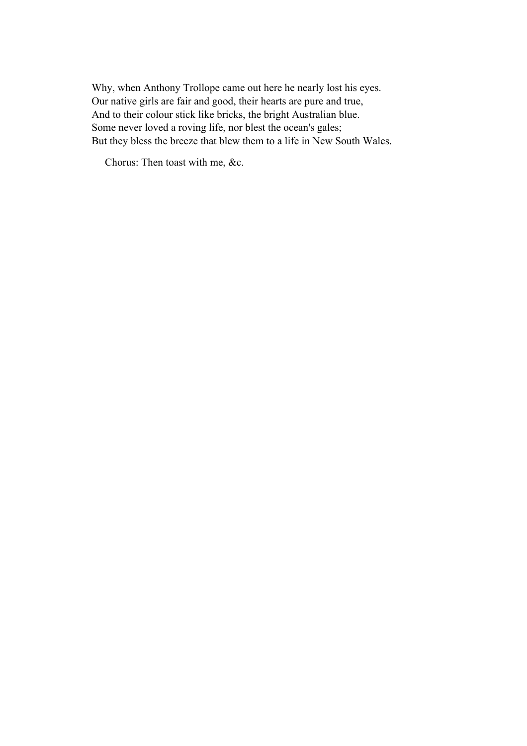Why, when Anthony Trollope came out here he nearly lost his eyes. Our native girls are fair and good, their hearts are pure and true, And to their colour stick like bricks, the bright Australian blue. Some never loved a roving life, nor blest the ocean's gales; But they bless the breeze that blew them to a life in New South Wales.

Chorus: Then toast with me, &c.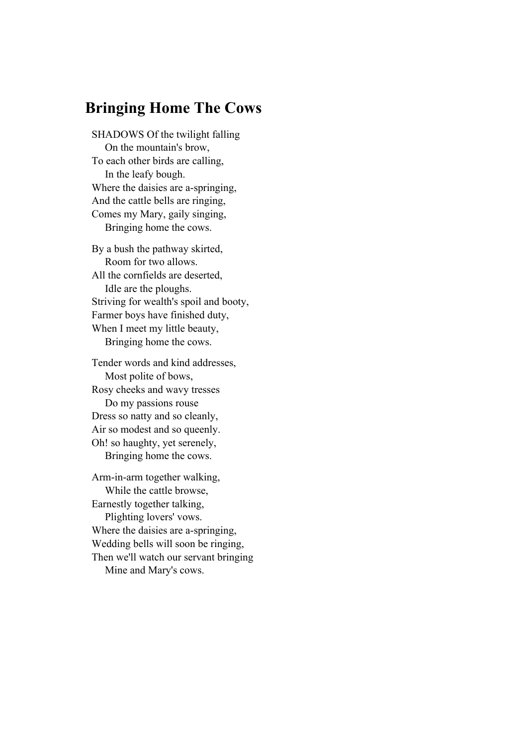### **Bringing Home The Cows**

SHADOWS Of the twilight falling On the mountain's brow, To each other birds are calling, In the leafy bough. Where the daisies are a-springing, And the cattle bells are ringing, Comes my Mary, gaily singing, Bringing home the cows.

By a bush the pathway skirted, Room for two allows. All the cornfields are deserted, Idle are the ploughs. Striving for wealth's spoil and booty, Farmer boys have finished duty, When I meet my little beauty, Bringing home the cows.

Tender words and kind addresses, Most polite of bows, Rosy cheeks and wavy tresses Do my passions rouse Dress so natty and so cleanly, Air so modest and so queenly. Oh! so haughty, yet serenely, Bringing home the cows.

Arm-in-arm together walking, While the cattle browse, Earnestly together talking, Plighting lovers' vows. Where the daisies are a-springing, Wedding bells will soon be ringing, Then we'll watch our servant bringing Mine and Mary's cows.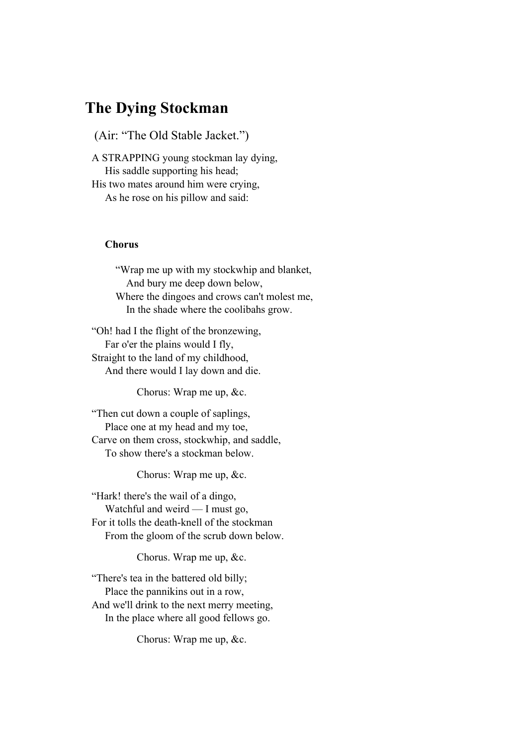## **The Dying Stockman**

(Air: "The Old Stable Jacket.")

A STRAPPING young stockman lay dying, His saddle supporting his head; His two mates around him were crying, As he rose on his pillow and said:

#### **Chorus**

 "Wrap me up with my stockwhip and blanket, And bury me deep down below, Where the dingoes and crows can't molest me, In the shade where the coolibahs grow.

"Oh! had I the flight of the bronzewing, Far o'er the plains would I fly, Straight to the land of my childhood, And there would I lay down and die.

Chorus: Wrap me up, &c.

"Then cut down a couple of saplings, Place one at my head and my toe, Carve on them cross, stockwhip, and saddle, To show there's a stockman below.

Chorus: Wrap me up, &c.

"Hark! there's the wail of a dingo, Watchful and weird — I must go, For it tolls the death-knell of the stockman From the gloom of the scrub down below.

Chorus. Wrap me up, &c.

"There's tea in the battered old billy; Place the pannikins out in a row, And we'll drink to the next merry meeting, In the place where all good fellows go.

Chorus: Wrap me up, &c.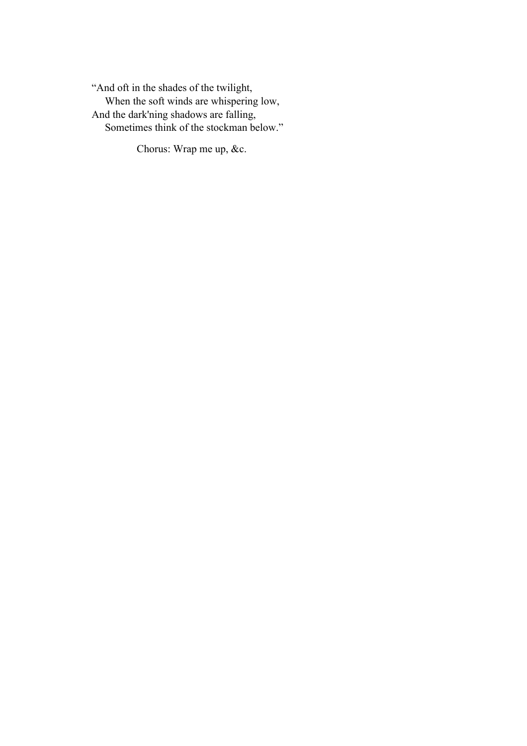"And oft in the shades of the twilight, When the soft winds are whispering low, And the dark'ning shadows are falling, Sometimes think of the stockman below."

Chorus: Wrap me up, &c.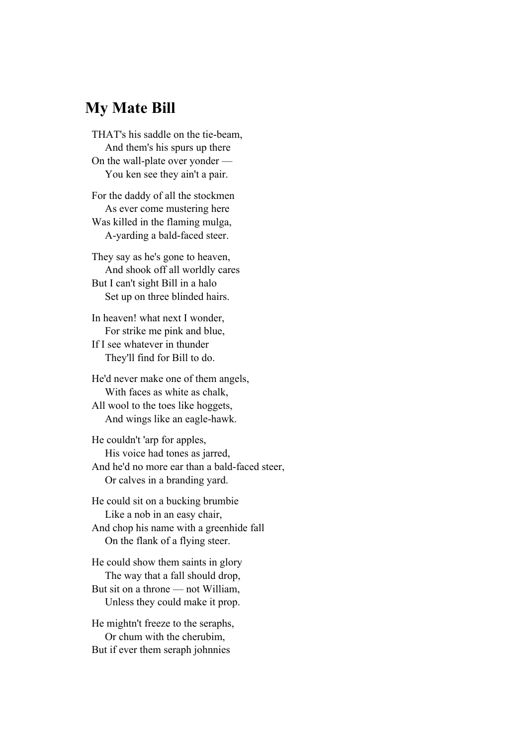# **My Mate Bill**

THAT's his saddle on the tie-beam, And them's his spurs up there On the wall-plate over yonder — You ken see they ain't a pair.

For the daddy of all the stockmen As ever come mustering here Was killed in the flaming mulga, A-yarding a bald-faced steer.

They say as he's gone to heaven, And shook off all worldly cares But I can't sight Bill in a halo Set up on three blinded hairs.

In heaven! what next I wonder, For strike me pink and blue, If I see whatever in thunder They'll find for Bill to do.

He'd never make one of them angels, With faces as white as chalk, All wool to the toes like hoggets, And wings like an eagle-hawk.

He couldn't 'arp for apples, His voice had tones as jarred, And he'd no more ear than a bald-faced steer, Or calves in a branding yard.

He could sit on a bucking brumbie Like a nob in an easy chair, And chop his name with a greenhide fall On the flank of a flying steer.

He could show them saints in glory The way that a fall should drop, But sit on a throne — not William, Unless they could make it prop.

He mightn't freeze to the seraphs, Or chum with the cherubim, But if ever them seraph johnnies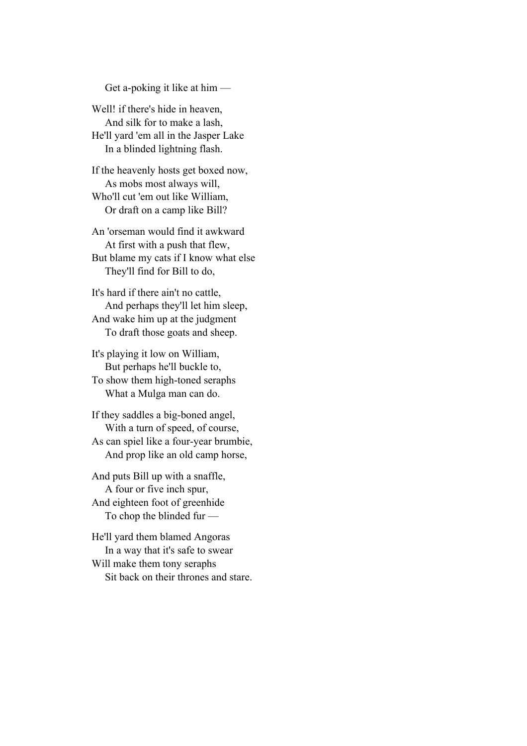Get a-poking it like at him —

Well! if there's hide in heaven, And silk for to make a lash, He'll yard 'em all in the Jasper Lake In a blinded lightning flash.

If the heavenly hosts get boxed now, As mobs most always will, Who'll cut 'em out like William, Or draft on a camp like Bill?

An 'orseman would find it awkward At first with a push that flew, But blame my cats if I know what else They'll find for Bill to do,

It's hard if there ain't no cattle, And perhaps they'll let him sleep, And wake him up at the judgment To draft those goats and sheep.

It's playing it low on William, But perhaps he'll buckle to, To show them high-toned seraphs What a Mulga man can do.

If they saddles a big-boned angel, With a turn of speed, of course, As can spiel like a four-year brumbie, And prop like an old camp horse,

And puts Bill up with a snaffle, A four or five inch spur, And eighteen foot of greenhide To chop the blinded fur —

He'll yard them blamed Angoras In a way that it's safe to swear Will make them tony seraphs Sit back on their thrones and stare.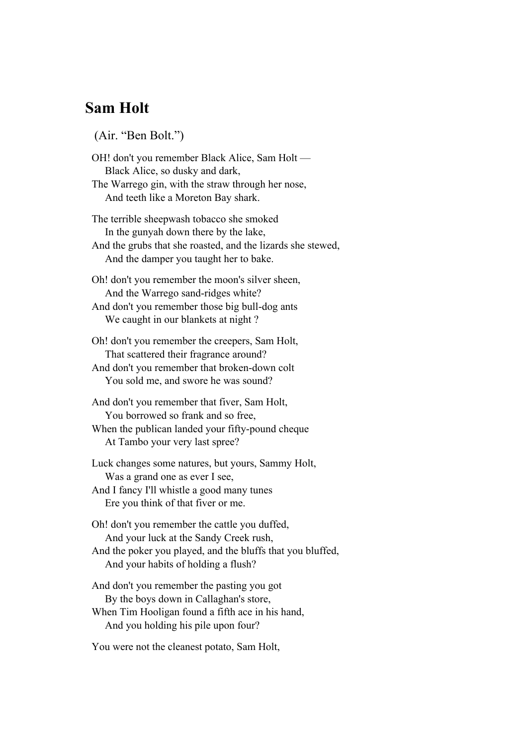## **Sam Holt**

(Air. "Ben Bolt.")

OH! don't you remember Black Alice, Sam Holt — Black Alice, so dusky and dark, The Warrego gin, with the straw through her nose, And teeth like a Moreton Bay shark. The terrible sheepwash tobacco she smoked In the gunyah down there by the lake, And the grubs that she roasted, and the lizards she stewed, And the damper you taught her to bake. Oh! don't you remember the moon's silver sheen, And the Warrego sand-ridges white? And don't you remember those big bull-dog ants We caught in our blankets at night? Oh! don't you remember the creepers, Sam Holt, That scattered their fragrance around?

And don't you remember that broken-down colt You sold me, and swore he was sound?

And don't you remember that fiver, Sam Holt, You borrowed so frank and so free, When the publican landed your fifty-pound cheque At Tambo your very last spree?

Luck changes some natures, but yours, Sammy Holt, Was a grand one as ever I see, And I fancy I'll whistle a good many tunes Ere you think of that fiver or me.

Oh! don't you remember the cattle you duffed, And your luck at the Sandy Creek rush, And the poker you played, and the bluffs that you bluffed, And your habits of holding a flush?

And don't you remember the pasting you got By the boys down in Callaghan's store, When Tim Hooligan found a fifth ace in his hand,

And you holding his pile upon four?

You were not the cleanest potato, Sam Holt,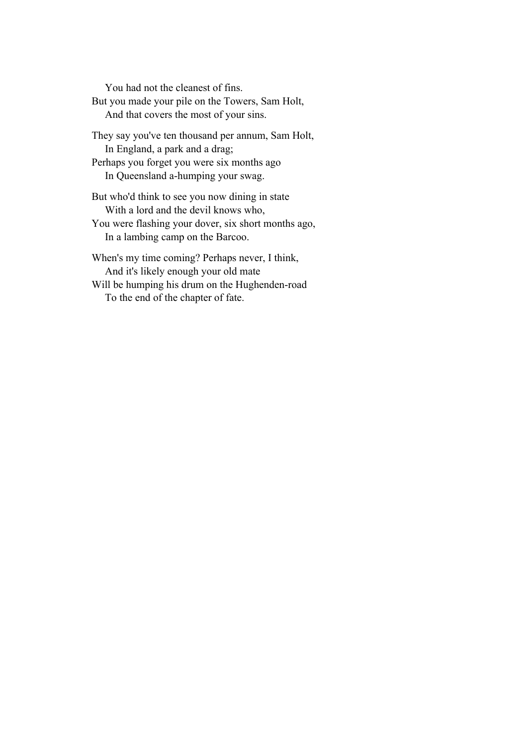You had not the cleanest of fins. But you made your pile on the Towers, Sam Holt, And that covers the most of your sins.

They say you've ten thousand per annum, Sam Holt, In England, a park and a drag;

Perhaps you forget you were six months ago In Queensland a-humping your swag.

But who'd think to see you now dining in state With a lord and the devil knows who,

You were flashing your dover, six short months ago, In a lambing camp on the Barcoo.

When's my time coming? Perhaps never, I think, And it's likely enough your old mate Will be humping his drum on the Hughenden-road

To the end of the chapter of fate.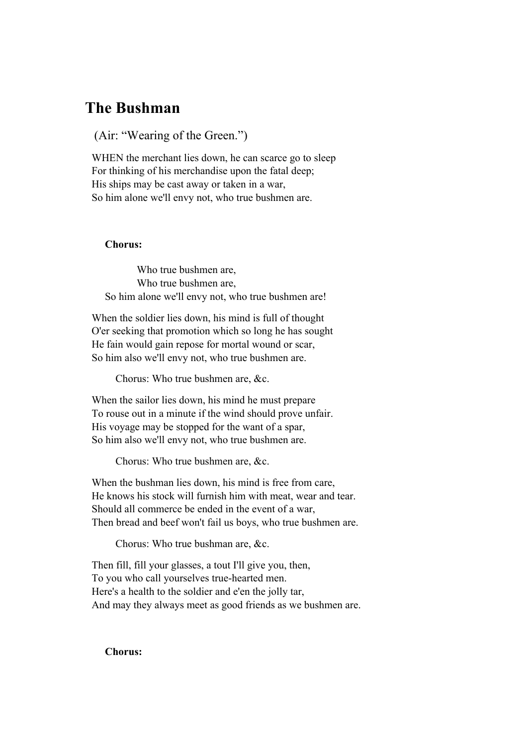### **The Bushman**

(Air: "Wearing of the Green.")

WHEN the merchant lies down, he can scarce go to sleep For thinking of his merchandise upon the fatal deep; His ships may be cast away or taken in a war, So him alone we'll envy not, who true bushmen are.

#### **Chorus:**

 Who true bushmen are, Who true bushmen are, So him alone we'll envy not, who true bushmen are!

When the soldier lies down, his mind is full of thought O'er seeking that promotion which so long he has sought He fain would gain repose for mortal wound or scar, So him also we'll envy not, who true bushmen are.

Chorus: Who true bushmen are, &c.

When the sailor lies down, his mind he must prepare To rouse out in a minute if the wind should prove unfair. His voyage may be stopped for the want of a spar, So him also we'll envy not, who true bushmen are.

Chorus: Who true bushmen are, &c.

When the bushman lies down, his mind is free from care, He knows his stock will furnish him with meat, wear and tear. Should all commerce be ended in the event of a war, Then bread and beef won't fail us boys, who true bushmen are.

Chorus: Who true bushman are, &c.

Then fill, fill your glasses, a tout I'll give you, then, To you who call yourselves true-hearted men. Here's a health to the soldier and e'en the jolly tar, And may they always meet as good friends as we bushmen are.

**Chorus:**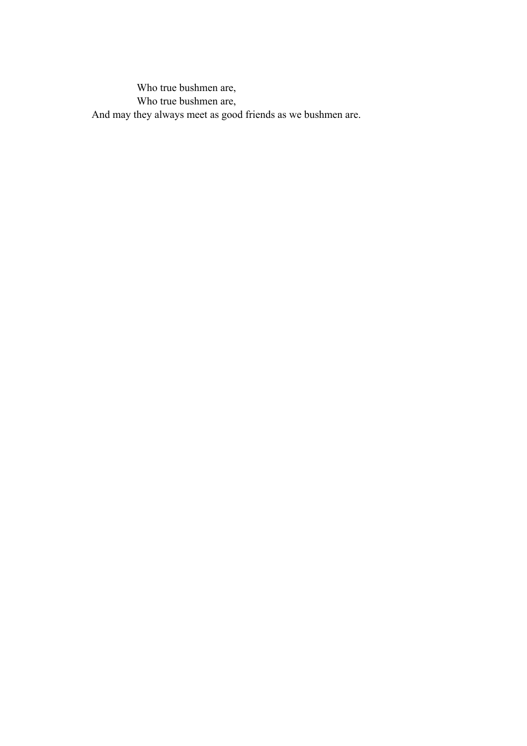Who true bushmen are, Who true bushmen are, And may they always meet as good friends as we bushmen are.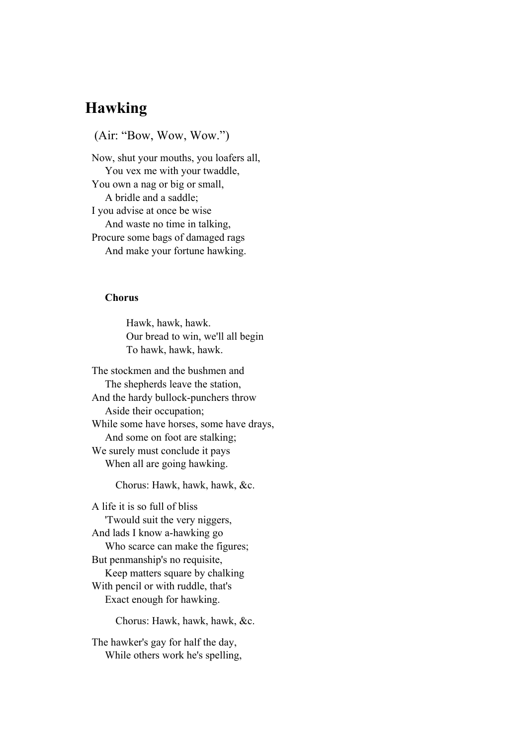# **Hawking**

(Air: "Bow, Wow, Wow.")

Now, shut your mouths, you loafers all, You vex me with your twaddle, You own a nag or big or small, A bridle and a saddle; I you advise at once be wise And waste no time in talking, Procure some bags of damaged rags And make your fortune hawking.

#### **Chorus**

 Hawk, hawk, hawk. Our bread to win, we'll all begin To hawk, hawk, hawk.

The stockmen and the bushmen and The shepherds leave the station, And the hardy bullock-punchers throw Aside their occupation; While some have horses, some have drays, And some on foot are stalking; We surely must conclude it pays When all are going hawking.

Chorus: Hawk, hawk, hawk, &c.

A life it is so full of bliss 'Twould suit the very niggers, And lads I know a-hawking go Who scarce can make the figures; But penmanship's no requisite, Keep matters square by chalking With pencil or with ruddle, that's Exact enough for hawking.

Chorus: Hawk, hawk, hawk, &c.

The hawker's gay for half the day, While others work he's spelling,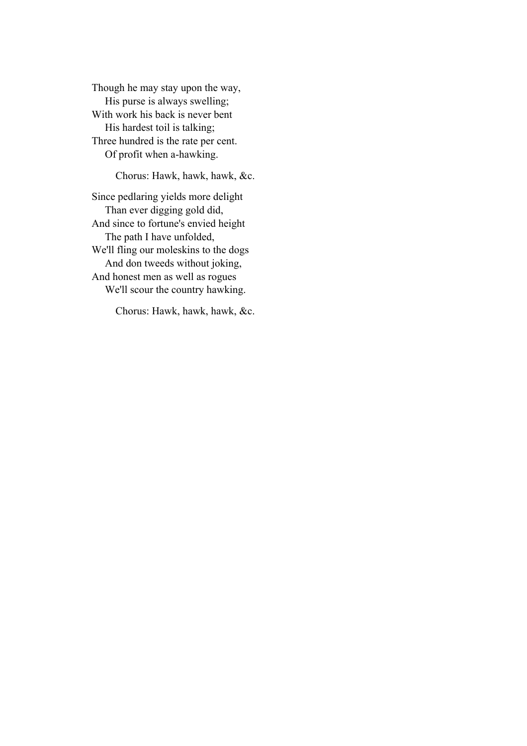Though he may stay upon the way, His purse is always swelling; With work his back is never bent His hardest toil is talking; Three hundred is the rate per cent. Of profit when a-hawking.

Chorus: Hawk, hawk, hawk, &c.

Since pedlaring yields more delight Than ever digging gold did, And since to fortune's envied height The path I have unfolded, We'll fling our moleskins to the dogs And don tweeds without joking, And honest men as well as rogues We'll scour the country hawking.

Chorus: Hawk, hawk, hawk, &c.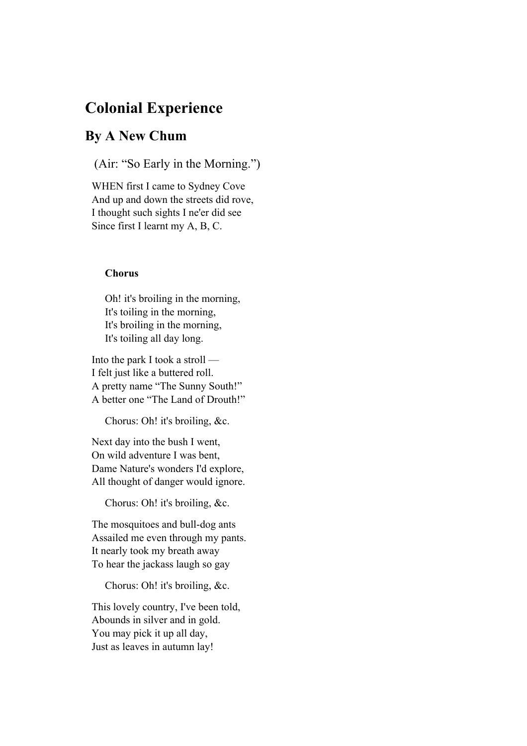# **Colonial Experience**

### **By A New Chum**

(Air: "So Early in the Morning.")

WHEN first I came to Sydney Cove And up and down the streets did rove, I thought such sights I ne'er did see Since first I learnt my A, B, C.

#### **Chorus**

 Oh! it's broiling in the morning, It's toiling in the morning, It's broiling in the morning, It's toiling all day long.

Into the park I took a stroll — I felt just like a buttered roll. A pretty name "The Sunny South!" A better one "The Land of Drouth!"

Chorus: Oh! it's broiling, &c.

Next day into the bush I went, On wild adventure I was bent, Dame Nature's wonders I'd explore, All thought of danger would ignore.

Chorus: Oh! it's broiling, &c.

The mosquitoes and bull-dog ants Assailed me even through my pants. It nearly took my breath away To hear the jackass laugh so gay

Chorus: Oh! it's broiling, &c.

This lovely country, I've been told, Abounds in silver and in gold. You may pick it up all day, Just as leaves in autumn lay!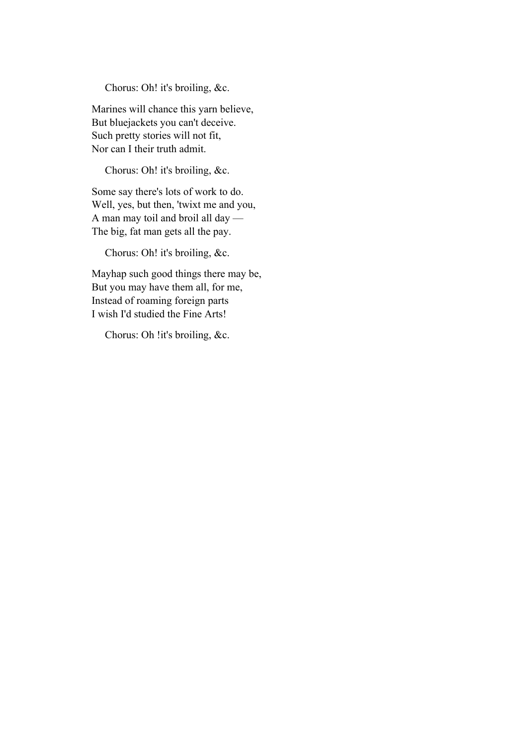Chorus: Oh! it's broiling, &c.

Marines will chance this yarn believe, But bluejackets you can't deceive. Such pretty stories will not fit, Nor can I their truth admit.

Chorus: Oh! it's broiling, &c.

Some say there's lots of work to do. Well, yes, but then, 'twixt me and you, A man may toil and broil all day — The big, fat man gets all the pay.

Chorus: Oh! it's broiling, &c.

Mayhap such good things there may be, But you may have them all, for me, Instead of roaming foreign parts I wish I'd studied the Fine Arts!

Chorus: Oh !it's broiling, &c.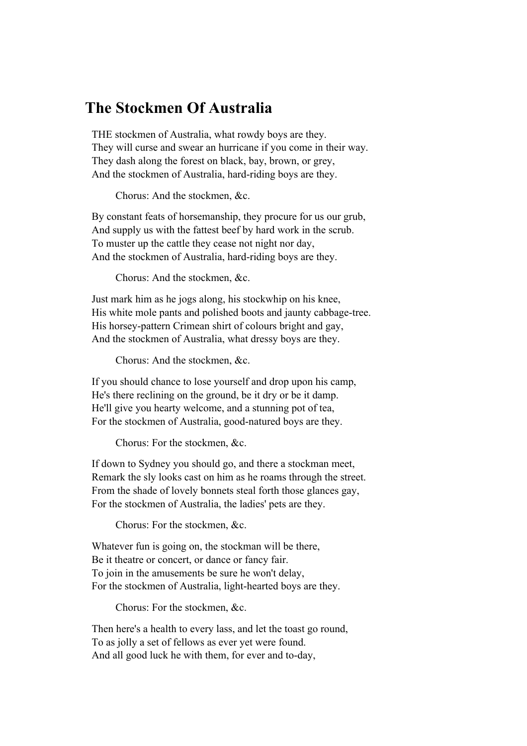### **The Stockmen Of Australia**

THE stockmen of Australia, what rowdy boys are they. They will curse and swear an hurricane if you come in their way. They dash along the forest on black, bay, brown, or grey, And the stockmen of Australia, hard-riding boys are they.

Chorus: And the stockmen, &c.

By constant feats of horsemanship, they procure for us our grub, And supply us with the fattest beef by hard work in the scrub. To muster up the cattle they cease not night nor day, And the stockmen of Australia, hard-riding boys are they.

Chorus: And the stockmen, &c.

Just mark him as he jogs along, his stockwhip on his knee, His white mole pants and polished boots and jaunty cabbage-tree. His horsey-pattern Crimean shirt of colours bright and gay, And the stockmen of Australia, what dressy boys are they.

Chorus: And the stockmen, &c.

If you should chance to lose yourself and drop upon his camp, He's there reclining on the ground, be it dry or be it damp. He'll give you hearty welcome, and a stunning pot of tea, For the stockmen of Australia, good-natured boys are they.

Chorus: For the stockmen, &c.

If down to Sydney you should go, and there a stockman meet, Remark the sly looks cast on him as he roams through the street. From the shade of lovely bonnets steal forth those glances gay, For the stockmen of Australia, the ladies' pets are they.

Chorus: For the stockmen, &c.

Whatever fun is going on, the stockman will be there, Be it theatre or concert, or dance or fancy fair. To join in the amusements be sure he won't delay, For the stockmen of Australia, light-hearted boys are they.

Chorus: For the stockmen, &c.

Then here's a health to every lass, and let the toast go round, To as jolly a set of fellows as ever yet were found. And all good luck he with them, for ever and to-day,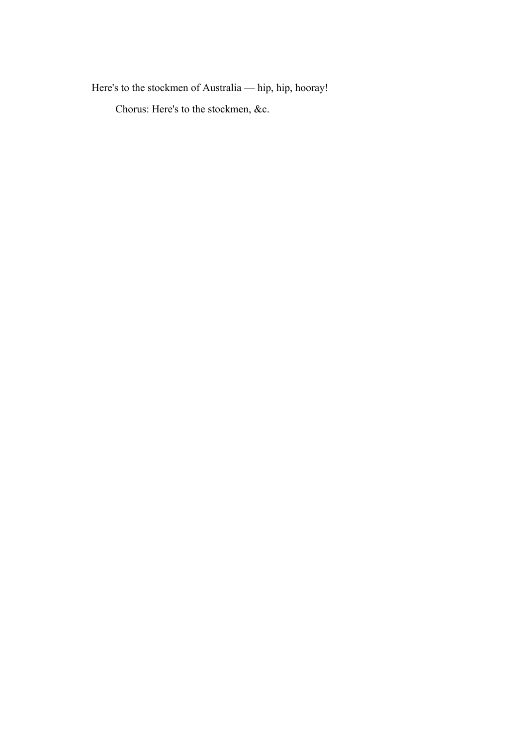Here's to the stockmen of Australia — hip, hip, hooray!

Chorus: Here's to the stockmen, &c.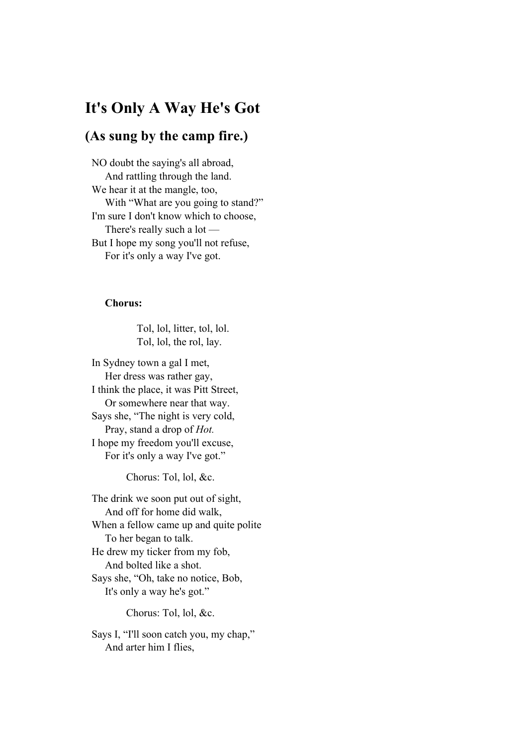# **It's Only A Way He's Got**

### **(As sung by the camp fire.)**

NO doubt the saying's all abroad, And rattling through the land. We hear it at the mangle, too, With "What are you going to stand?" I'm sure I don't know which to choose, There's really such a lot — But I hope my song you'll not refuse, For it's only a way I've got.

#### **Chorus:**

 Tol, lol, litter, tol, lol. Tol, lol, the rol, lay.

In Sydney town a gal I met, Her dress was rather gay, I think the place, it was Pitt Street, Or somewhere near that way. Says she, "The night is very cold, Pray, stand a drop of *Hot.* I hope my freedom you'll excuse, For it's only a way I've got."

Chorus: Tol, lol, &c.

The drink we soon put out of sight, And off for home did walk, When a fellow came up and quite polite To her began to talk. He drew my ticker from my fob, And bolted like a shot. Says she, "Oh, take no notice, Bob, It's only a way he's got."

Chorus: Tol, lol, &c.

Says I, "I'll soon catch you, my chap," And arter him I flies,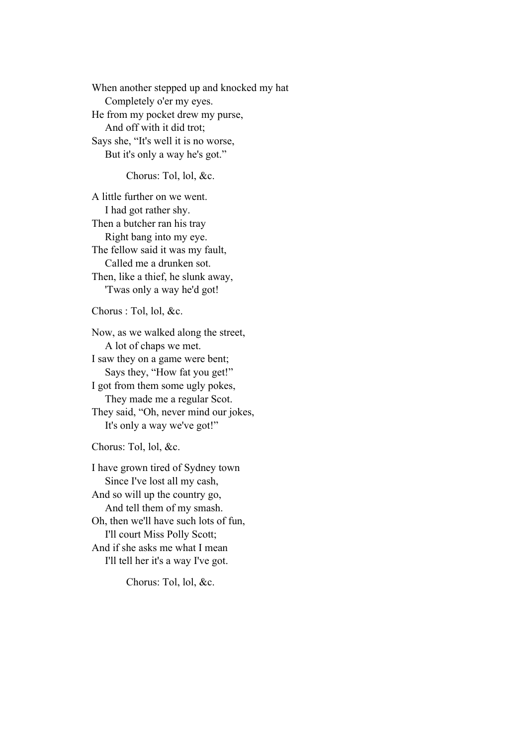When another stepped up and knocked my hat Completely o'er my eyes. He from my pocket drew my purse, And off with it did trot; Says she, "It's well it is no worse, But it's only a way he's got."

Chorus: Tol, lol, &c.

A little further on we went. I had got rather shy. Then a butcher ran his tray Right bang into my eye. The fellow said it was my fault, Called me a drunken sot. Then, like a thief, he slunk away, 'Twas only a way he'd got!

Chorus : Tol, lol, &c.

Now, as we walked along the street, A lot of chaps we met. I saw they on a game were bent; Says they, "How fat you get!"

I got from them some ugly pokes, They made me a regular Scot.

They said, "Oh, never mind our jokes, It's only a way we've got!"

Chorus: Tol, lol, &c.

I have grown tired of Sydney town Since I've lost all my cash, And so will up the country go, And tell them of my smash. Oh, then we'll have such lots of fun, I'll court Miss Polly Scott; And if she asks me what I mean I'll tell her it's a way I've got.

Chorus: Tol, lol, &c.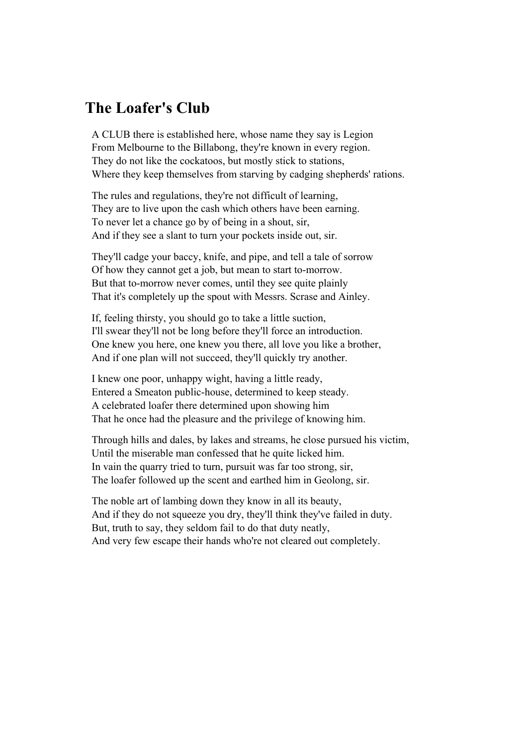# **The Loafer's Club**

A CLUB there is established here, whose name they say is Legion From Melbourne to the Billabong, they're known in every region. They do not like the cockatoos, but mostly stick to stations, Where they keep themselves from starving by cadging shepherds' rations.

The rules and regulations, they're not difficult of learning, They are to live upon the cash which others have been earning. To never let a chance go by of being in a shout, sir, And if they see a slant to turn your pockets inside out, sir.

They'll cadge your baccy, knife, and pipe, and tell a tale of sorrow Of how they cannot get a job, but mean to start to-morrow. But that to-morrow never comes, until they see quite plainly That it's completely up the spout with Messrs. Scrase and Ainley.

If, feeling thirsty, you should go to take a little suction, I'll swear they'll not be long before they'll force an introduction. One knew you here, one knew you there, all love you like a brother, And if one plan will not succeed, they'll quickly try another.

I knew one poor, unhappy wight, having a little ready, Entered a Smeaton public-house, determined to keep steady. A celebrated loafer there determined upon showing him That he once had the pleasure and the privilege of knowing him.

Through hills and dales, by lakes and streams, he close pursued his victim, Until the miserable man confessed that he quite licked him. In vain the quarry tried to turn, pursuit was far too strong, sir, The loafer followed up the scent and earthed him in Geolong, sir.

The noble art of lambing down they know in all its beauty, And if they do not squeeze you dry, they'll think they've failed in duty. But, truth to say, they seldom fail to do that duty neatly, And very few escape their hands who're not cleared out completely.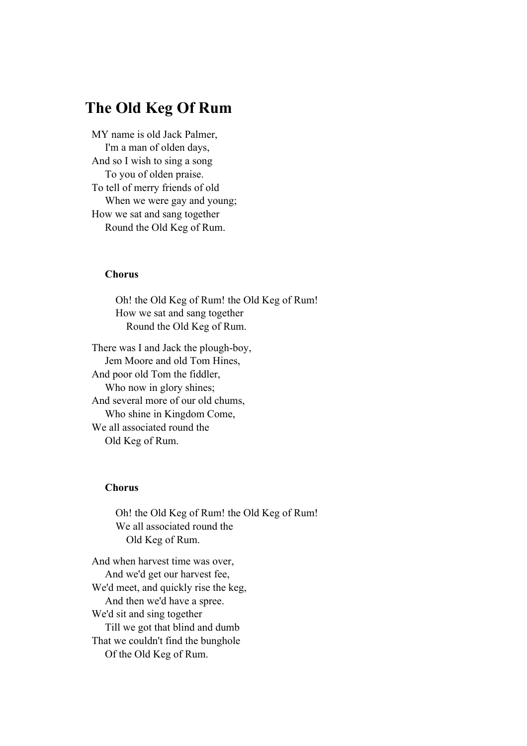# **The Old Keg Of Rum**

MY name is old Jack Palmer, I'm a man of olden days, And so I wish to sing a song To you of olden praise. To tell of merry friends of old When we were gay and young; How we sat and sang together Round the Old Keg of Rum.

#### **Chorus**

 Oh! the Old Keg of Rum! the Old Keg of Rum! How we sat and sang together Round the Old Keg of Rum.

There was I and Jack the plough-boy, Jem Moore and old Tom Hines, And poor old Tom the fiddler, Who now in glory shines; And several more of our old chums, Who shine in Kingdom Come, We all associated round the Old Keg of Rum.

#### **Chorus**

 Oh! the Old Keg of Rum! the Old Keg of Rum! We all associated round the Old Keg of Rum.

And when harvest time was over, And we'd get our harvest fee, We'd meet, and quickly rise the keg, And then we'd have a spree. We'd sit and sing together Till we got that blind and dumb That we couldn't find the bunghole Of the Old Keg of Rum.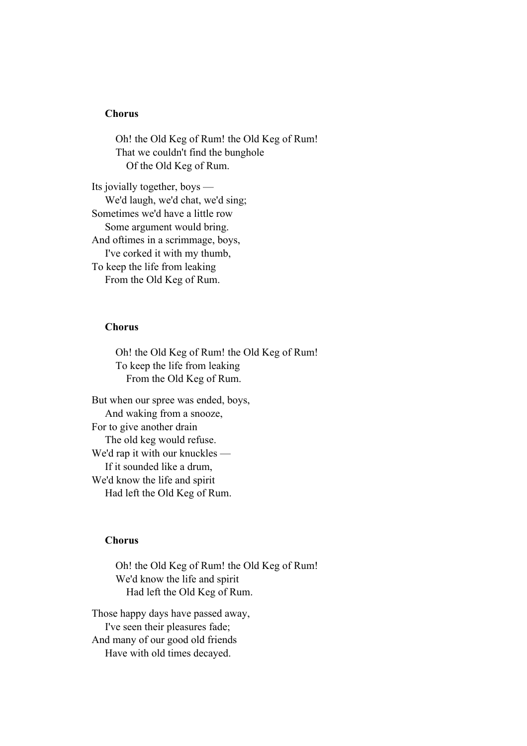#### **Chorus**

 Oh! the Old Keg of Rum! the Old Keg of Rum! That we couldn't find the bunghole Of the Old Keg of Rum.

Its jovially together, boys — We'd laugh, we'd chat, we'd sing; Sometimes we'd have a little row Some argument would bring. And oftimes in a scrimmage, boys, I've corked it with my thumb, To keep the life from leaking From the Old Keg of Rum.

#### **Chorus**

 Oh! the Old Keg of Rum! the Old Keg of Rum! To keep the life from leaking From the Old Keg of Rum.

But when our spree was ended, boys, And waking from a snooze, For to give another drain The old keg would refuse. We'd rap it with our knuckles — If it sounded like a drum, We'd know the life and spirit Had left the Old Keg of Rum.

#### **Chorus**

 Oh! the Old Keg of Rum! the Old Keg of Rum! We'd know the life and spirit Had left the Old Keg of Rum.

Those happy days have passed away, I've seen their pleasures fade; And many of our good old friends Have with old times decayed.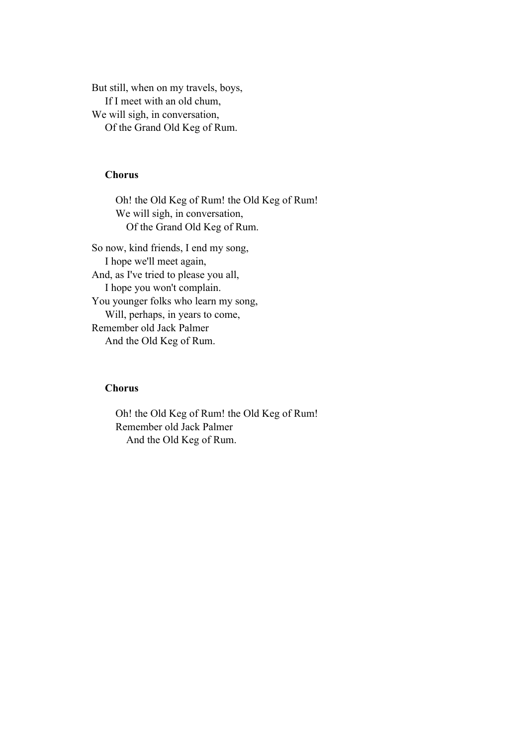But still, when on my travels, boys, If I meet with an old chum, We will sigh, in conversation, Of the Grand Old Keg of Rum.

#### **Chorus**

 Oh! the Old Keg of Rum! the Old Keg of Rum! We will sigh, in conversation, Of the Grand Old Keg of Rum.

So now, kind friends, I end my song, I hope we'll meet again, And, as I've tried to please you all, I hope you won't complain. You younger folks who learn my song, Will, perhaps, in years to come, Remember old Jack Palmer And the Old Keg of Rum.

#### **Chorus**

 Oh! the Old Keg of Rum! the Old Keg of Rum! Remember old Jack Palmer And the Old Keg of Rum.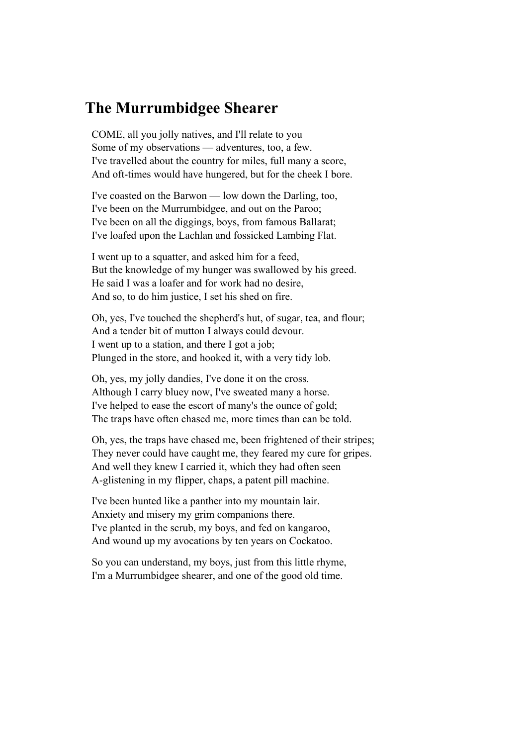## **The Murrumbidgee Shearer**

COME, all you jolly natives, and I'll relate to you Some of my observations — adventures, too, a few. I've travelled about the country for miles, full many a score, And oft-times would have hungered, but for the cheek I bore.

I've coasted on the Barwon — low down the Darling, too, I've been on the Murrumbidgee, and out on the Paroo; I've been on all the diggings, boys, from famous Ballarat; I've loafed upon the Lachlan and fossicked Lambing Flat.

I went up to a squatter, and asked him for a feed, But the knowledge of my hunger was swallowed by his greed. He said I was a loafer and for work had no desire, And so, to do him justice, I set his shed on fire.

Oh, yes, I've touched the shepherd's hut, of sugar, tea, and flour; And a tender bit of mutton I always could devour. I went up to a station, and there I got a job; Plunged in the store, and hooked it, with a very tidy lob.

Oh, yes, my jolly dandies, I've done it on the cross. Although I carry bluey now, I've sweated many a horse. I've helped to ease the escort of many's the ounce of gold; The traps have often chased me, more times than can be told.

Oh, yes, the traps have chased me, been frightened of their stripes; They never could have caught me, they feared my cure for gripes. And well they knew I carried it, which they had often seen A-glistening in my flipper, chaps, a patent pill machine.

I've been hunted like a panther into my mountain lair. Anxiety and misery my grim companions there. I've planted in the scrub, my boys, and fed on kangaroo, And wound up my avocations by ten years on Cockatoo.

So you can understand, my boys, just from this little rhyme, I'm a Murrumbidgee shearer, and one of the good old time.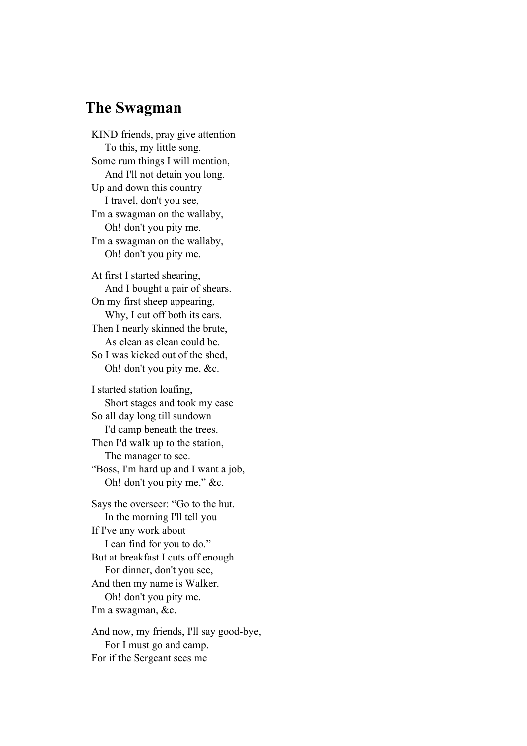## **The Swagman**

KIND friends, pray give attention To this, my little song. Some rum things I will mention, And I'll not detain you long. Up and down this country I travel, don't you see, I'm a swagman on the wallaby, Oh! don't you pity me. I'm a swagman on the wallaby, Oh! don't you pity me.

At first I started shearing, And I bought a pair of shears. On my first sheep appearing, Why, I cut off both its ears. Then I nearly skinned the brute, As clean as clean could be. So I was kicked out of the shed, Oh! don't you pity me, &c.

I started station loafing, Short stages and took my ease So all day long till sundown I'd camp beneath the trees. Then I'd walk up to the station, The manager to see. "Boss, I'm hard up and I want a job, Oh! don't you pity me," &c.

Says the overseer: "Go to the hut. In the morning I'll tell you If I've any work about I can find for you to do." But at breakfast I cuts off enough For dinner, don't you see, And then my name is Walker. Oh! don't you pity me. I'm a swagman, &c.

And now, my friends, I'll say good-bye, For I must go and camp. For if the Sergeant sees me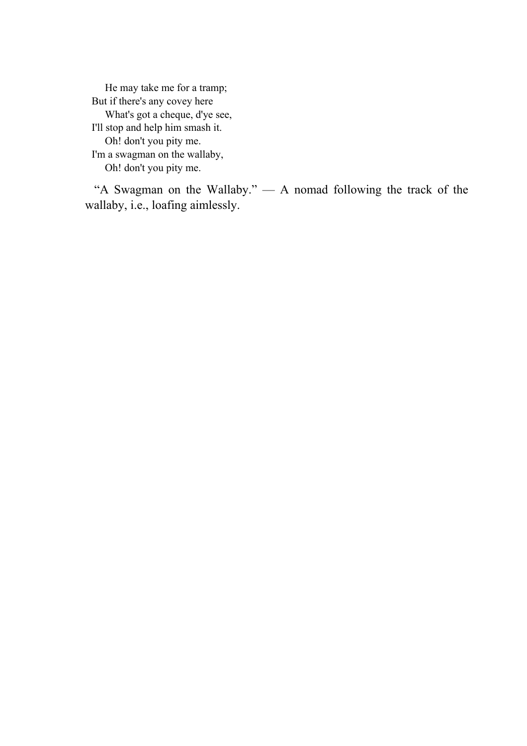He may take me for a tramp; But if there's any covey here What's got a cheque, d'ye see, I'll stop and help him smash it. Oh! don't you pity me. I'm a swagman on the wallaby, Oh! don't you pity me.

 "A Swagman on the Wallaby." — A nomad following the track of the wallaby, i.e., loafing aimlessly.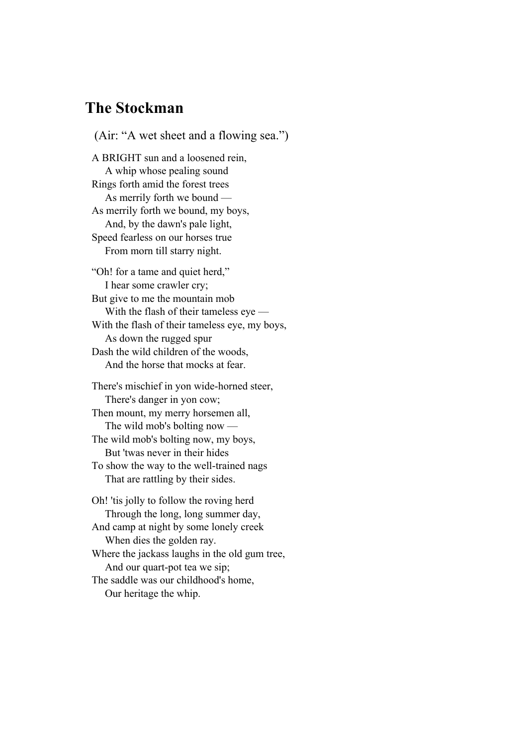## **The Stockman**

 (Air: "A wet sheet and a flowing sea.") A BRIGHT sun and a loosened rein, A whip whose pealing sound Rings forth amid the forest trees As merrily forth we bound — As merrily forth we bound, my boys, And, by the dawn's pale light, Speed fearless on our horses true From morn till starry night. "Oh! for a tame and quiet herd," I hear some crawler cry; But give to me the mountain mob With the flash of their tameless eye — With the flash of their tameless eye, my boys, As down the rugged spur Dash the wild children of the woods, And the horse that mocks at fear. There's mischief in yon wide-horned steer, There's danger in yon cow; Then mount, my merry horsemen all, The wild mob's bolting now — The wild mob's bolting now, my boys, But 'twas never in their hides To show the way to the well-trained nags That are rattling by their sides. Oh! 'tis jolly to follow the roving herd Through the long, long summer day, And camp at night by some lonely creek When dies the golden ray. Where the jackass laughs in the old gum tree, And our quart-pot tea we sip; The saddle was our childhood's home, Our heritage the whip.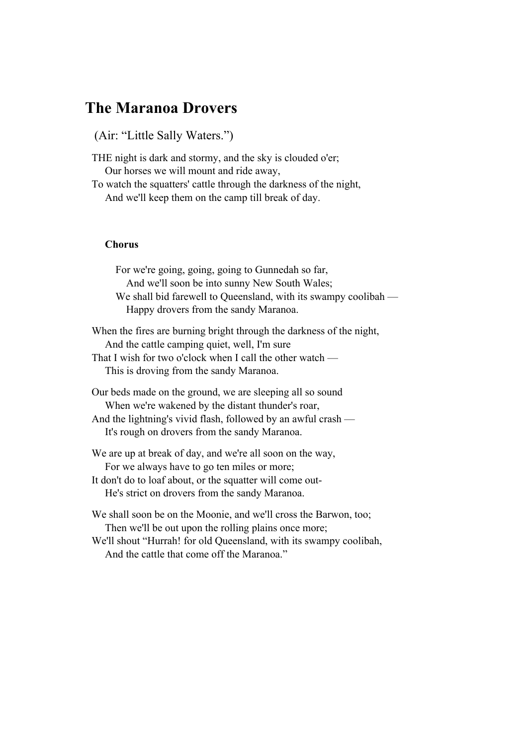# **The Maranoa Drovers**

(Air: "Little Sally Waters.")

THE night is dark and stormy, and the sky is clouded o'er; Our horses we will mount and ride away,

To watch the squatters' cattle through the darkness of the night, And we'll keep them on the camp till break of day.

#### **Chorus**

| For we're going, going, going to Gunnedah so far,<br>And we'll soon be into sunny New South Wales;<br>We shall bid farewell to Queensland, with its swampy coolibah —<br>Happy drovers from the sandy Maranoa.                   |
|----------------------------------------------------------------------------------------------------------------------------------------------------------------------------------------------------------------------------------|
| When the fires are burning bright through the darkness of the night,<br>And the cattle camping quiet, well, I'm sure<br>That I wish for two o'clock when I call the other watch —<br>This is droving from the sandy Maranoa.     |
| Our beds made on the ground, we are sleeping all so sound<br>When we're wakened by the distant thunder's roar,<br>And the lightning's vivid flash, followed by an awful crash —<br>It's rough on drovers from the sandy Maranoa. |
| We are up at break of day, and we're all soon on the way,<br>For we always have to go ten miles or more;<br>It don't do to loaf about, or the squatter will come out-<br>He's strict on drovers from the sandy Maranoa.          |
| We shall soon be on the Moonie, and we'll cross the Barwon, too;<br>Then we'll be out upon the rolling plains once more;<br>We'll shout "Hurrah! for old Queensland, with its swampy coolibah,                                   |

And the cattle that come off the Maranoa."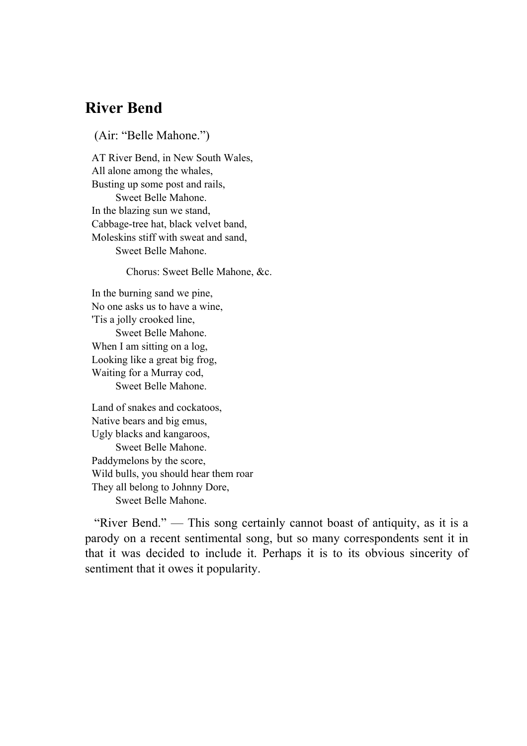## **River Bend**

(Air: "Belle Mahone.")

AT River Bend, in New South Wales, All alone among the whales, Busting up some post and rails, Sweet Belle Mahone. In the blazing sun we stand, Cabbage-tree hat, black velvet band, Moleskins stiff with sweat and sand, Sweet Belle Mahone.

Chorus: Sweet Belle Mahone, &c.

In the burning sand we pine, No one asks us to have a wine, 'Tis a jolly crooked line, Sweet Belle Mahone. When I am sitting on a log, Looking like a great big frog, Waiting for a Murray cod, Sweet Belle Mahone.

Land of snakes and cockatoos, Native bears and big emus, Ugly blacks and kangaroos, Sweet Belle Mahone. Paddymelons by the score, Wild bulls, you should hear them roar They all belong to Johnny Dore, Sweet Belle Mahone.

"River Bend." — This song certainly cannot boast of antiquity, as it is a parody on a recent sentimental song, but so many correspondents sent it in that it was decided to include it. Perhaps it is to its obvious sincerity of sentiment that it owes it popularity.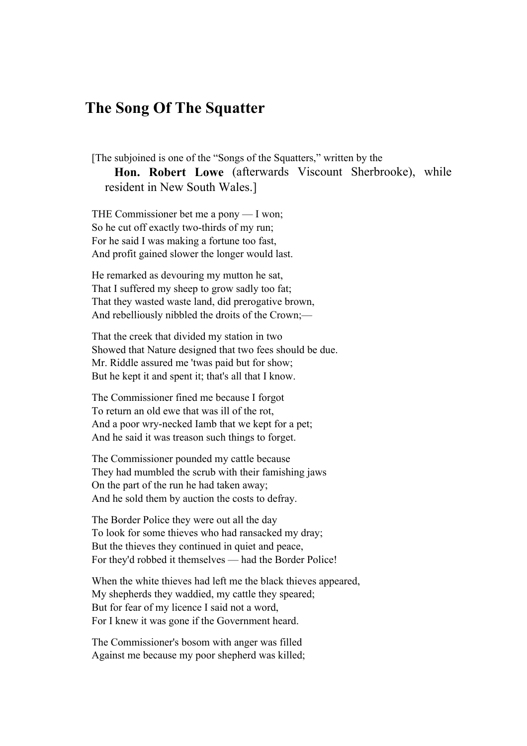### **The Song Of The Squatter**

[The subjoined is one of the "Songs of the Squatters," written by the **Hon. Robert Lowe** (afterwards Viscount Sherbrooke), while resident in New South Wales.]

THE Commissioner bet me a pony — I won; So he cut off exactly two-thirds of my run; For he said I was making a fortune too fast, And profit gained slower the longer would last.

He remarked as devouring my mutton he sat, That I suffered my sheep to grow sadly too fat; That they wasted waste land, did prerogative brown, And rebelliously nibbled the droits of the Crown;—

That the creek that divided my station in two Showed that Nature designed that two fees should be due. Mr. Riddle assured me 'twas paid but for show; But he kept it and spent it; that's all that I know.

The Commissioner fined me because I forgot To return an old ewe that was ill of the rot, And a poor wry-necked Iamb that we kept for a pet; And he said it was treason such things to forget.

The Commissioner pounded my cattle because They had mumbled the scrub with their famishing jaws On the part of the run he had taken away; And he sold them by auction the costs to defray.

The Border Police they were out all the day To look for some thieves who had ransacked my dray; But the thieves they continued in quiet and peace, For they'd robbed it themselves — had the Border Police!

When the white thieves had left me the black thieves appeared, My shepherds they waddied, my cattle they speared; But for fear of my licence I said not a word, For I knew it was gone if the Government heard.

The Commissioner's bosom with anger was filled Against me because my poor shepherd was killed;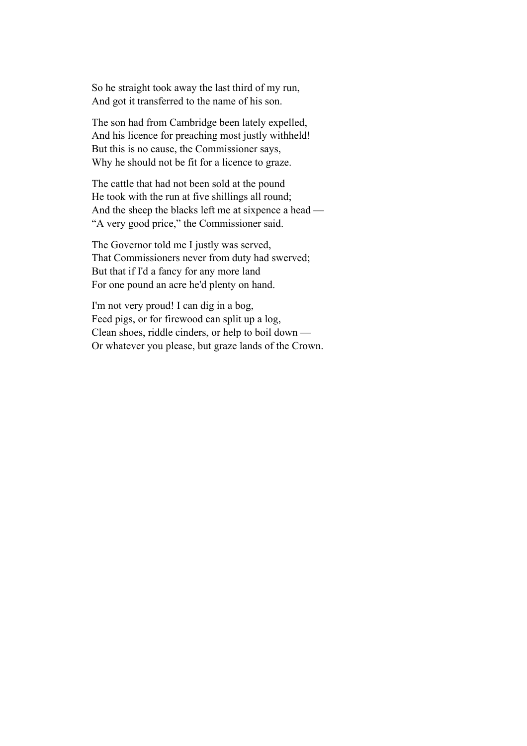So he straight took away the last third of my run, And got it transferred to the name of his son.

The son had from Cambridge been lately expelled, And his licence for preaching most justly withheld! But this is no cause, the Commissioner says, Why he should not be fit for a licence to graze.

The cattle that had not been sold at the pound He took with the run at five shillings all round; And the sheep the blacks left me at sixpence a head — "A very good price," the Commissioner said.

The Governor told me I justly was served, That Commissioners never from duty had swerved; But that if I'd a fancy for any more land For one pound an acre he'd plenty on hand.

I'm not very proud! I can dig in a bog, Feed pigs, or for firewood can split up a log, Clean shoes, riddle cinders, or help to boil down — Or whatever you please, but graze lands of the Crown.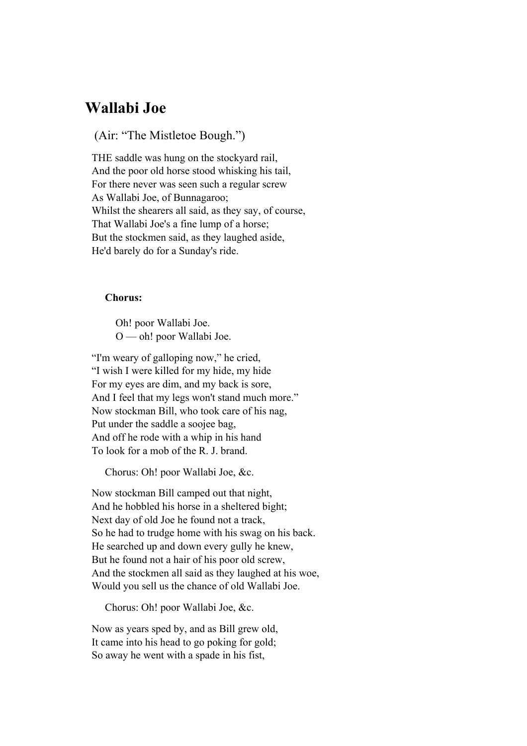### **Wallabi Joe**

(Air: "The Mistletoe Bough.")

THE saddle was hung on the stockyard rail, And the poor old horse stood whisking his tail, For there never was seen such a regular screw As Wallabi Joe, of Bunnagaroo; Whilst the shearers all said, as they say, of course, That Wallabi Joe's a fine lump of a horse; But the stockmen said, as they laughed aside, He'd barely do for a Sunday's ride.

#### **Chorus:**

 Oh! poor Wallabi Joe. O — oh! poor Wallabi Joe.

"I'm weary of galloping now," he cried, "I wish I were killed for my hide, my hide For my eyes are dim, and my back is sore, And I feel that my legs won't stand much more." Now stockman Bill, who took care of his nag, Put under the saddle a soojee bag, And off he rode with a whip in his hand To look for a mob of the R. J. brand.

Chorus: Oh! poor Wallabi Joe, &c.

Now stockman Bill camped out that night, And he hobbled his horse in a sheltered bight; Next day of old Joe he found not a track, So he had to trudge home with his swag on his back. He searched up and down every gully he knew, But he found not a hair of his poor old screw, And the stockmen all said as they laughed at his woe, Would you sell us the chance of old Wallabi Joe.

Chorus: Oh! poor Wallabi Joe, &c.

Now as years sped by, and as Bill grew old, It came into his head to go poking for gold; So away he went with a spade in his fist,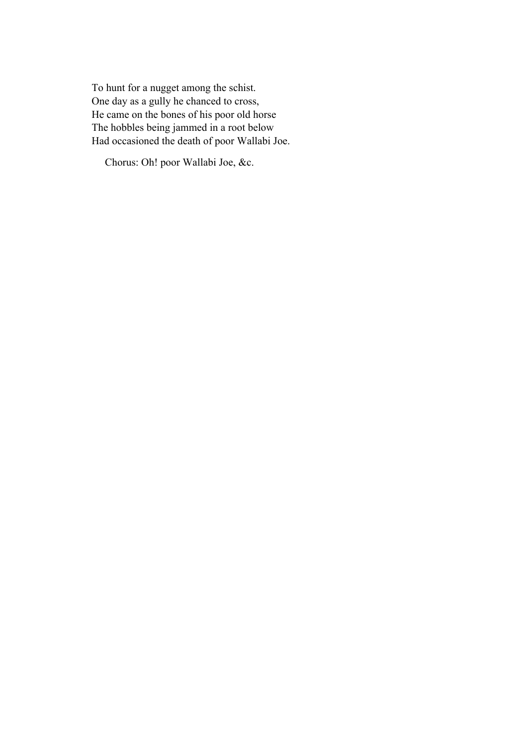To hunt for a nugget among the schist. One day as a gully he chanced to cross, He came on the bones of his poor old horse The hobbles being jammed in a root below Had occasioned the death of poor Wallabi Joe.

Chorus: Oh! poor Wallabi Joe, &c.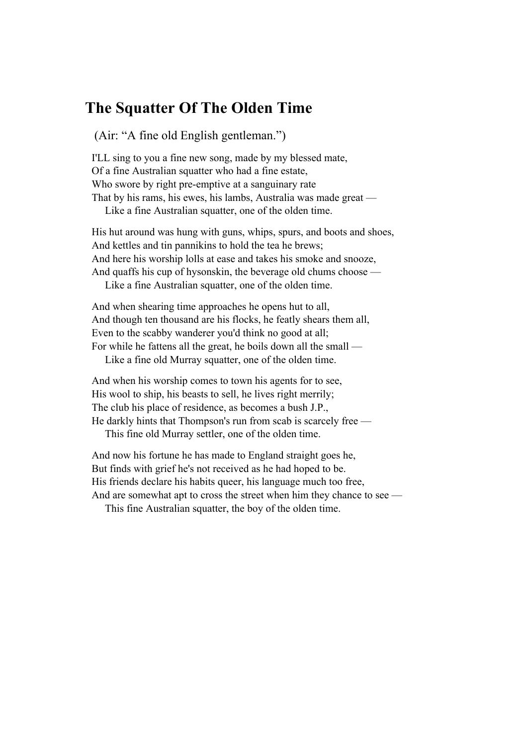### **The Squatter Of The Olden Time**

(Air: "A fine old English gentleman.")

I'LL sing to you a fine new song, made by my blessed mate, Of a fine Australian squatter who had a fine estate, Who swore by right pre-emptive at a sanguinary rate That by his rams, his ewes, his lambs, Australia was made great — Like a fine Australian squatter, one of the olden time.

His hut around was hung with guns, whips, spurs, and boots and shoes, And kettles and tin pannikins to hold the tea he brews; And here his worship lolls at ease and takes his smoke and snooze, And quaffs his cup of hysonskin, the beverage old chums choose —

Like a fine Australian squatter, one of the olden time.

And when shearing time approaches he opens hut to all, And though ten thousand are his flocks, he featly shears them all, Even to the scabby wanderer you'd think no good at all; For while he fattens all the great, he boils down all the small —

Like a fine old Murray squatter, one of the olden time.

And when his worship comes to town his agents for to see, His wool to ship, his beasts to sell, he lives right merrily; The club his place of residence, as becomes a bush J.P., He darkly hints that Thompson's run from scab is scarcely free —

This fine old Murray settler, one of the olden time.

And now his fortune he has made to England straight goes he, But finds with grief he's not received as he had hoped to be. His friends declare his habits queer, his language much too free, And are somewhat apt to cross the street when him they chance to see —

This fine Australian squatter, the boy of the olden time.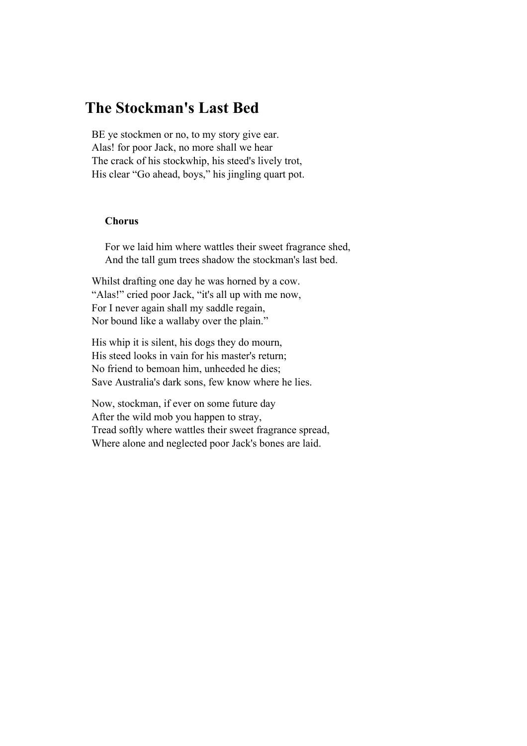## **The Stockman's Last Bed**

BE ye stockmen or no, to my story give ear. Alas! for poor Jack, no more shall we hear The crack of his stockwhip, his steed's lively trot, His clear "Go ahead, boys," his jingling quart pot.

#### **Chorus**

 For we laid him where wattles their sweet fragrance shed, And the tall gum trees shadow the stockman's last bed.

Whilst drafting one day he was horned by a cow. "Alas!" cried poor Jack, "it's all up with me now, For I never again shall my saddle regain, Nor bound like a wallaby over the plain."

His whip it is silent, his dogs they do mourn, His steed looks in vain for his master's return; No friend to bemoan him, unheeded he dies; Save Australia's dark sons, few know where he lies.

Now, stockman, if ever on some future day After the wild mob you happen to stray, Tread softly where wattles their sweet fragrance spread, Where alone and neglected poor Jack's bones are laid.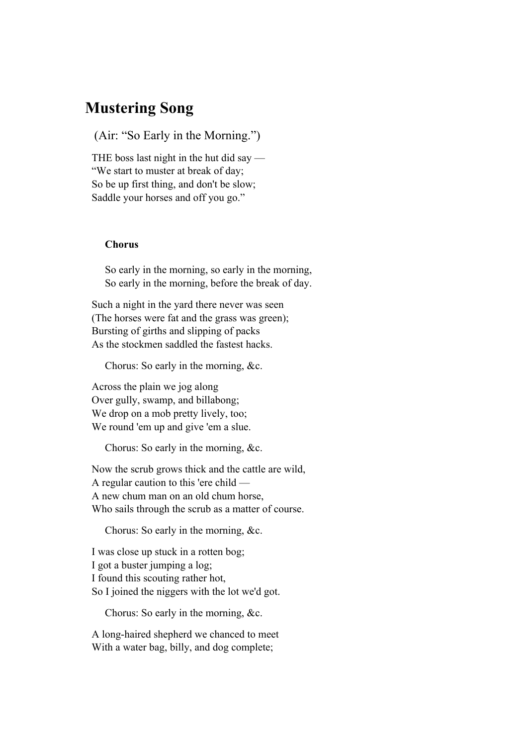## **Mustering Song**

(Air: "So Early in the Morning.")

THE boss last night in the hut did say — "We start to muster at break of day; So be up first thing, and don't be slow; Saddle your horses and off you go."

#### **Chorus**

 So early in the morning, so early in the morning, So early in the morning, before the break of day.

Such a night in the yard there never was seen (The horses were fat and the grass was green); Bursting of girths and slipping of packs As the stockmen saddled the fastest hacks.

Chorus: So early in the morning, &c.

Across the plain we jog along Over gully, swamp, and billabong; We drop on a mob pretty lively, too; We round 'em up and give 'em a slue.

Chorus: So early in the morning, &c.

Now the scrub grows thick and the cattle are wild, A regular caution to this 'ere child — A new chum man on an old chum horse, Who sails through the scrub as a matter of course.

Chorus: So early in the morning, &c.

I was close up stuck in a rotten bog; I got a buster jumping a log; I found this scouting rather hot, So I joined the niggers with the lot we'd got.

Chorus: So early in the morning, &c.

A long-haired shepherd we chanced to meet With a water bag, billy, and dog complete;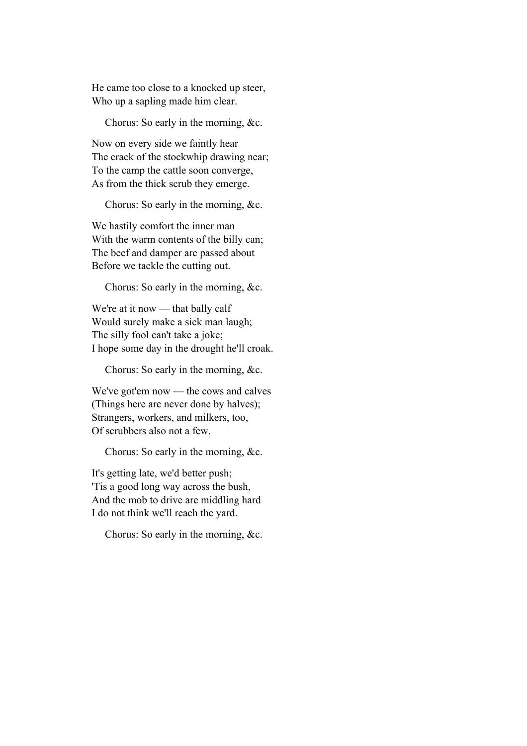He came too close to a knocked up steer, Who up a sapling made him clear.

Chorus: So early in the morning, &c.

Now on every side we faintly hear The crack of the stockwhip drawing near; To the camp the cattle soon converge, As from the thick scrub they emerge.

Chorus: So early in the morning, &c.

We hastily comfort the inner man With the warm contents of the billy can; The beef and damper are passed about Before we tackle the cutting out.

Chorus: So early in the morning, &c.

We're at it now — that bally calf Would surely make a sick man laugh; The silly fool can't take a joke; I hope some day in the drought he'll croak.

Chorus: So early in the morning, &c.

We've got'em now — the cows and calves (Things here are never done by halves); Strangers, workers, and milkers, too, Of scrubbers also not a few.

Chorus: So early in the morning, &c.

It's getting late, we'd better push; 'Tis a good long way across the bush, And the mob to drive are middling hard I do not think we'll reach the yard.

Chorus: So early in the morning, &c.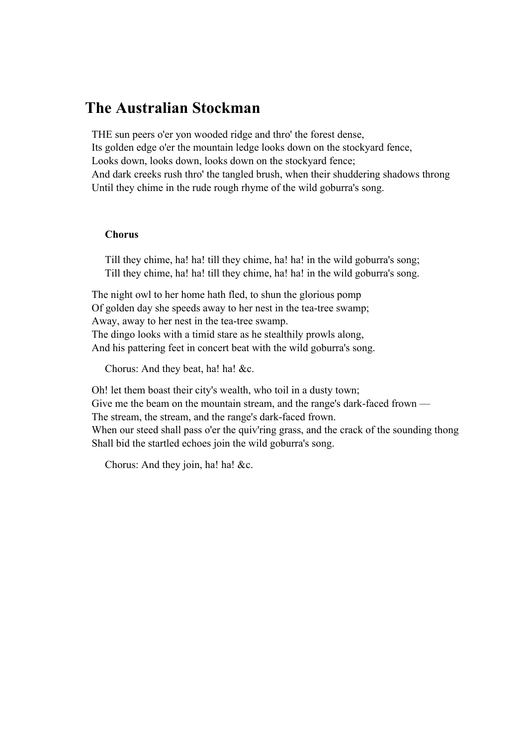## **The Australian Stockman**

THE sun peers o'er yon wooded ridge and thro' the forest dense, Its golden edge o'er the mountain ledge looks down on the stockyard fence, Looks down, looks down, looks down on the stockyard fence; And dark creeks rush thro' the tangled brush, when their shuddering shadows throng Until they chime in the rude rough rhyme of the wild goburra's song.

#### **Chorus**

 Till they chime, ha! ha! till they chime, ha! ha! in the wild goburra's song; Till they chime, ha! ha! till they chime, ha! ha! in the wild goburra's song.

The night owl to her home hath fled, to shun the glorious pomp Of golden day she speeds away to her nest in the tea-tree swamp; Away, away to her nest in the tea-tree swamp. The dingo looks with a timid stare as he stealthily prowls along, And his pattering feet in concert beat with the wild goburra's song.

Chorus: And they beat, ha! ha! &c.

Oh! let them boast their city's wealth, who toil in a dusty town; Give me the beam on the mountain stream, and the range's dark-faced frown — The stream, the stream, and the range's dark-faced frown. When our steed shall pass o'er the quiv'ring grass, and the crack of the sounding thong Shall bid the startled echoes join the wild goburra's song.

Chorus: And they join, ha! ha! &c.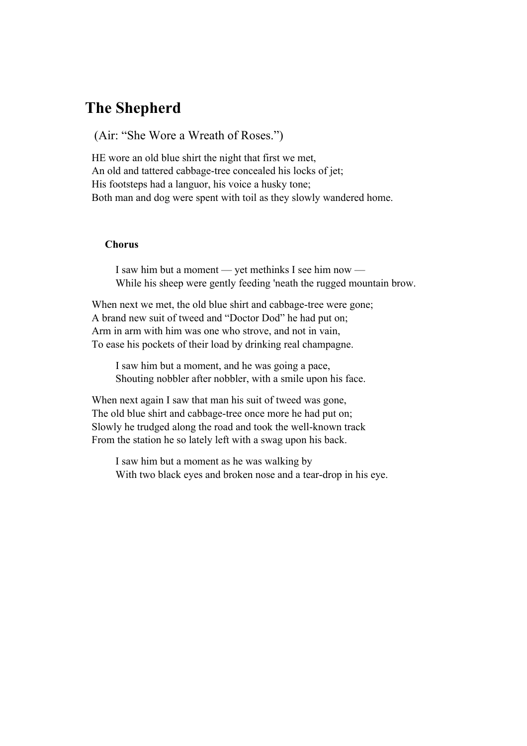## **The Shepherd**

(Air: "She Wore a Wreath of Roses.")

HE wore an old blue shirt the night that first we met, An old and tattered cabbage-tree concealed his locks of jet; His footsteps had a languor, his voice a husky tone; Both man and dog were spent with toil as they slowly wandered home.

#### **Chorus**

 I saw him but a moment — yet methinks I see him now — While his sheep were gently feeding 'neath the rugged mountain brow.

When next we met, the old blue shirt and cabbage-tree were gone; A brand new suit of tweed and "Doctor Dod" he had put on; Arm in arm with him was one who strove, and not in vain, To ease his pockets of their load by drinking real champagne.

 I saw him but a moment, and he was going a pace, Shouting nobbler after nobbler, with a smile upon his face.

When next again I saw that man his suit of tweed was gone, The old blue shirt and cabbage-tree once more he had put on; Slowly he trudged along the road and took the well-known track From the station he so lately left with a swag upon his back.

 I saw him but a moment as he was walking by With two black eyes and broken nose and a tear-drop in his eye.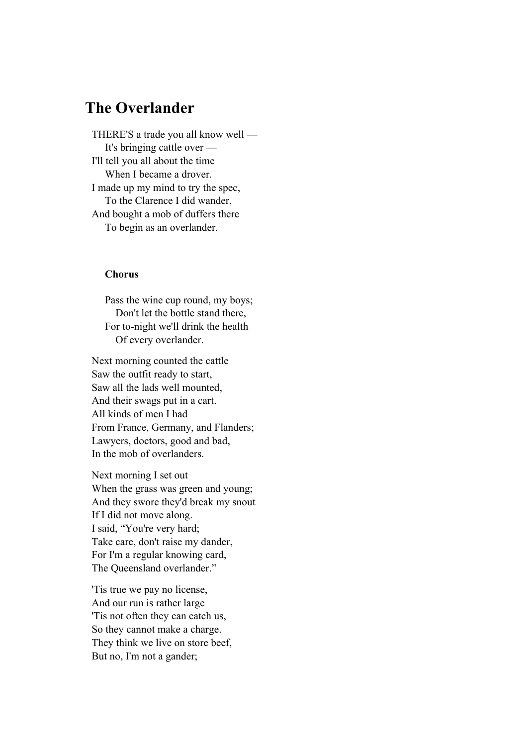## **The Overlander**

THERE'S a trade you all know well — It's bringing cattle over — I'll tell you all about the time When I became a drover. I made up my mind to try the spec, To the Clarence I did wander, And bought a mob of duffers there To begin as an overlander.

#### **Chorus**

 Pass the wine cup round, my boys; Don't let the bottle stand there, For to-night we'll drink the health Of every overlander.

Next morning counted the cattle Saw the outfit ready to start, Saw all the lads well mounted, And their swags put in a cart. All kinds of men I had From France, Germany, and Flanders; Lawyers, doctors, good and bad, In the mob of overlanders.

Next morning I set out When the grass was green and young; And they swore they'd break my snout If I did not move along. I said, "You're very hard; Take care, don't raise my dander, For I'm a regular knowing card, The Queensland overlander."

'Tis true we pay no license, And our run is rather large 'Tis not often they can catch us, So they cannot make a charge. They think we live on store beef, But no, I'm not a gander;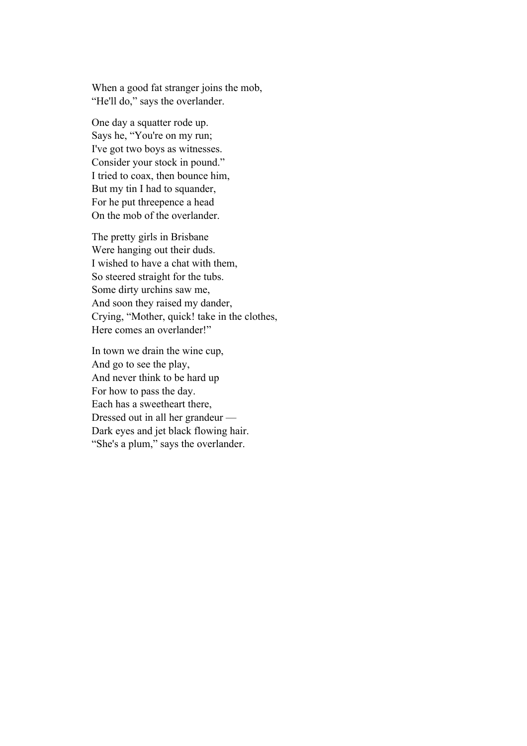When a good fat stranger joins the mob, "He'll do," says the overlander.

One day a squatter rode up. Says he, "You're on my run; I've got two boys as witnesses. Consider your stock in pound." I tried to coax, then bounce him, But my tin I had to squander, For he put threepence a head On the mob of the overlander.

The pretty girls in Brisbane Were hanging out their duds. I wished to have a chat with them, So steered straight for the tubs. Some dirty urchins saw me, And soon they raised my dander, Crying, "Mother, quick! take in the clothes, Here comes an overlander!"

In town we drain the wine cup, And go to see the play, And never think to be hard up For how to pass the day. Each has a sweetheart there, Dressed out in all her grandeur — Dark eyes and jet black flowing hair. "She's a plum," says the overlander.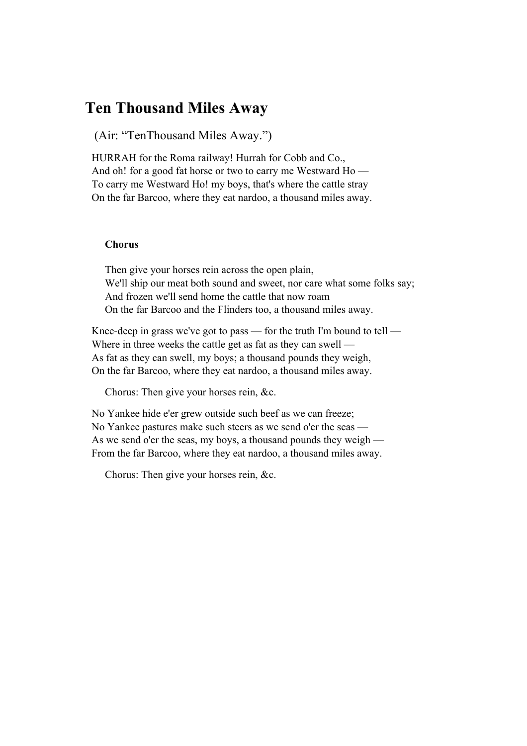## **Ten Thousand Miles Away**

(Air: "TenThousand Miles Away.")

HURRAH for the Roma railway! Hurrah for Cobb and Co., And oh! for a good fat horse or two to carry me Westward Ho — To carry me Westward Ho! my boys, that's where the cattle stray On the far Barcoo, where they eat nardoo, a thousand miles away.

#### **Chorus**

 Then give your horses rein across the open plain, We'll ship our meat both sound and sweet, nor care what some folks say; And frozen we'll send home the cattle that now roam On the far Barcoo and the Flinders too, a thousand miles away.

Knee-deep in grass we've got to pass — for the truth I'm bound to tell — Where in three weeks the cattle get as fat as they can swell — As fat as they can swell, my boys; a thousand pounds they weigh, On the far Barcoo, where they eat nardoo, a thousand miles away.

Chorus: Then give your horses rein, &c.

No Yankee hide e'er grew outside such beef as we can freeze; No Yankee pastures make such steers as we send o'er the seas — As we send o'er the seas, my boys, a thousand pounds they weigh — From the far Barcoo, where they eat nardoo, a thousand miles away.

Chorus: Then give your horses rein, &c.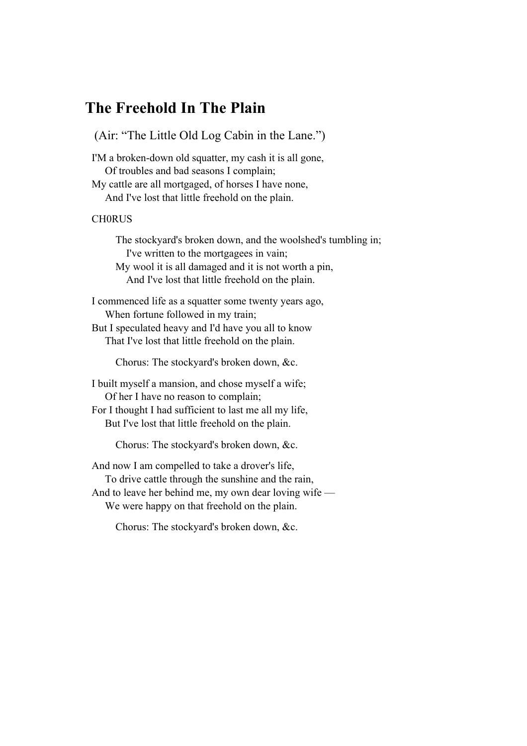## **The Freehold In The Plain**

(Air: "The Little Old Log Cabin in the Lane.")

I'M a broken-down old squatter, my cash it is all gone, Of troubles and bad seasons I complain;

My cattle are all mortgaged, of horses I have none, And I've lost that little freehold on the plain.

#### CH0RUS

 The stockyard's broken down, and the woolshed's tumbling in; I've written to the mortgagees in vain; My wool it is all damaged and it is not worth a pin, And I've lost that little freehold on the plain.

I commenced life as a squatter some twenty years ago, When fortune followed in my train; But I speculated heavy and I'd have you all to know

That I've lost that little freehold on the plain.

Chorus: The stockyard's broken down, &c.

I built myself a mansion, and chose myself a wife; Of her I have no reason to complain;

For I thought I had sufficient to last me all my life, But I've lost that little freehold on the plain.

Chorus: The stockyard's broken down, &c.

And now I am compelled to take a drover's life, To drive cattle through the sunshine and the rain, And to leave her behind me, my own dear loving wife — We were happy on that freehold on the plain.

Chorus: The stockyard's broken down, &c.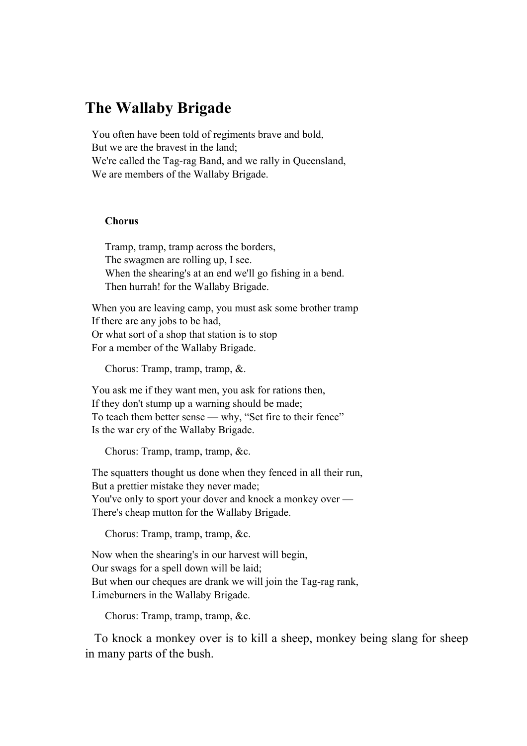## **The Wallaby Brigade**

You often have been told of regiments brave and bold, But we are the bravest in the land; We're called the Tag-rag Band, and we rally in Queensland, We are members of the Wallaby Brigade.

#### **Chorus**

 Tramp, tramp, tramp across the borders, The swagmen are rolling up, I see. When the shearing's at an end we'll go fishing in a bend. Then hurrah! for the Wallaby Brigade.

When you are leaving camp, you must ask some brother tramp If there are any jobs to be had, Or what sort of a shop that station is to stop For a member of the Wallaby Brigade.

Chorus: Tramp, tramp, tramp, &.

You ask me if they want men, you ask for rations then, If they don't stump up a warning should be made; To teach them better sense — why, "Set fire to their fence" Is the war cry of the Wallaby Brigade.

Chorus: Tramp, tramp, tramp, &c.

The squatters thought us done when they fenced in all their run, But a prettier mistake they never made; You've only to sport your dover and knock a monkey over — There's cheap mutton for the Wallaby Brigade.

Chorus: Tramp, tramp, tramp, &c.

Now when the shearing's in our harvest will begin, Our swags for a spell down will be laid; But when our cheques are drank we will join the Tag-rag rank, Limeburners in the Wallaby Brigade.

Chorus: Tramp, tramp, tramp, &c.

 To knock a monkey over is to kill a sheep, monkey being slang for sheep in many parts of the bush.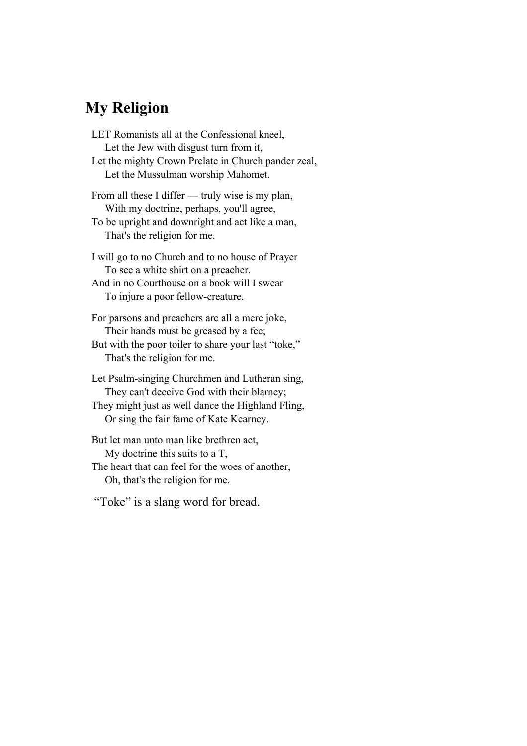## **My Religion**

LET Romanists all at the Confessional kneel, Let the Jew with disgust turn from it, Let the mighty Crown Prelate in Church pander zeal, Let the Mussulman worship Mahomet. From all these I differ — truly wise is my plan, With my doctrine, perhaps, you'll agree, To be upright and downright and act like a man, That's the religion for me.

I will go to no Church and to no house of Prayer To see a white shirt on a preacher.

And in no Courthouse on a book will I swear To injure a poor fellow-creature.

For parsons and preachers are all a mere joke, Their hands must be greased by a fee;

But with the poor toiler to share your last "toke," That's the religion for me.

Let Psalm-singing Churchmen and Lutheran sing, They can't deceive God with their blarney;

They might just as well dance the Highland Fling, Or sing the fair fame of Kate Kearney.

But let man unto man like brethren act, My doctrine this suits to a T, The heart that can feel for the woes of another, Oh, that's the religion for me.

"Toke" is a slang word for bread.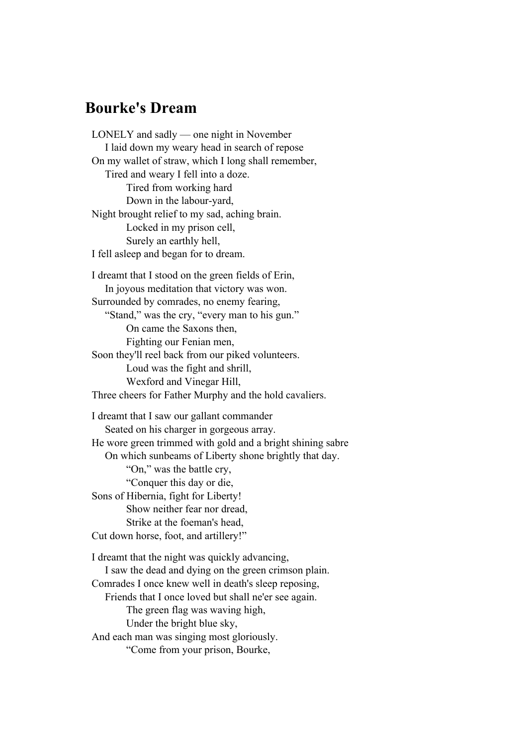### **Bourke's Dream**

LONELY and sadly — one night in November I laid down my weary head in search of repose On my wallet of straw, which I long shall remember, Tired and weary I fell into a doze. Tired from working hard Down in the labour-yard, Night brought relief to my sad, aching brain. Locked in my prison cell, Surely an earthly hell, I fell asleep and began for to dream. I dreamt that I stood on the green fields of Erin, In joyous meditation that victory was won. Surrounded by comrades, no enemy fearing, "Stand," was the cry, "every man to his gun." On came the Saxons then, Fighting our Fenian men, Soon they'll reel back from our piked volunteers. Loud was the fight and shrill, Wexford and Vinegar Hill, Three cheers for Father Murphy and the hold cavaliers. I dreamt that I saw our gallant commander Seated on his charger in gorgeous array. He wore green trimmed with gold and a bright shining sabre On which sunbeams of Liberty shone brightly that day. "On," was the battle cry, "Conquer this day or die, Sons of Hibernia, fight for Liberty! Show neither fear nor dread, Strike at the foeman's head, Cut down horse, foot, and artillery!" I dreamt that the night was quickly advancing, I saw the dead and dying on the green crimson plain. Comrades I once knew well in death's sleep reposing, Friends that I once loved but shall ne'er see again. The green flag was waving high, Under the bright blue sky, And each man was singing most gloriously. "Come from your prison, Bourke,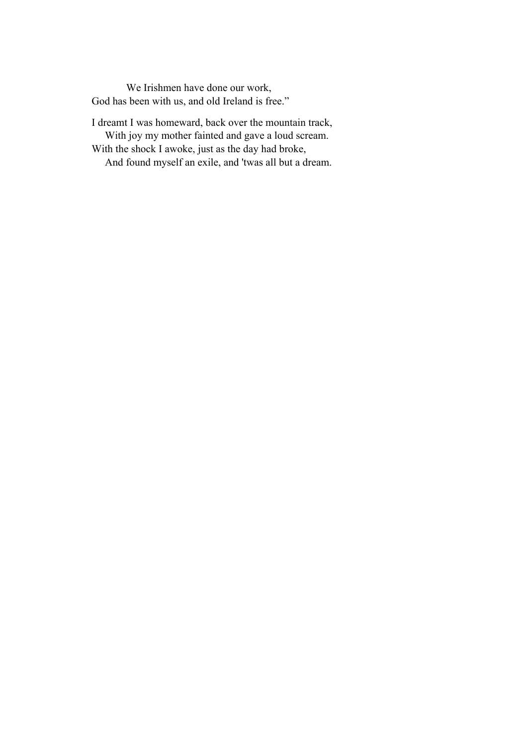We Irishmen have done our work, God has been with us, and old Ireland is free."

I dreamt I was homeward, back over the mountain track, With joy my mother fainted and gave a loud scream. With the shock I awoke, just as the day had broke, And found myself an exile, and 'twas all but a dream.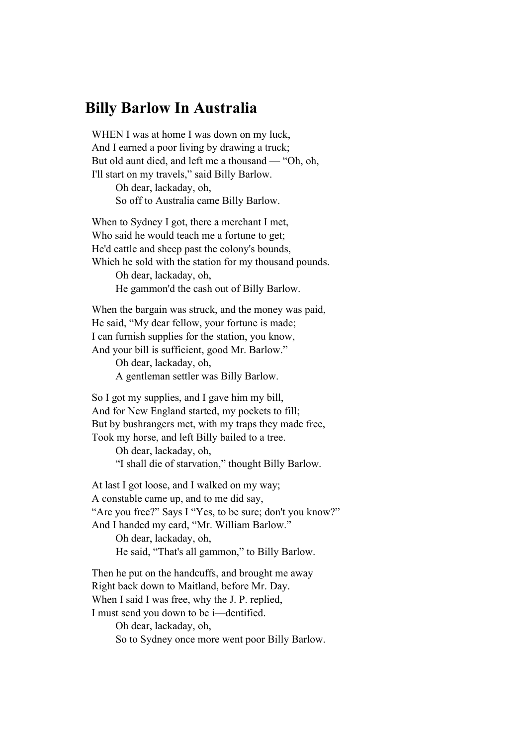### **Billy Barlow In Australia**

WHEN I was at home I was down on my luck, And I earned a poor living by drawing a truck; But old aunt died, and left me a thousand — "Oh, oh, I'll start on my travels," said Billy Barlow.

> Oh dear, lackaday, oh, So off to Australia came Billy Barlow.

When to Sydney I got, there a merchant I met, Who said he would teach me a fortune to get; He'd cattle and sheep past the colony's bounds, Which he sold with the station for my thousand pounds. Oh dear, lackaday, oh, He gammon'd the cash out of Billy Barlow.

When the bargain was struck, and the money was paid, He said, "My dear fellow, your fortune is made; I can furnish supplies for the station, you know, And your bill is sufficient, good Mr. Barlow."

Oh dear, lackaday, oh,

A gentleman settler was Billy Barlow.

So I got my supplies, and I gave him my bill, And for New England started, my pockets to fill; But by bushrangers met, with my traps they made free, Took my horse, and left Billy bailed to a tree.

 Oh dear, lackaday, oh, "I shall die of starvation," thought Billy Barlow.

At last I got loose, and I walked on my way; A constable came up, and to me did say, "Are you free?" Says I "Yes, to be sure; don't you know?" And I handed my card, "Mr. William Barlow." Oh dear, lackaday, oh, He said, "That's all gammon," to Billy Barlow.

Then he put on the handcuffs, and brought me away Right back down to Maitland, before Mr. Day. When I said I was free, why the J. P. replied, I must send you down to be i—dentified. Oh dear, lackaday, oh, So to Sydney once more went poor Billy Barlow.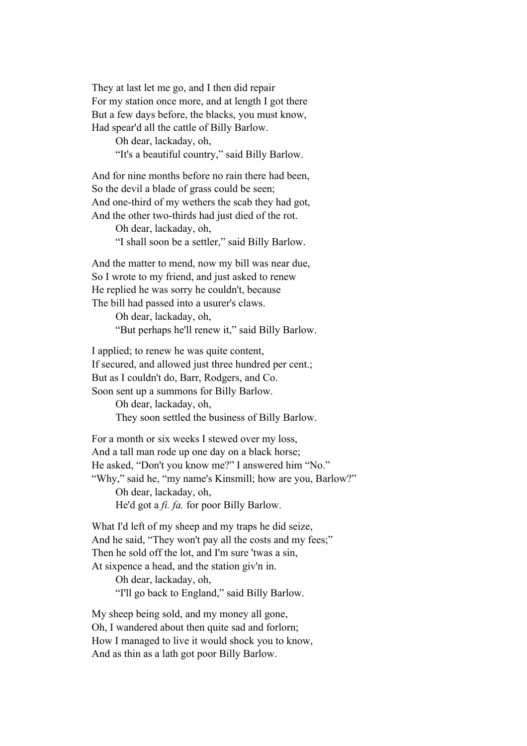They at last let me go, and I then did repair For my station once more, and at length I got there But a few days before, the blacks, you must know, Had spear'd all the cattle of Billy Barlow.

> Oh dear, lackaday, oh, "It's a beautiful country," said Billy Barlow.

And for nine months before no rain there had been, So the devil a blade of grass could be seen; And one-third of my wethers the scab they had got, And the other two-thirds had just died of the rot.

 Oh dear, lackaday, oh, "I shall soon be a settler," said Billy Barlow.

And the matter to mend, now my bill was near due, So I wrote to my friend, and just asked to renew He replied he was sorry he couldn't, because The bill had passed into a usurer's claws.

> Oh dear, lackaday, oh, "But perhaps he'll renew it," said Billy Barlow.

I applied; to renew he was quite content, If secured, and allowed just three hundred per cent.; But as I couldn't do, Barr, Rodgers, and Co. Soon sent up a summons for Billy Barlow.

> Oh dear, lackaday, oh, They soon settled the business of Billy Barlow.

For a month or six weeks I stewed over my loss, And a tall man rode up one day on a black horse; He asked, "Don't you know me?" I answered him "No." "Why," said he, "my name's Kinsmill; how are you, Barlow?" Oh dear, lackaday, oh, He'd got a *fi. fa.* for poor Billy Barlow.

What I'd left of my sheep and my traps he did seize, And he said, "They won't pay all the costs and my fees;" Then he sold off the lot, and I'm sure 'twas a sin, At sixpence a head, and the station giv'n in.

 Oh dear, lackaday, oh, "I'll go back to England," said Billy Barlow.

My sheep being sold, and my money all gone, Oh, I wandered about then quite sad and forlorn; How I managed to live it would shock you to know, And as thin as a lath got poor Billy Barlow.